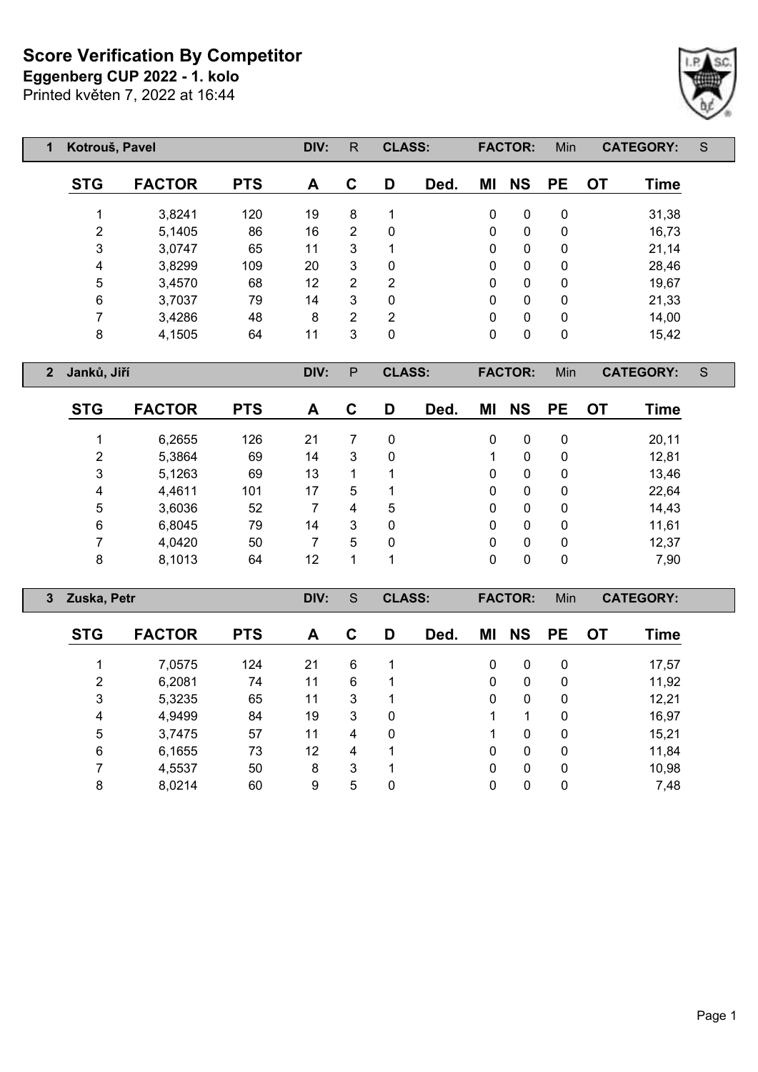**Eggenberg CUP 2022 - 1. kolo**

|  | Printed květen 7, 2022 at 16:44 |
|--|---------------------------------|
|--|---------------------------------|

| 1              | Kotrouš, Pavel    |               |            |              | R.              | <b>CLASS:</b>  |      |               | <b>FACTOR:</b> | Min         | <b>CATEGORY:</b>         | S           |
|----------------|-------------------|---------------|------------|--------------|-----------------|----------------|------|---------------|----------------|-------------|--------------------------|-------------|
|                | <b>STG</b>        | <b>FACTOR</b> | <b>PTS</b> | A            | C               | D              | Ded. | ΜI            | <b>NS</b>      | <b>PE</b>   | <b>OT</b><br><b>Time</b> |             |
|                |                   | 3,8241        | 120        | 19           | 8               | 1              |      | $\mathbf 0$   | $\mathbf 0$    | $\mathbf 0$ | 31,38                    |             |
|                | $\overline{2}$    | 5,1405        | 86         | 16           | $\overline{2}$  | $\mathbf{0}$   |      | 0             | 0              | 0           | 16,73                    |             |
|                | 3                 | 3,0747        | 65         | 11           | $\mathbf{3}$    |                |      | 0             | 0              | 0           | 21,14                    |             |
|                | 4                 | 3,8299        | 109        | 20           | $\mathbf{3}$    | $\mathbf 0$    |      | 0             | 0              | 0           | 28,46                    |             |
|                | 5                 | 3,4570        | 68         | 12           | $\overline{2}$  | $\overline{2}$ |      | 0             | $\Omega$       | 0           | 19,67                    |             |
|                | $\,6\,$           | 3,7037        | 79         | 14           | 3               | $\mathbf 0$    |      | $\mathbf{0}$  | 0              | $\mathbf 0$ | 21,33                    |             |
|                | 7<br>3,4286       |               | 48         | 8            | $\overline{2}$  | $\overline{2}$ |      | $\mathbf{0}$  | 0              | 0           | 14,00                    |             |
|                | 8<br>4,1505<br>64 |               | 11         | $\mathbf{3}$ | $\pmb{0}$       |                | 0    | 0             | 0              | 15,42       |                          |             |
| $\overline{2}$ | Janků, Jiří       |               |            | DIV:         | P               | <b>CLASS:</b>  |      |               | <b>FACTOR:</b> | Min         | <b>CATEGORY:</b>         | $\mathsf S$ |
|                | <b>STG</b>        | <b>FACTOR</b> | <b>PTS</b> | A            | $\mathbf c$     | D              | Ded. | MI            | <b>NS</b>      | <b>PE</b>   | <b>OT</b><br><b>Time</b> |             |
|                | 1                 | 6,2655        | 126        | 21           | 7               | $\mathbf 0$    |      | $\mathbf{0}$  | 0              | 0           | 20,11                    |             |
|                | $\overline{2}$    | 5,3864        | 69         | 14           | 3               | $\mathbf 0$    |      | 0             |                | 0           | 12,81                    |             |
|                | 3                 | 5,1263        | 69         | 13           | 1               |                |      | $\Omega$<br>0 |                | 0           | 13,46                    |             |
|                | 4                 | 4,4611        | 101        | 17           | $5\phantom{.0}$ |                |      | $\mathbf{0}$  | $\Omega$       | 0           | 22,64                    |             |
|                | 5                 | 3,6036        | 52         | 7            | 4               | 5              |      | 0             | 0              | 0           | 14,43                    |             |
|                | 6                 | 6,8045        | 79         | 14           | 3               | 0              |      | 0             | 0              | 0           | 11,61                    |             |

| 3 Zuska, Petr |               |            | DIV: | S | <b>CLASS:</b> |      |    | <b>FACTOR:</b> | Min          |    | <b>CATEGORY:</b> |  |
|---------------|---------------|------------|------|---|---------------|------|----|----------------|--------------|----|------------------|--|
| <b>STG</b>    | <b>FACTOR</b> | <b>PTS</b> | A    | C | D             | Ded. | ΜI | <b>NS</b>      | PE.          | 0T | <b>Time</b>      |  |
|               | 7,0575        | 124        | 21   | 6 |               |      | 0  | $\Omega$       | $\mathbf{0}$ |    | 17,57            |  |
| 2             | 6,2081        | 74         | 11   | 6 |               |      | 0  | $\Omega$       | $\mathbf{0}$ |    | 11,92            |  |
| 3             | 5,3235        | 65         | 11   | 3 |               |      | 0  | $\Omega$       | $\mathbf{0}$ |    | 12,21            |  |
| 4             | 4,9499        | 84         | 19   | 3 | 0             |      |    |                | 0            |    | 16,97            |  |
| 5             | 3,7475        | 57         | 11   | 4 | 0             |      |    | $\Omega$       | $\mathbf{0}$ |    | 15,21            |  |
| 6             | 6,1655        | 73         | 12   | 4 |               |      | 0  | $\Omega$       | 0            |    | 11,84            |  |
|               | 4,5537        | 50         | 8    | 3 | 1             |      | 0  | $\mathbf{0}$   | $\mathbf{0}$ |    | 10,98            |  |
| 8             | 8,0214        | 60         | 9    | 5 | 0             |      | 0  | 0              | 0            |    | 7,48             |  |
|               |               |            |      |   |               |      |    |                |              |    |                  |  |

 4,0420 50 7 5 0 0 0 0 12,37 8,1013 64 12 1 1 0 0 0 7,90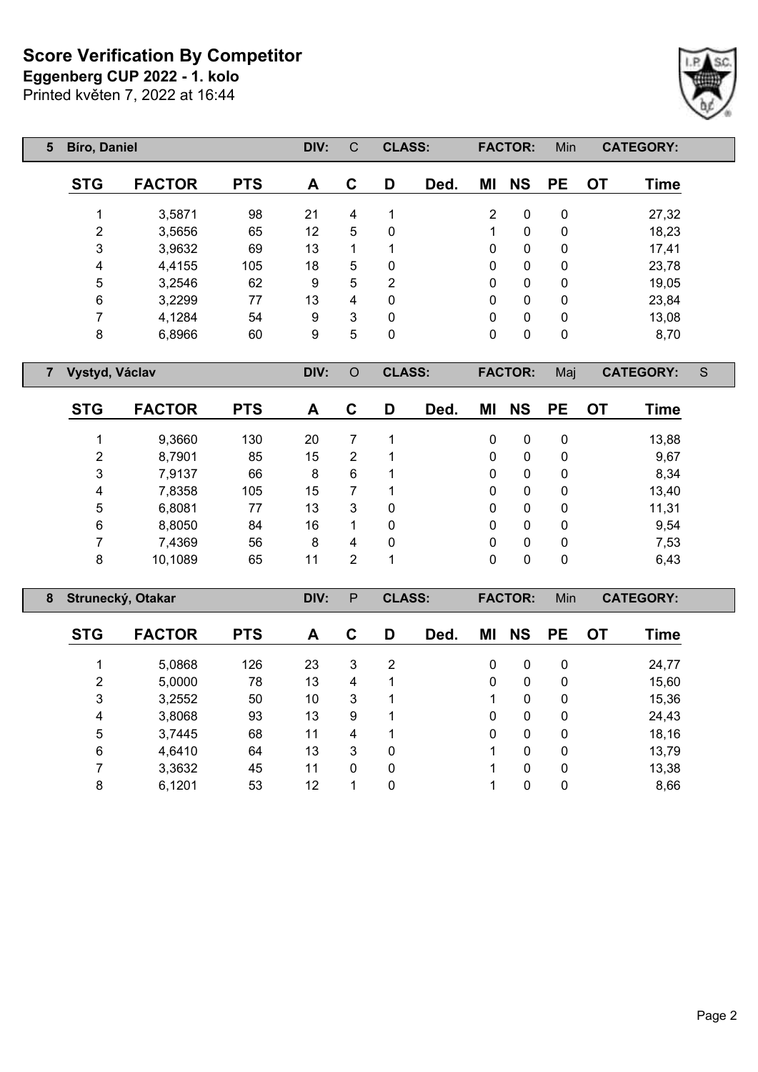**Eggenberg CUP 2022 - 1. kolo**

Printed květen 7, 2022 at 16:44

| 5 | <b>Bíro, Daniel</b> |               | DIV:       | C  | <b>CLASS:</b> |                |      | <b>FACTOR:</b> | Min          |           | <b>CATEGORY:</b> |       |
|---|---------------------|---------------|------------|----|---------------|----------------|------|----------------|--------------|-----------|------------------|-------|
|   | <b>STG</b>          | <b>FACTOR</b> | <b>PTS</b> | A  | $\mathbf C$   | D              | Ded. | ΜI             | <b>NS</b>    | <b>PE</b> | <b>OT</b>        | Time  |
|   |                     | 3,5871        | 98         | 21 | 4             | 1              |      | $\overline{2}$ | 0            | 0         |                  | 27,32 |
|   | 2                   | 3,5656        | 65         | 12 | 5             | $\mathbf 0$    |      |                | 0            | 0         |                  | 18,23 |
|   | 3                   | 3,9632        | 69         | 13 | 1             | ◢              |      | $\mathbf{0}$   | $\mathbf{0}$ | 0         |                  | 17,41 |
|   | 4                   | 4,4155        | 105        | 18 | 5             | 0              |      | $\mathbf{0}$   | $\mathbf{0}$ | 0         |                  | 23,78 |
|   | 5                   | 3,2546        | 62         | 9  | 5             | $\overline{2}$ |      | $\mathbf{0}$   | $\mathbf{0}$ | 0         |                  | 19,05 |
|   | 6                   | 3,2299        | 77         | 13 | 4             | $\Omega$       |      | $\mathbf{0}$   | $\mathbf{0}$ | 0         |                  | 23,84 |
|   | 7                   | 4,1284        | 54         | 9  | 3             | 0              |      | $\mathbf{0}$   | $\mathbf{0}$ | 0         |                  | 13,08 |
|   | 8                   | 6,8966        | 60         | 9  | 5             | 0              |      | 0              | 0            | 0         |                  | 8,70  |

**Vystyd, Václav DIV:** O **CLASS: FACTOR:** Maj **CATEGORY:** S

| <b>STG</b> | <b>FACTOR</b> | <b>PTS</b> | A  | С | D | Ded. | ΜI | <b>NS</b> | <b>PE</b> | ΟT | Time  |
|------------|---------------|------------|----|---|---|------|----|-----------|-----------|----|-------|
|            | 9,3660        | 130        | 20 |   |   |      | 0  | 0         | 0         |    | 13,88 |
| 2          | 8,7901        | 85         | 15 | 2 |   |      | 0  | 0         | 0         |    | 9,67  |
| 3          | 7,9137        | 66         | 8  | 6 |   |      | 0  | 0         | 0         |    | 8,34  |
| 4          | 7,8358        | 105        | 15 |   |   |      | 0  | 0         | 0         |    | 13,40 |
| 5          | 6,8081        | 77         | 13 | 3 | 0 |      | 0  | 0         | 0         |    | 11,31 |
| 6          | 8,8050        | 84         | 16 | 4 | 0 |      | 0  | 0         | 0         |    | 9,54  |
| 7          | 7,4369        | 56         | 8  | 4 | 0 |      | 0  | 0         | 0         |    | 7,53  |
| 8          | 10,1089       | 65         | 11 | 2 |   |      | 0  | 0         | 0         |    | 6,43  |

| 8 Strunecký, Otakar |               | DIV:       | P  | <b>CLASS:</b> |              |      | <b>FACTOR:</b> | Min          |           | <b>CATEGORY:</b> |       |  |
|---------------------|---------------|------------|----|---------------|--------------|------|----------------|--------------|-----------|------------------|-------|--|
| <b>STG</b>          | <b>FACTOR</b> | <b>PTS</b> | A  | C             | D            | Ded. | ΜI             | <b>NS</b>    | <b>PE</b> | <b>OT</b>        | Time  |  |
|                     | 5,0868        | 126        | 23 | 3             | 2            |      | 0              | 0            | 0         |                  | 24,77 |  |
| 2                   | 5,0000        | 78         | 13 | 4             |              |      | 0              | 0            | 0         |                  | 15,60 |  |
| 3                   | 3,2552        | 50         | 10 | 3             |              |      |                | $\mathbf{0}$ | 0         |                  | 15,36 |  |
| 4                   | 3,8068        | 93         | 13 | 9             |              |      | 0              | $\mathbf{0}$ | 0         |                  | 24,43 |  |
| 5                   | 3,7445        | 68         | 11 | 4             |              |      | 0              | 0            | 0         |                  | 18,16 |  |
| 6                   | 4,6410        | 64         | 13 | 3             | 0            |      |                | 0            | 0         |                  | 13,79 |  |
|                     | 3,3632        | 45         | 11 | 0             | $\mathbf{0}$ |      |                | 0            | 0         |                  | 13,38 |  |
| 8                   | 6,1201        | 53         | 12 |               | 0            |      |                | 0            | 0         |                  | 8,66  |  |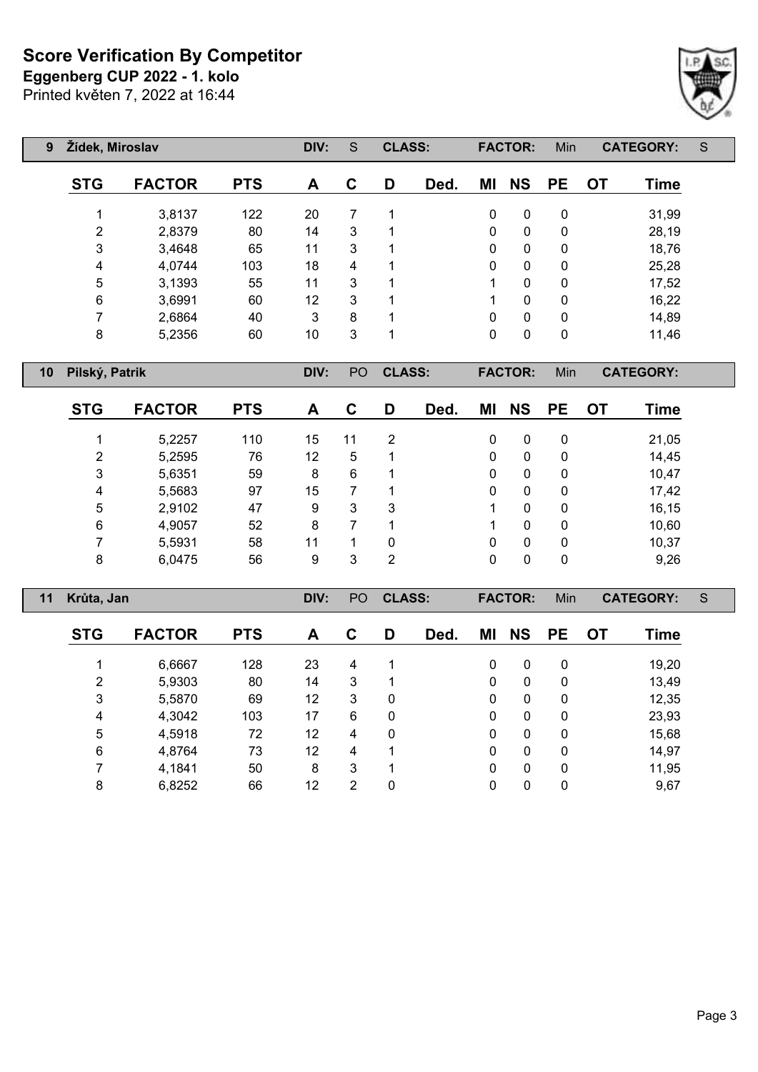**Eggenberg CUP 2022 - 1. kolo**

Printed květen 7, 2022 at 16:44



| 9 | Žídek, Miroslav |               | DIV:       | S  | <b>CLASS:</b> |    |      | <b>FACTOR:</b> | Min          |           | <b>CATEGORY:</b> | S           |  |
|---|-----------------|---------------|------------|----|---------------|----|------|----------------|--------------|-----------|------------------|-------------|--|
|   | <b>STG</b>      | <b>FACTOR</b> | <b>PTS</b> | A  | C             | D  | Ded. | ΜI             | <b>NS</b>    | <b>PE</b> | OТ               | <b>Time</b> |  |
|   |                 | 3,8137        | 122        | 20 | 7             | 4  |      | 0              | 0            | 0         |                  | 31,99       |  |
|   | 2               | 2,8379        | 80         | 14 | 3             | 1  |      | $\Omega$       | 0            | 0         |                  | 28,19       |  |
|   | 3               | 3,4648        | 65         | 11 | 3             | 1  |      | $\Omega$       | $\mathbf{0}$ | 0         |                  | 18,76       |  |
|   | 4               | 4,0744        | 103        | 18 | 4             | 1  |      | $\Omega$       | $\Omega$     | 0         |                  | 25,28       |  |
|   | $\overline{5}$  | 3,1393        | 55         | 11 | 3             | -1 |      | 4              | 0            | 0         |                  | 17,52       |  |
|   | 6               | 3,6991        | 60         | 12 | 3             | -1 |      | 4              | $\Omega$     | 0         |                  | 16,22       |  |
|   | 7               | 2,6864        | 40         | 3  | 8             | 4  |      | $\Omega$       | $\Omega$     | 0         |                  | 14,89       |  |
|   | 8               | 5,2356        | 60         | 10 | 3             | ◢  |      | $\Omega$       | 0            | 0         |                  | 11,46       |  |

**Pilský, Patrik DIV:** PO **CLASS: FACTOR:** Min **CATEGORY:**

| <b>STG</b> | <b>FACTOR</b> | <b>PTS</b> | A  | С  | D              | Ded. | ΜI | <b>NS</b> | <b>PE</b> | OT | Time  |
|------------|---------------|------------|----|----|----------------|------|----|-----------|-----------|----|-------|
|            | 5,2257        | 110        | 15 | 11 | 2              |      | 0  | 0         | 0         |    | 21,05 |
| 2          | 5,2595        | 76         | 12 | 5  |                |      | 0  | 0         | 0         |    | 14,45 |
| 3          | 5,6351        | 59         | 8  | 6  |                |      | 0  | 0         | 0         |    | 10,47 |
| 4          | 5,5683        | 97         | 15 |    |                |      | 0  | 0         | 0         |    | 17,42 |
| 5          | 2,9102        | 47         | 9  | 3  | 3              |      |    | $\Omega$  | 0         |    | 16,15 |
| 6          | 4,9057        | 52         | 8  |    |                |      |    | 0         | 0         |    | 10,60 |
| 7          | 5,5931        | 58         | 11 |    | 0              |      | 0  | 0         | 0         |    | 10,37 |
| 8          | 6,0475        | 56         | 9  | 3  | $\overline{2}$ |      | 0  | 0         | 0         |    | 9,26  |

| 11 | Krůta, Jan     |               | DIV:       | PO | <b>CLASS:</b> |   |      | <b>FACTOR:</b> | Min          |           | <b>CATEGORY:</b> | S           |  |
|----|----------------|---------------|------------|----|---------------|---|------|----------------|--------------|-----------|------------------|-------------|--|
|    | <b>STG</b>     | <b>FACTOR</b> | <b>PTS</b> | A  | C             | D | Ded. | ΜI             | <b>NS</b>    | <b>PE</b> | <b>OT</b>        | <b>Time</b> |  |
|    |                | 6,6667        | 128        | 23 | 4             |   |      | 0              | 0            | 0         |                  | 19,20       |  |
|    | 2              | 5,9303        | 80         | 14 | 3             |   |      | $\mathbf{0}$   | $\mathbf{0}$ | 0         |                  | 13,49       |  |
|    | 3              | 5,5870        | 69         | 12 | 3             | 0 |      | $\mathbf{0}$   | $\mathbf{0}$ | 0         |                  | 12,35       |  |
|    | 4              | 4,3042        | 103        | 17 | 6             | 0 |      | 0              | 0            | 0         |                  | 23,93       |  |
|    | $\overline{5}$ | 4,5918        | 72         | 12 | 4             | 0 |      | 0              | 0            | 0         |                  | 15,68       |  |
|    | 6              | 4,8764        | 73         | 12 | 4             | 1 |      | $\mathbf{0}$   | 0            | 0         |                  | 14,97       |  |
|    |                | 4,1841        | 50         | 8  | 3             | 1 |      | 0              | 0            | 0         |                  | 11,95       |  |
|    | 8              | 6,8252        | 66         | 12 | 2             | 0 |      | 0              | 0            | 0         |                  | 9,67        |  |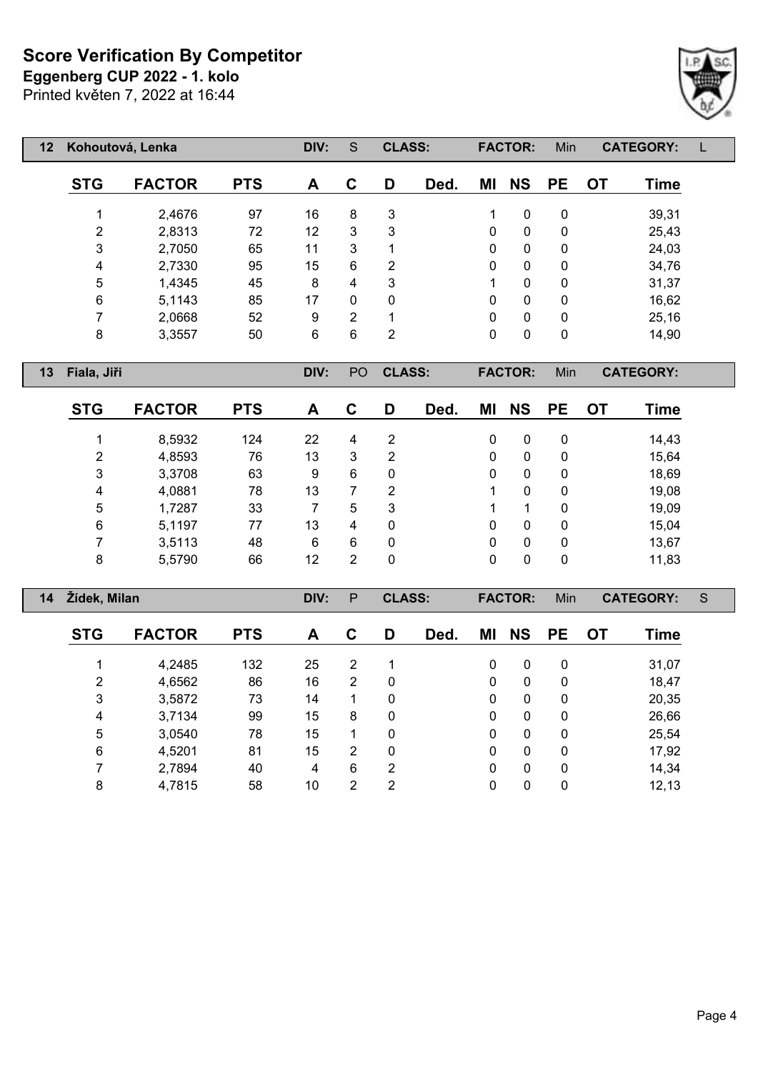Printed květen 7, 2022 at 16:44 **Eggenberg CUP 2022 - 1. kolo**



| $12 \,$ |            | Kohoutová, Lenka | DIV:       | S  | <b>CLASS:</b> |   |      | <b>FACTOR:</b> | Min          |           | <b>CATEGORY:</b> |       |  |
|---------|------------|------------------|------------|----|---------------|---|------|----------------|--------------|-----------|------------------|-------|--|
|         | <b>STG</b> | <b>FACTOR</b>    | <b>PTS</b> | A  | C             | D | Ded. | ΜI             | <b>NS</b>    | <b>PE</b> | <b>OT</b>        | Time  |  |
|         |            | 2,4676           | 97         | 16 | 8             | 3 |      | 1              | 0            | 0         |                  | 39,31 |  |
|         | 2          | 2,8313           | 72         | 12 | 3             | 3 |      | 0              | 0            | 0         |                  | 25,43 |  |
|         | 3          | 2,7050           | 65         | 11 | 3             | 1 |      | 0              | $\mathbf{0}$ | 0         |                  | 24,03 |  |
|         | 4          | 2,7330           | 95         | 15 | 6             | 2 |      | 0              | 0            | 0         |                  | 34,76 |  |
|         | 5          | 1,4345           | 45         | 8  | 4             | 3 |      | 1              | $\mathbf{0}$ | 0         |                  | 31,37 |  |
|         | 6          | 5,1143           | 85         | 17 | $\mathbf{0}$  | 0 |      | 0              | 0            | 0         |                  | 16,62 |  |
|         | 7          | 2,0668           | 52         | 9  | 2             | 1 |      | 0              | 0            | 0         |                  | 25,16 |  |
|         | 8          | 3,3557           | 50         | 6  | 6             | 2 |      | 0              | 0            | 0         |                  | 14,90 |  |

**Fiala, Jiři DIV:** PO **CLASS: FACTOR:** Min **CATEGORY:**

| <b>STG</b> | <b>FACTOR</b> | <b>PTS</b> | A  | С | D | Ded. | ΜI | <b>NS</b> | <b>PE</b> | OT. | Time  |
|------------|---------------|------------|----|---|---|------|----|-----------|-----------|-----|-------|
|            | 8,5932        | 124        | 22 | 4 | 2 |      | 0  | 0         | 0         |     | 14,43 |
| 2          | 4,8593        | 76         | 13 | 3 | 2 |      | 0  | 0         | 0         |     | 15,64 |
| 3          | 3,3708        | 63         | 9  | 6 | 0 |      | 0  | 0         | 0         |     | 18,69 |
| 4          | 4,0881        | 78         | 13 |   | 2 |      |    | 0         | 0         |     | 19,08 |
| 5          | 1,7287        | 33         |    | 5 | 3 |      |    |           | 0         |     | 19,09 |
| 6          | 5,1197        | 77         | 13 | 4 | 0 |      | 0  | 0         | 0         |     | 15,04 |
| ⇁          | 3,5113        | 48         | 6  | 6 | 0 |      | 0  | 0         | 0         |     | 13,67 |
| 8          | 5,5790        | 66         | 12 | 2 | 0 |      | 0  | 0         | 0         |     | 11,83 |

| 14 | Žídek, Milan   |               |            | DIV: | P              | <b>CLASS:</b> |      |          | <b>FACTOR:</b> | Min         |           | <b>CATEGORY:</b> | S |
|----|----------------|---------------|------------|------|----------------|---------------|------|----------|----------------|-------------|-----------|------------------|---|
|    | <b>STG</b>     | <b>FACTOR</b> | <b>PTS</b> | A    | C              | D             | Ded. | ΜI       | <b>NS</b>      | <b>PE</b>   | <b>OT</b> | Time             |   |
|    |                | 4,2485        | 132        | 25   | $\overline{2}$ | 1             |      | 0        | 0              | 0           |           | 31,07            |   |
|    | $\overline{2}$ | 4,6562        | 86         | 16   | $\overline{2}$ | 0             |      | $\Omega$ | $\mathbf{0}$   | 0           |           | 18,47            |   |
|    | 3              | 3,5872        | 73         | 14   |                | 0             |      | $\Omega$ | $\mathbf{0}$   | 0           |           | 20,35            |   |
|    | 4              | 3,7134        | 99         | 15   | 8              | 0             |      | 0        | 0              | 0           |           | 26,66            |   |
|    | 5              | 3,0540        | 78         | 15   |                | 0             |      | $\Omega$ | $\mathbf{0}$   | $\mathbf 0$ |           | 25,54            |   |
|    | 6              | 4,5201        | 81         | 15   | $\overline{2}$ | 0             |      | $\Omega$ | 0              | 0           |           | 17,92            |   |
|    | 7              | 2,7894        | 40         | 4    | 6              | 2             |      | 0        | 0              | 0           |           | 14,34            |   |
|    | 8              | 4,7815        | 58         | 10   | $\overline{2}$ | 2             |      | 0        | 0              | 0           |           | 12,13            |   |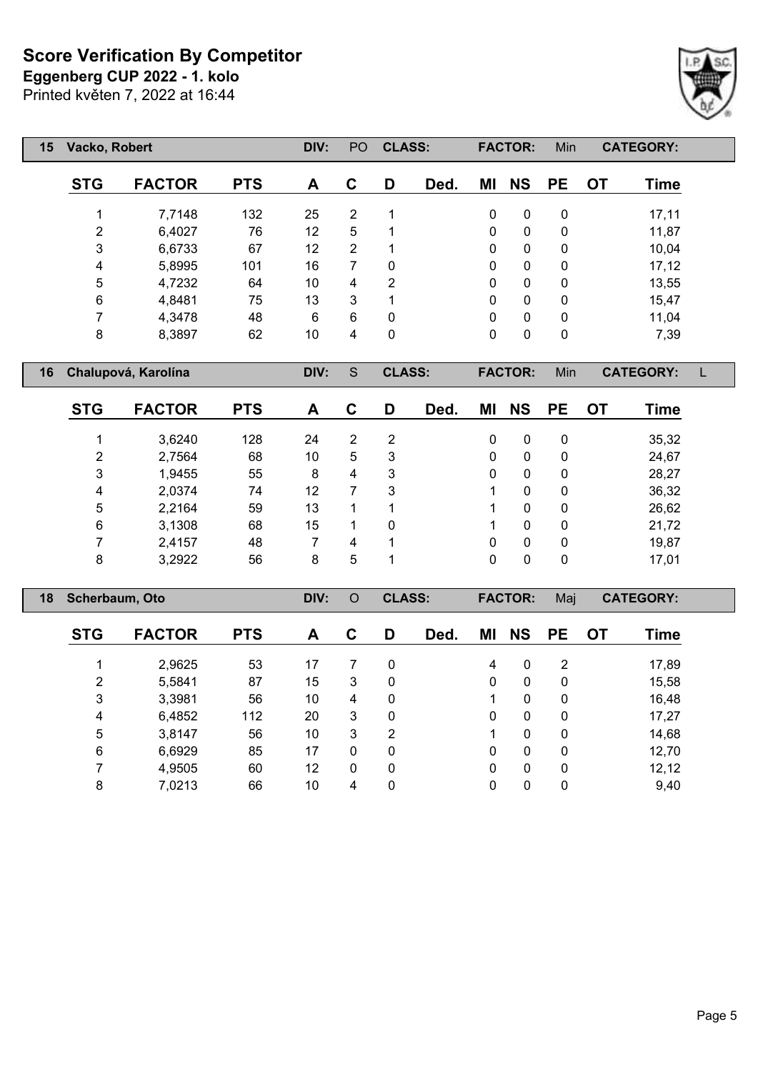**Eggenberg CUP 2022 - 1. kolo**

Printed květen 7, 2022 at 16:44

| 15 | Vacko, Robert  |                     |            | DIV: | PO.            | <b>CLASS:</b> |      |              | <b>FACTOR:</b> | <b>Min</b> |           | <b>CATEGORY:</b> |  |
|----|----------------|---------------------|------------|------|----------------|---------------|------|--------------|----------------|------------|-----------|------------------|--|
|    | <b>STG</b>     | <b>FACTOR</b>       | <b>PTS</b> | A    | C              | D             | Ded. | ΜI           | <b>NS</b>      | <b>PE</b>  | <b>OT</b> | <b>Time</b>      |  |
|    |                | 7,7148              | 132        | 25   | $\overline{2}$ |               |      | 0            | 0              | 0          |           | 17,11            |  |
|    | $\overline{2}$ | 6,4027              | 76         | 12   | 5              |               |      | $\mathbf{0}$ | $\Omega$       | 0          |           | 11,87            |  |
|    | 3              | 6,6733              | 67         | 12   | 2              |               |      | $\mathbf{0}$ | $\mathbf{0}$   | 0          |           | 10,04            |  |
|    | 4              | 5,8995              | 101        | 16   | 7              | 0             |      | 0            | 0              | 0          |           | 17,12            |  |
|    | 5              | 4,7232              | 64         | 10   | 4              | 2             |      | $\mathbf{0}$ | $\mathbf{0}$   | 0          |           | 13,55            |  |
|    | 6              | 4,8481              | 75         | 13   | 3              |               |      | 0            | 0              | 0          |           | 15,47            |  |
|    | 7              | 4,3478              | 48         | 6    | 6              | 0             |      | $\mathbf{0}$ | $\mathbf{0}$   | 0          |           | 11,04            |  |
|    | 8              | 8,3897              | 62         | 10   | 4              | 0             |      | 0            | $\mathbf{0}$   | 0          |           | 7,39             |  |
| 16 |                | Chalupová, Karolína |            |      |                | <b>CLASS:</b> |      |              | <b>FACTOR:</b> | Min        |           | <b>CATEGORY:</b> |  |

| <b>STG</b>     | <b>FACTOR</b> | <b>PTS</b> | A  | С | D | Ded. | ΜI | <b>NS</b> | <b>PE</b> | ОT | <b>Time</b> |
|----------------|---------------|------------|----|---|---|------|----|-----------|-----------|----|-------------|
| 4              | 3,6240        | 128        | 24 | 2 | 2 |      | 0  | 0         | 0         |    | 35,32       |
| $\overline{2}$ | 2,7564        | 68         | 10 | 5 | 3 |      | 0  | 0         | 0         |    | 24,67       |
| 3              | 1,9455        | 55         | 8  | 4 | 3 |      | 0  | 0         | 0         |    | 28,27       |
| 4              | 2,0374        | 74         | 12 |   | 3 |      |    | 0         | 0         |    | 36,32       |
| 5              | 2,2164        | 59         | 13 |   |   |      |    | 0         | 0         |    | 26,62       |
| 6              | 3,1308        | 68         | 15 |   | 0 |      |    | 0         | 0         |    | 21,72       |
| 7              | 2,4157        | 48         |    | 4 |   |      | 0  | 0         | 0         |    | 19,87       |
| 8              | 3,2922        | 56         | 8  | 5 |   |      | 0  | 0         | 0         |    | 17,01       |

| 18 | Scherbaum, Oto |               |            | DIV: | $\circ$      | <b>CLASS:</b> |      |              | <b>FACTOR:</b> | Maj          |           | <b>CATEGORY:</b> |  |
|----|----------------|---------------|------------|------|--------------|---------------|------|--------------|----------------|--------------|-----------|------------------|--|
|    | <b>STG</b>     | <b>FACTOR</b> | <b>PTS</b> | A    | C            | D             | Ded. | ΜI           | <b>NS</b>      | <b>PE</b>    | <b>OT</b> | Time             |  |
|    |                | 2,9625        | 53         | 17   | 7            | 0             |      | 4            | 0              | 2            |           | 17,89            |  |
|    | $\overline{2}$ | 5,5841        | 87         | 15   | 3            | 0             |      | 0            | 0              | 0            |           | 15,58            |  |
|    | 3              | 3,3981        | 56         | 10   | 4            | 0             |      |              | 0              | $\mathbf{0}$ |           | 16,48            |  |
|    | 4              | 6,4852        | 112        | 20   | 3            | 0             |      | $\mathbf{0}$ | $\mathbf{0}$   | $\mathbf{0}$ |           | 17,27            |  |
|    | 5              | 3,8147        | 56         | 10   | 3            | 2             |      |              | 0              | 0            |           | 14,68            |  |
|    | 6              | 6,6929        | 85         | 17   | $\mathbf{0}$ | 0             |      | 0            | $\mathbf{0}$   | $\mathbf{0}$ |           | 12,70            |  |
|    | ⇁              | 4,9505        | 60         | 12   | $\mathbf{0}$ | 0             |      | 0            | 0              | $\Omega$     |           | 12,12            |  |
|    | 8              | 7,0213        | 66         | 10   | 4            | 0             |      | 0            | 0              | 0            |           | 9,40             |  |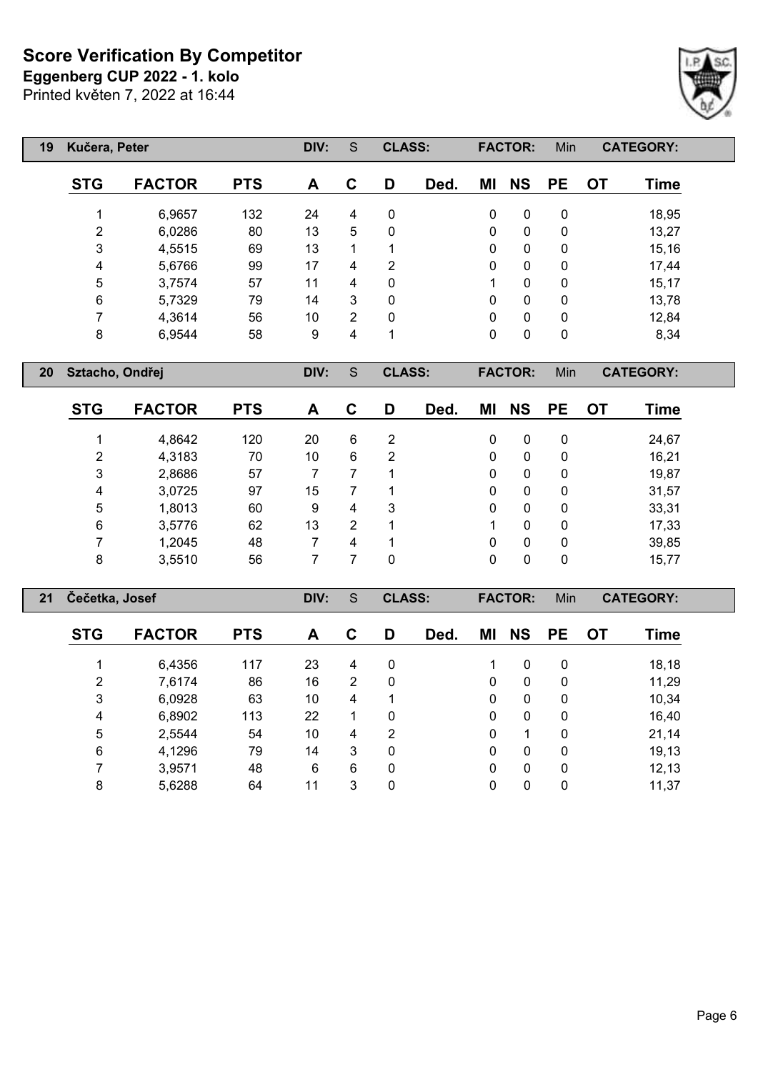Printed květen 7, 2022 at 16:44 **Eggenberg CUP 2022 - 1. kolo**



| 19 | Kučera, Peter |               |            | DIV: | S              | <b>CLASS:</b> |      |              | <b>FACTOR:</b> | Min       |           | <b>CATEGORY:</b> |
|----|---------------|---------------|------------|------|----------------|---------------|------|--------------|----------------|-----------|-----------|------------------|
|    | <b>STG</b>    | <b>FACTOR</b> | <b>PTS</b> | A    | C              | D             | Ded. | ΜI           | <b>NS</b>      | <b>PE</b> | <b>OT</b> | Time             |
|    |               | 6,9657        | 132        | 24   | 4              | 0             |      | 0            | 0              | 0         |           | 18,95            |
|    | 2             | 6,0286        | 80         | 13   | 5              | 0             |      | 0            | $\mathbf{0}$   | 0         |           | 13,27            |
|    | 3             | 4,5515        | 69         | 13   |                |               |      | 0            | 0              | 0         |           | 15,16            |
|    | 4             | 5,6766        | 99         | 17   | 4              | 2             |      | 0            | $\mathbf{0}$   | 0         |           | 17,44            |
|    | 5             | 3,7574        | 57         | 11   | 4              | $\Omega$      |      | 1            | $\mathbf{0}$   | 0         |           | 15,17            |
|    | 6             | 5,7329        | 79         | 14   | 3              | $\Omega$      |      | 0            | $\mathbf{0}$   | 0         |           | 13,78            |
|    | 7             | 4,3614        | 56         | 10   | $\mathfrak{D}$ | 0             |      | $\mathbf{0}$ | $\mathbf{0}$   | 0         |           | 12,84            |
|    | 8             | 6,9544        | 58         | 9    | 4              | 1             |      | 0            | 0              | 0         |           | 8,34             |

**Sztacho, Ondřej DIV:** S **CLASS: FACTOR:** Min **CATEGORY:**

| <b>STG</b> | <b>FACTOR</b> | <b>PTS</b> | A  | C | D | Ded. | ΜI           | <b>NS</b> | <b>PE</b> | <b>OT</b> | Time  |
|------------|---------------|------------|----|---|---|------|--------------|-----------|-----------|-----------|-------|
|            | 4,8642        | 120        | 20 | 6 | 2 |      | $\mathbf{0}$ | 0         | 0         |           | 24,67 |
| 2          | 4,3183        | 70         | 10 | 6 | 2 |      | 0            | 0         | 0         |           | 16,21 |
| 3          | 2,8686        | 57         |    |   |   |      | 0            | 0         | 0         |           | 19,87 |
| 4          | 3,0725        | 97         | 15 |   |   |      | 0            | 0         | 0         |           | 31,57 |
| 5          | 1,8013        | 60         | 9  | 4 | 3 |      | $\mathbf{0}$ | 0         | 0         |           | 33,31 |
| 6          | 3,5776        | 62         | 13 | 2 | 1 |      |              | 0         | 0         |           | 17,33 |
|            | 1,2045        | 48         |    | 4 | 1 |      | 0            | 0         | 0         |           | 39,85 |
| 8          | 3,5510        | 56         |    |   | 0 |      | 0            | 0         | 0         |           | 15,77 |

| 21 | Čečetka, Josef |               |            | DIV: | S              | <b>CLASS:</b> |      |          | <b>FACTOR:</b> | Min          |           | <b>CATEGORY:</b> |  |
|----|----------------|---------------|------------|------|----------------|---------------|------|----------|----------------|--------------|-----------|------------------|--|
|    | <b>STG</b>     | <b>FACTOR</b> | <b>PTS</b> | A    | C              | D             | Ded. | ΜI       | <b>NS</b>      | <b>PE</b>    | <b>OT</b> | Time             |  |
|    |                | 6,4356        | 117        | 23   | 4              | 0             |      |          | 0              | $\mathbf{0}$ |           | 18,18            |  |
|    | 2              | 7,6174        | 86         | 16   | $\overline{2}$ | 0             |      | $\Omega$ | $\mathbf{0}$   | $\mathbf{0}$ |           | 11,29            |  |
|    | 3              | 6,0928        | 63         | 10   | 4              | 1             |      | $\Omega$ | $\mathbf{0}$   | $\mathbf{0}$ |           | 10,34            |  |
|    | 4              | 6,8902        | 113        | 22   |                | 0             |      | $\Omega$ | $\mathbf{0}$   | 0            |           | 16,40            |  |
|    | 5              | 2,5544        | 54         | 10   | 4              | 2             |      | $\Omega$ |                | 0            |           | 21,14            |  |
|    | 6              | 4,1296        | 79         | 14   | 3              | 0             |      | $\Omega$ | $\mathbf{0}$   | 0            |           | 19,13            |  |
|    |                | 3,9571        | 48         | 6    | 6              | 0             |      | 0        | 0              | 0            |           | 12, 13           |  |
|    | 8              | 5,6288        | 64         | 11   | 3              | 0             |      | 0        | 0              | 0            |           | 11,37            |  |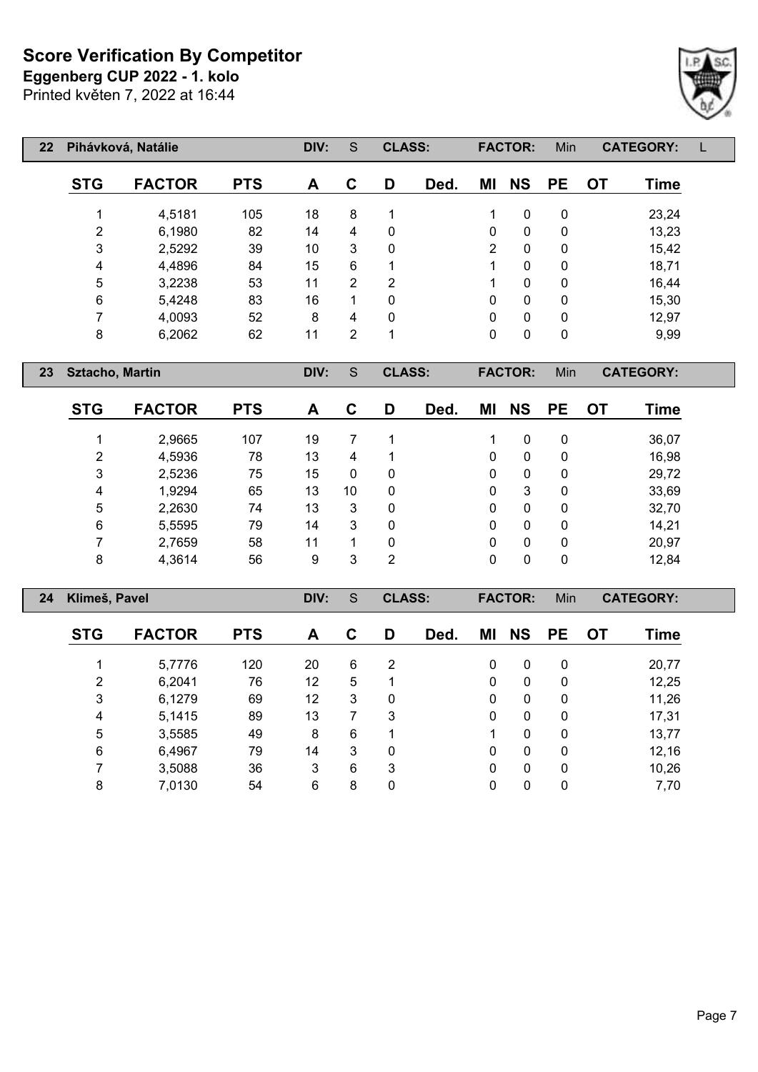**Eggenberg CUP 2022 - 1. kolo**

Printed květen 7, 2022 at 16:44

| $22 \overline{ }$ |            | Pihávková, Natálie |            | DIV: | S              | <b>CLASS:</b> |      |          | <b>FACTOR:</b> | Min       |    | <b>CATEGORY:</b> |  |
|-------------------|------------|--------------------|------------|------|----------------|---------------|------|----------|----------------|-----------|----|------------------|--|
|                   | <b>STG</b> | <b>FACTOR</b>      | <b>PTS</b> | A    | C              | D             | Ded. | ΜI       | <b>NS</b>      | <b>PE</b> | OT | <b>Time</b>      |  |
|                   |            | 4,5181             | 105        | 18   | 8              |               |      |          | 0              | 0         |    | 23,24            |  |
|                   | 2          | 6,1980             | 82         | 14   | 4              | 0             |      | 0        | 0              | 0         |    | 13,23            |  |
|                   | 3          | 2,5292             | 39         | 10   | 3              | 0             |      | 2        | $\mathbf{0}$   | 0         |    | 15,42            |  |
|                   | 4          | 4,4896             | 84         | 15   | 6              | 1             |      |          | 0              | 0         |    | 18,71            |  |
|                   | 5          | 3,2238             | 53         | 11   | $\overline{2}$ | 2             |      |          | 0              | 0         |    | 16,44            |  |
|                   | 6          | 5,4248             | 83         | 16   | 1              | $\mathbf{0}$  |      | $\Omega$ | 0              | 0         |    | 15,30            |  |
|                   | 7          | 4,0093             | 52         | 8    | 4              | 0             |      | 0        | 0              | 0         |    | 12,97            |  |
|                   | 8          | 6,2062             | 62         | 11   | 2              | 1             |      | 0        | 0              | 0         |    | 9,99             |  |

**Sztacho, Martin DIV:** S **CLASS: FACTOR:** Min **CATEGORY:**

| <b>STG</b> | <b>FACTOR</b> | <b>PTS</b> | A  | С  | D | Ded. | ΜI | <b>NS</b> | <b>PE</b> | OT | <b>Time</b> |
|------------|---------------|------------|----|----|---|------|----|-----------|-----------|----|-------------|
|            | 2,9665        | 107        | 19 |    |   |      |    | 0         | 0         |    | 36,07       |
| 2          | 4,5936        | 78         | 13 | 4  |   |      | 0  | 0         | 0         |    | 16,98       |
| 3          | 2,5236        | 75         | 15 | 0  | 0 |      | 0  | 0         | 0         |    | 29,72       |
| 4          | 1,9294        | 65         | 13 | 10 | 0 |      | 0  | 3         | 0         |    | 33,69       |
| 5          | 2,2630        | 74         | 13 | 3  | 0 |      | 0  | 0         | 0         |    | 32,70       |
| 6          | 5,5595        | 79         | 14 | 3  | 0 |      | 0  | 0         | 0         |    | 14,21       |
| 7          | 2,7659        | 58         | 11 |    | 0 |      | 0  | 0         | 0         |    | 20,97       |
| 8          | 4,3614        | 56         | 9  | 3  | 2 |      | 0  | 0         | 0         |    | 12,84       |

| 24 | Klimeš, Pavel |               |            | DIV: | S | <b>CLASS:</b>  |      |          | <b>FACTOR:</b> | <b>Min</b>  |    | <b>CATEGORY:</b> |  |
|----|---------------|---------------|------------|------|---|----------------|------|----------|----------------|-------------|----|------------------|--|
|    | <b>STG</b>    | <b>FACTOR</b> | <b>PTS</b> | A    | С | D              | Ded. | ΜI       | <b>NS</b>      | <b>PE</b>   | 0T | Time             |  |
|    |               | 5,7776        | 120        | 20   | 6 | $\overline{2}$ |      | 0        | $\mathbf{0}$   | 0           |    | 20,77            |  |
|    | 2             | 6,2041        | 76         | 12   | 5 |                |      | $\Omega$ | $\mathbf{0}$   | $\mathbf 0$ |    | 12,25            |  |
|    | 3             | 6,1279        | 69         | 12   | 3 | 0              |      | $\Omega$ | $\mathbf{0}$   | $\mathbf 0$ |    | 11,26            |  |
|    | 4             | 5,1415        | 89         | 13   | 7 | 3              |      | $\Omega$ | $\mathbf{0}$   | 0           |    | 17,31            |  |
|    | 5             | 3,5585        | 49         | 8    | 6 |                |      |          | 0              | 0           |    | 13,77            |  |
|    | 6             | 6,4967        | 79         | 14   | 3 | 0              |      | 0        | 0              | 0           |    | 12,16            |  |
|    |               | 3,5088        | 36         | 3    | 6 | 3              |      | $\Omega$ | 0              | 0           |    | 10,26            |  |
|    | 8             | 7,0130        | 54         | 6    | 8 | 0              |      | 0        | 0              | 0           |    | 7,70             |  |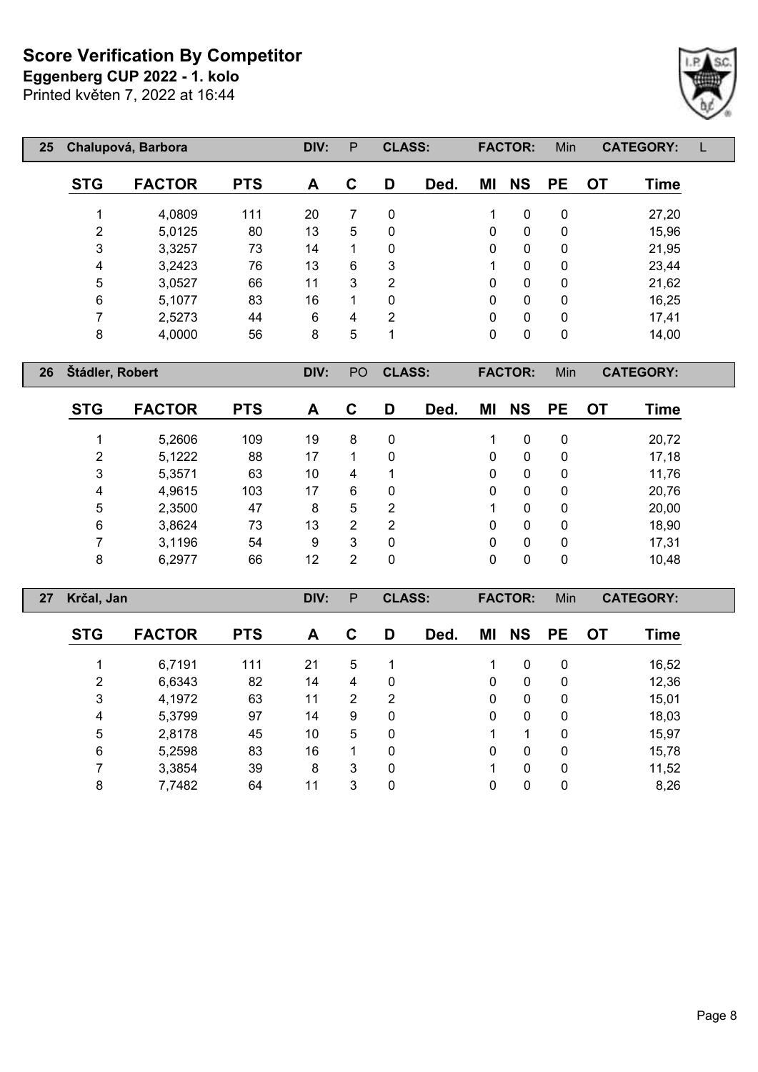Printed květen 7, 2022 at 16:44 **Eggenberg CUP 2022 - 1. kolo**



| 25 |                | Chalupová, Barbora |            | DIV: | P | <b>CLASS:</b> |      |    | <b>FACTOR:</b> | Min         |           | <b>CATEGORY:</b> |  |
|----|----------------|--------------------|------------|------|---|---------------|------|----|----------------|-------------|-----------|------------------|--|
|    | <b>STG</b>     | <b>FACTOR</b>      | <b>PTS</b> | A    | C | D             | Ded. | ΜI | <b>NS</b>      | <b>PE</b>   | <b>OT</b> | Time             |  |
|    | 4              | 4,0809             | 111        | 20   | 7 | $\Omega$      |      |    | 0              | $\mathbf 0$ |           | 27,20            |  |
|    | $\overline{2}$ | 5,0125             | 80         | 13   | 5 | 0             |      | 0  | 0              | 0           |           | 15,96            |  |
|    | 3              | 3,3257             | 73         | 14   | 1 | $\mathbf{0}$  |      | 0  | 0              | $\mathbf 0$ |           | 21,95            |  |
|    | 4              | 3,2423             | 76         | 13   | 6 | 3             |      | 1  | 0              | $\mathbf 0$ |           | 23,44            |  |
|    | 5              | 3,0527             | 66         | 11   | 3 | 2             |      | 0  | 0              | $\mathbf 0$ |           | 21,62            |  |
|    | $\,6$          | 5,1077             | 83         | 16   | 1 | 0             |      | 0  | 0              | $\mathbf 0$ |           | 16,25            |  |
|    | 7              | 2,5273             | 44         | 6    | 4 | 2             |      | 0  | 0              | $\mathbf 0$ |           | 17,41            |  |
|    | 8              | 4,0000             | 56         | 8    | 5 | 1             |      | 0  | 0              | $\mathbf 0$ |           | 14,00            |  |
|    |                |                    |            |      |   |               |      |    |                |             |           |                  |  |

**Štádler, Robert DIV:** PO **CLASS: FACTOR:** Min **CATEGORY:**

| <b>STG</b> | <b>FACTOR</b> | <b>PTS</b> | A  | С | D | Ded. | ΜI | <b>NS</b> | <b>PE</b> | OT. | Time  |
|------------|---------------|------------|----|---|---|------|----|-----------|-----------|-----|-------|
|            | 5,2606        | 109        | 19 | 8 | 0 |      |    | 0         | 0         |     | 20,72 |
| 2          | 5,1222        | 88         | 17 | 1 | 0 |      | 0  | 0         | 0         |     | 17,18 |
| 3          | 5,3571        | 63         | 10 | 4 |   |      | 0  | 0         | 0         |     | 11,76 |
| 4          | 4,9615        | 103        | 17 | 6 | 0 |      | 0  | 0         | 0         |     | 20,76 |
| 5          | 2,3500        | 47         | 8  | 5 | 2 |      |    | 0         | 0         |     | 20,00 |
| 6          | 3,8624        | 73         | 13 | 2 | 2 |      | 0  | 0         | 0         |     | 18,90 |
| 7          | 3,1196        | 54         | 9  | 3 | 0 |      | 0  | 0         | 0         |     | 17,31 |
| 8          | 6,2977        | 66         | 12 | 2 | 0 |      | 0  | 0         | 0         |     | 10,48 |

| 27 | Krčal, Jan     |               |            | DIV: | P              | <b>CLASS:</b> |      |              | <b>FACTOR:</b> | Min          |           | <b>CATEGORY:</b> |  |
|----|----------------|---------------|------------|------|----------------|---------------|------|--------------|----------------|--------------|-----------|------------------|--|
|    | <b>STG</b>     | <b>FACTOR</b> | <b>PTS</b> | A    | C              | D             | Ded. | ΜI           | <b>NS</b>      | <b>PE</b>    | <b>OT</b> | Time             |  |
|    |                | 6,7191        | 111        | 21   | 5              |               |      |              | 0              | $\mathbf{0}$ |           | 16,52            |  |
|    | $\overline{2}$ | 6,6343        | 82         | 14   | 4              | 0             |      | $\mathbf{0}$ | $\mathbf{0}$   | $\mathbf{0}$ |           | 12,36            |  |
|    | 3              | 4,1972        | 63         | 11   | $\overline{2}$ | 2             |      | $\Omega$     | $\mathbf{0}$   | $\mathbf{0}$ |           | 15,01            |  |
|    | 4              | 5,3799        | 97         | 14   | 9              | 0             |      | $\Omega$     | $\mathbf{0}$   | 0            |           | 18,03            |  |
|    | 5              | 2,8178        | 45         | 10   | 5              | 0             |      |              |                | 0            |           | 15,97            |  |
|    | 6              | 5,2598        | 83         | 16   |                | 0             |      | 0            | $\mathbf{0}$   | $\mathbf{0}$ |           | 15,78            |  |
|    |                | 3,3854        | 39         | 8    | 3              | 0             |      |              | $\Omega$       | $\mathbf{0}$ |           | 11,52            |  |
|    | 8              | 7,7482        | 64         | 11   | 3              | 0             |      | 0            | 0              | 0            |           | 8,26             |  |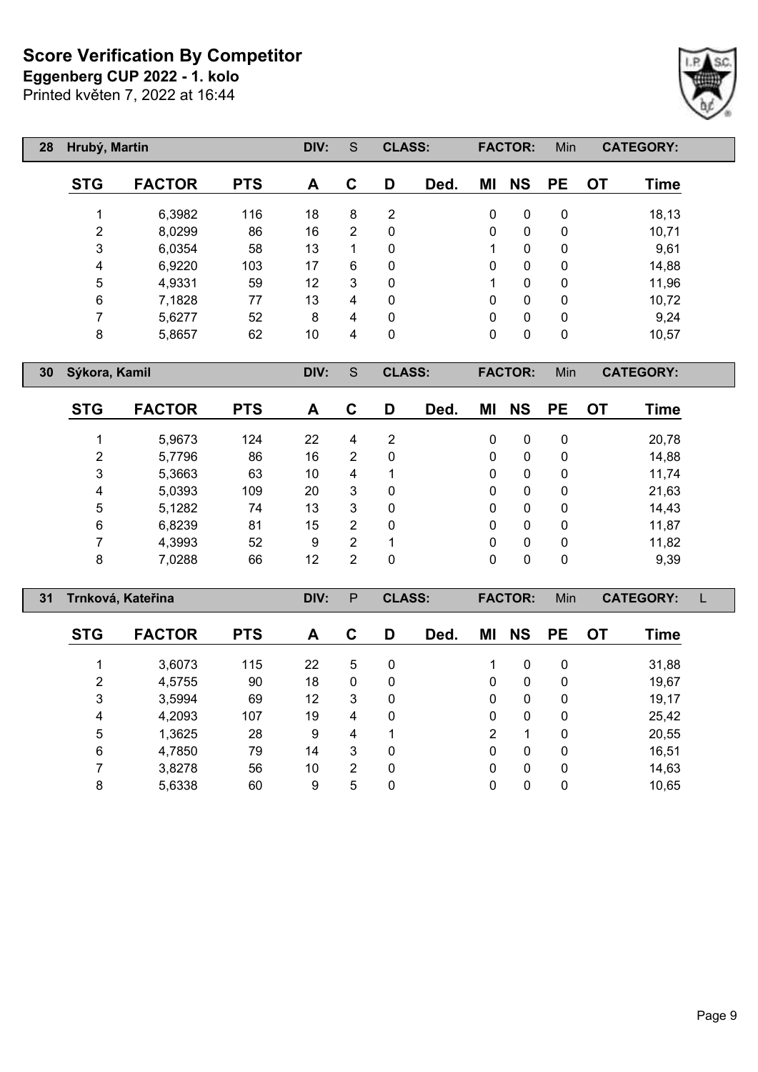**Eggenberg CUP 2022 - 1. kolo**

Printed květen 7, 2022 at 16:44



| 28 | Hrubý, Martin |               |            | DIV: | S              | <b>CLASS:</b> |      |             | <b>FACTOR:</b> | Min          |           | <b>CATEGORY:</b> |  |
|----|---------------|---------------|------------|------|----------------|---------------|------|-------------|----------------|--------------|-----------|------------------|--|
|    | <b>STG</b>    | <b>FACTOR</b> | <b>PTS</b> | A    | C              | D             | Ded. | ΜI          | <b>NS</b>      | <b>PE</b>    | <b>OT</b> | <b>Time</b>      |  |
|    |               | 6,3982        | 116        | 18   | 8              | 2             |      | 0           | $\mathbf{0}$   | 0            |           | 18,13            |  |
|    | 2             | 8,0299        | 86         | 16   | $\overline{2}$ | 0             |      | 0           | $\mathbf{0}$   | 0            |           | 10,71            |  |
|    | 3             | 6,0354        | 58         | 13   |                | 0             |      | $\mathbf 1$ | $\mathbf{0}$   | 0            |           | 9,61             |  |
|    | 4             | 6,9220        | 103        | 17   | 6              | 0             |      | 0           | $\mathbf{0}$   | 0            |           | 14,88            |  |
|    | 5             | 4,9331        | 59         | 12   | 3              | 0             |      | 1           | $\mathbf{0}$   | $\mathbf{0}$ |           | 11,96            |  |
|    | 6             | 7,1828        | 77         | 13   | 4              | 0             |      | 0           | $\mathbf{0}$   | 0            |           | 10,72            |  |
|    | 7             | 5,6277        | 52         | 8    | 4              | 0             |      | 0           | $\mathbf{0}$   | 0            |           | 9,24             |  |
|    | 8             | 5,8657        | 62         | 10   | 4              | 0             |      | 0           | 0              | 0            |           | 10,57            |  |

**Sýkora, Kamil DIV:** S **CLASS: FACTOR:** Min **CATEGORY:**

 $\lceil$ 

| <b>STG</b> | <b>FACTOR</b> | <b>PTS</b> | A  | С | D            | Ded. | ΜI | <b>NS</b> | <b>PE</b>    | OT | Time  |
|------------|---------------|------------|----|---|--------------|------|----|-----------|--------------|----|-------|
| 1          | 5,9673        | 124        | 22 | 4 | 2            |      | 0  | 0         | $\mathbf{0}$ |    | 20,78 |
| 2          | 5,7796        | 86         | 16 | 2 | 0            |      | 0  | 0         | 0            |    | 14,88 |
| 3          | 5,3663        | 63         | 10 | 4 |              |      | 0  | 0         | $\mathbf{0}$ |    | 11,74 |
| 4          | 5,0393        | 109        | 20 | 3 | 0            |      | 0  | 0         | $\mathbf{0}$ |    | 21,63 |
| 5          | 5,1282        | 74         | 13 | 3 | $\mathbf{0}$ |      | 0  | 0         | $\mathbf{0}$ |    | 14,43 |
| 6          | 6,8239        | 81         | 15 | 2 | $\mathbf{0}$ |      | 0  | 0         | $\mathbf{0}$ |    | 11,87 |
| 7          | 4,3993        | 52         | 9  | 2 |              |      | 0  | 0         | $\mathbf{0}$ |    | 11,82 |
| 8          | 7,0288        | 66         | 12 | 2 | $\mathbf{0}$ |      | 0  | 0         | $\mathbf{0}$ |    | 9,39  |

| 31 |            | Trnková, Kateřina |            | DIV: | P              | <b>CLASS:</b> |      |              | <b>FACTOR:</b> | Min          |           | <b>CATEGORY:</b> |  |
|----|------------|-------------------|------------|------|----------------|---------------|------|--------------|----------------|--------------|-----------|------------------|--|
|    | <b>STG</b> | <b>FACTOR</b>     | <b>PTS</b> | A    | C              | D             | Ded. | ΜI           | <b>NS</b>      | <b>PE</b>    | <b>OT</b> | Time             |  |
|    |            | 3,6073            | 115        | 22   | 5              | 0             |      |              | 0              | 0            |           | 31,88            |  |
|    | 2          | 4,5755            | 90         | 18   | $\mathbf{0}$   | 0             |      | 0            | 0              | $\mathbf{0}$ |           | 19,67            |  |
|    | 3          | 3,5994            | 69         | 12   | 3              | 0             |      | $\mathbf{0}$ | $\mathbf 0$    | $\mathbf{0}$ |           | 19,17            |  |
|    | 4          | 4,2093            | 107        | 19   | 4              | 0             |      | 0            | 0              | 0            |           | 25,42            |  |
|    | 5          | 1,3625            | 28         | 9    | 4              | 4             |      | 2            |                | 0            |           | 20,55            |  |
|    | 6          | 4,7850            | 79         | 14   | 3              | 0             |      | 0            | 0              | $\mathbf{0}$ |           | 16,51            |  |
|    |            | 3,8278            | 56         | 10   | $\overline{2}$ | $\mathbf{0}$  |      | $\Omega$     | 0              | $\Omega$     |           | 14,63            |  |
|    | 8          | 5,6338            | 60         | 9    | 5              | 0             |      | 0            | 0              | 0            |           | 10,65            |  |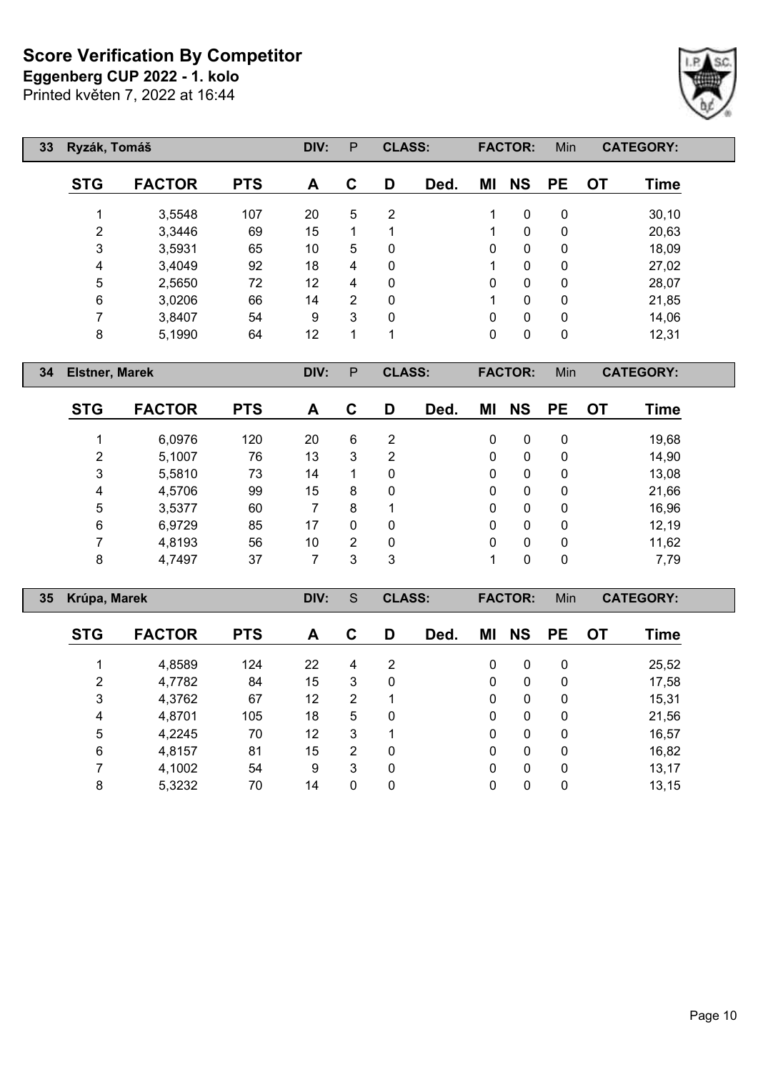**Eggenberg CUP 2022 - 1. kolo**

Printed květen 7, 2022 at 16:44

| 33 <sup>°</sup> | Ryzák, Tomáš |               |            | DIV: | P              | <b>CLASS:</b> |      |              | <b>FACTOR:</b> | Min       |    | <b>CATEGORY:</b> |  |
|-----------------|--------------|---------------|------------|------|----------------|---------------|------|--------------|----------------|-----------|----|------------------|--|
|                 | <b>STG</b>   | <b>FACTOR</b> | <b>PTS</b> | A    | C              | D             | Ded. | ΜI           | <b>NS</b>      | <b>PE</b> | OT | <b>Time</b>      |  |
|                 | 4            | 3,5548        | 107        | 20   | 5              | 2             |      | 1            | $\mathbf{0}$   | 0         |    | 30,10            |  |
|                 | 2            | 3,3446        | 69         | 15   |                | 1             |      | 1            | $\mathbf{0}$   | 0         |    | 20,63            |  |
|                 | 3            | 3,5931        | 65         | 10   | 5              | 0             |      | 0            | $\mathbf{0}$   | 0         |    | 18,09            |  |
|                 | 4            | 3,4049        | 92         | 18   | 4              | 0             |      | 1            | $\mathbf{0}$   | 0         |    | 27,02            |  |
|                 | 5            | 2,5650        | 72         | 12   | 4              | 0             |      | $\mathbf{0}$ | $\mathbf{0}$   | 0         |    | 28,07            |  |
|                 | 6            | 3,0206        | 66         | 14   | $\overline{2}$ | 0             |      | 1            | $\mathbf{0}$   | 0         |    | 21,85            |  |
|                 | 7            | 3,8407        | 54         | 9    | 3              | 0             |      | 0            | $\mathbf{0}$   | 0         |    | 14,06            |  |
|                 | 8            | 5,1990        | 64         | 12   | 1              | 1             |      | 0            | 0              | 0         |    | 12,31            |  |

**Elstner, Marek DIV:** P **CLASS: FACTOR:** Min **CATEGORY:**

| <b>STG</b> | <b>FACTOR</b> | <b>PTS</b> | A  | C | D | Ded. | ΜI | <b>NS</b> | <b>PE</b> | <b>OT</b> | <b>Time</b> |
|------------|---------------|------------|----|---|---|------|----|-----------|-----------|-----------|-------------|
|            | 6,0976        | 120        | 20 | 6 | 2 |      | 0  | 0         | 0         |           | 19,68       |
| 2          | 5,1007        | 76         | 13 | 3 | 2 |      | 0  | 0         | 0         |           | 14,90       |
| 3          | 5,5810        | 73         | 14 |   | 0 |      | 0  | 0         | 0         |           | 13,08       |
| 4          | 4,5706        | 99         | 15 | 8 | 0 |      | 0  | 0         | 0         |           | 21,66       |
| 5          | 3,5377        | 60         |    | 8 | 1 |      | 0  | 0         | 0         |           | 16,96       |
| 6          | 6,9729        | 85         | 17 | 0 | 0 |      | 0  | 0         | 0         |           | 12,19       |
|            | 4,8193        | 56         | 10 | 2 | 0 |      | 0  | 0         | 0         |           | 11,62       |
| 8          | 4,7497        | 37         |    | 3 | 3 |      |    | 0         | 0         |           | 7,79        |

| 35 | Krúpa, Marek   |               |            | DIV: | S              | <b>CLASS:</b> |      |              | <b>FACTOR:</b> | Min          |           | <b>CATEGORY:</b> |  |
|----|----------------|---------------|------------|------|----------------|---------------|------|--------------|----------------|--------------|-----------|------------------|--|
|    | <b>STG</b>     | <b>FACTOR</b> | <b>PTS</b> | A    | C              | D             | Ded. | ΜI           | <b>NS</b>      | <b>PE</b>    | <b>OT</b> | Time             |  |
|    |                | 4,8589        | 124        | 22   | 4              | 2             |      | $\mathbf{0}$ | 0              | $\mathbf{0}$ |           | 25,52            |  |
|    | $\overline{2}$ | 4,7782        | 84         | 15   | 3              | 0             |      | $\mathbf{0}$ | $\mathbf{0}$   | $\mathbf{0}$ |           | 17,58            |  |
|    | 3              | 4,3762        | 67         | 12   | $\overline{2}$ |               |      | $\Omega$     | $\mathbf{0}$   | $\mathbf{0}$ |           | 15,31            |  |
|    | 4              | 4,8701        | 105        | 18   | 5              | 0             |      | $\Omega$     | $\mathbf{0}$   | 0            |           | 21,56            |  |
|    | 5              | 4,2245        | 70         | 12   | 3              |               |      | $\mathbf{0}$ | $\mathbf{0}$   | 0            |           | 16,57            |  |
|    | 6              | 4,8157        | 81         | 15   | $\overline{2}$ | 0             |      | 0            | $\mathbf{0}$   | $\mathbf{0}$ |           | 16,82            |  |
|    |                | 4,1002        | 54         | 9    | 3              | 0             |      | $\Omega$     | $\mathbf{0}$   | 0            |           | 13,17            |  |
|    | 8              | 5,3232        | 70         | 14   | 0              | 0             |      | 0            | 0              | 0            |           | 13,15            |  |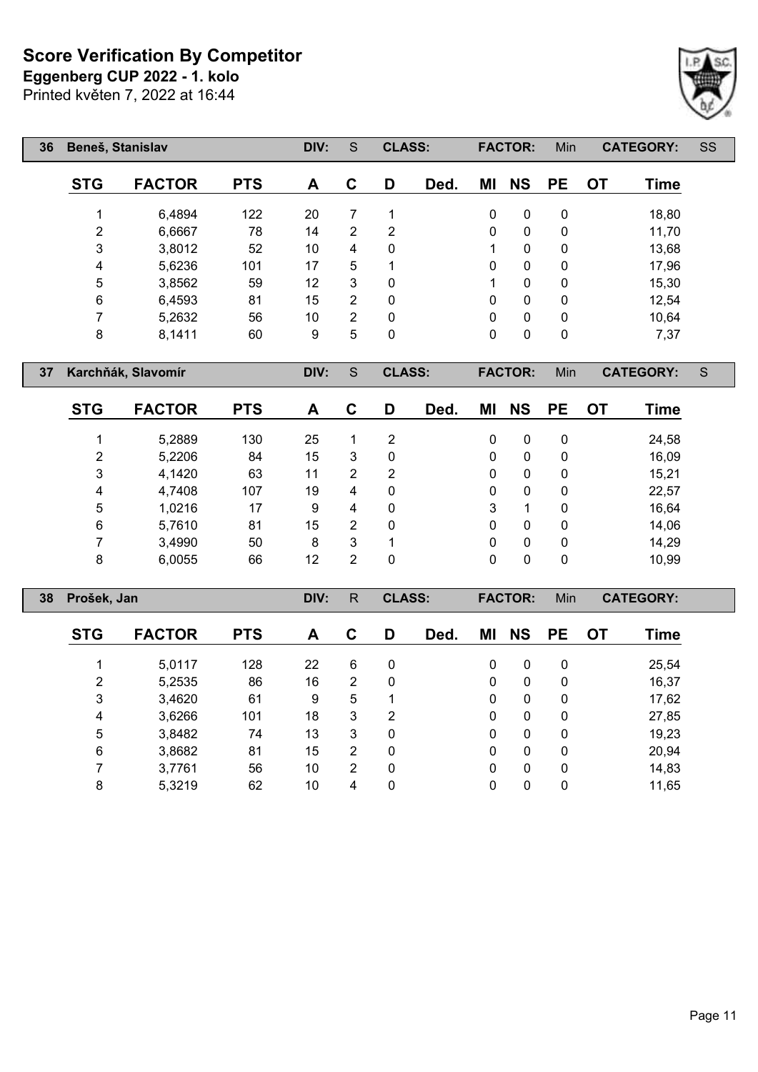Printed květen 7, 2022 at 16:44 **Eggenberg CUP 2022 - 1. kolo**



| 36 | Beneš, Stanislav |               |            | DIV: | S | <b>CLASS:</b> |      |              | <b>FACTOR:</b> | Min          |           | <b>CATEGORY:</b> | SS |
|----|------------------|---------------|------------|------|---|---------------|------|--------------|----------------|--------------|-----------|------------------|----|
|    | <b>STG</b>       | <b>FACTOR</b> | <b>PTS</b> | A    | C | D             | Ded. | ΜI           | <b>NS</b>      | <b>PE</b>    | <b>OT</b> | <b>Time</b>      |    |
|    |                  | 6,4894        | 122        | 20   | 7 |               |      | $\mathbf{0}$ | $\mathbf{0}$   | 0            |           | 18,80            |    |
|    | 2                | 6,6667        | 78         | 14   | 2 | 2             |      | $\mathbf{0}$ | $\mathbf{0}$   | $\mathbf{0}$ |           | 11,70            |    |
|    | 3                | 3,8012        | 52         | 10   | 4 | $\mathbf 0$   |      | 1            | $\mathbf{0}$   | 0            |           | 13,68            |    |
|    | 4                | 5,6236        | 101        | 17   | 5 |               |      | 0            | $\mathbf{0}$   | 0            |           | 17,96            |    |
|    | 5                | 3,8562        | 59         | 12   | 3 | $\mathbf{0}$  |      | 1            | $\mathbf{0}$   | $\mathbf{0}$ |           | 15,30            |    |
|    | 6                | 6,4593        | 81         | 15   | 2 | $\mathbf 0$   |      | 0            | $\mathbf{0}$   | $\mathbf{0}$ |           | 12,54            |    |
|    | 7                | 5,2632        | 56         | 10   | 2 | $\mathbf 0$   |      | 0            | $\mathbf{0}$   | $\mathbf{0}$ |           | 10,64            |    |
|    | 8                | 8,1411        | 60         | 9    | 5 | 0             |      | 0            | 0              | 0            |           | 7,37             |    |

**Karchňák, Slavomír DIV:** S **CLASS: FACTOR:** Min **CATEGORY:** S

| <b>STG</b> | <b>FACTOR</b> | <b>PTS</b> | A  | С | D | Ded. | ΜI | <b>NS</b> | <b>PE</b> | OT | Time  |
|------------|---------------|------------|----|---|---|------|----|-----------|-----------|----|-------|
|            | 5,2889        | 130        | 25 |   | 2 |      | 0  | 0         | 0         |    | 24,58 |
| 2          | 5,2206        | 84         | 15 | 3 | 0 |      | 0  | 0         | 0         |    | 16,09 |
| 3          | 4,1420        | 63         | 11 | 2 | 2 |      | 0  | 0         | 0         |    | 15,21 |
| 4          | 4,7408        | 107        | 19 | 4 | 0 |      | 0  | 0         | 0         |    | 22,57 |
| 5          | 1,0216        | 17         | 9  | 4 | 0 |      | 3  |           | 0         |    | 16,64 |
| 6          | 5,7610        | 81         | 15 | 2 | 0 |      | 0  | 0         | 0         |    | 14,06 |
| 7          | 3,4990        | 50         | 8  | 3 | 1 |      | 0  | 0         | 0         |    | 14,29 |
| 8          | 6,0055        | 66         | 12 | 2 | 0 |      | 0  | 0         | 0         |    | 10,99 |

| 38 | Prošek, Jan |               |            | DIV: | R              | <b>CLASS:</b> |      |    | <b>FACTOR:</b> | <b>Min</b> |           | <b>CATEGORY:</b> |  |
|----|-------------|---------------|------------|------|----------------|---------------|------|----|----------------|------------|-----------|------------------|--|
|    | <b>STG</b>  | <b>FACTOR</b> | <b>PTS</b> | A    | C              | D             | Ded. | ΜI | <b>NS</b>      | <b>PE</b>  | <b>OT</b> | Time             |  |
|    |             | 5,0117        | 128        | 22   | 6              | 0             |      | 0  | 0              | 0          |           | 25,54            |  |
|    | 2           | 5,2535        | 86         | 16   | $\overline{2}$ | 0             |      | 0  | $\mathbf{0}$   | 0          |           | 16,37            |  |
|    | 3           | 3,4620        | 61         | 9    | 5              | 1             |      | 0  | $\mathbf{0}$   | 0          |           | 17,62            |  |
|    | 4           | 3,6266        | 101        | 18   | 3              | 2             |      | 0  | 0              | 0          |           | 27,85            |  |
|    | 5           | 3,8482        | 74         | 13   | 3              | 0             |      | 0  | $\mathbf{0}$   | 0          |           | 19,23            |  |
|    | 6           | 3,8682        | 81         | 15   | $\overline{2}$ | 0             |      | 0  | 0              | 0          |           | 20,94            |  |
|    |             | 3,7761        | 56         | 10   | $\overline{2}$ | 0             |      | 0  | 0              | 0          |           | 14,83            |  |
|    | 8           | 5,3219        | 62         | 10   | 4              | 0             |      | 0  | 0              | 0          |           | 11,65            |  |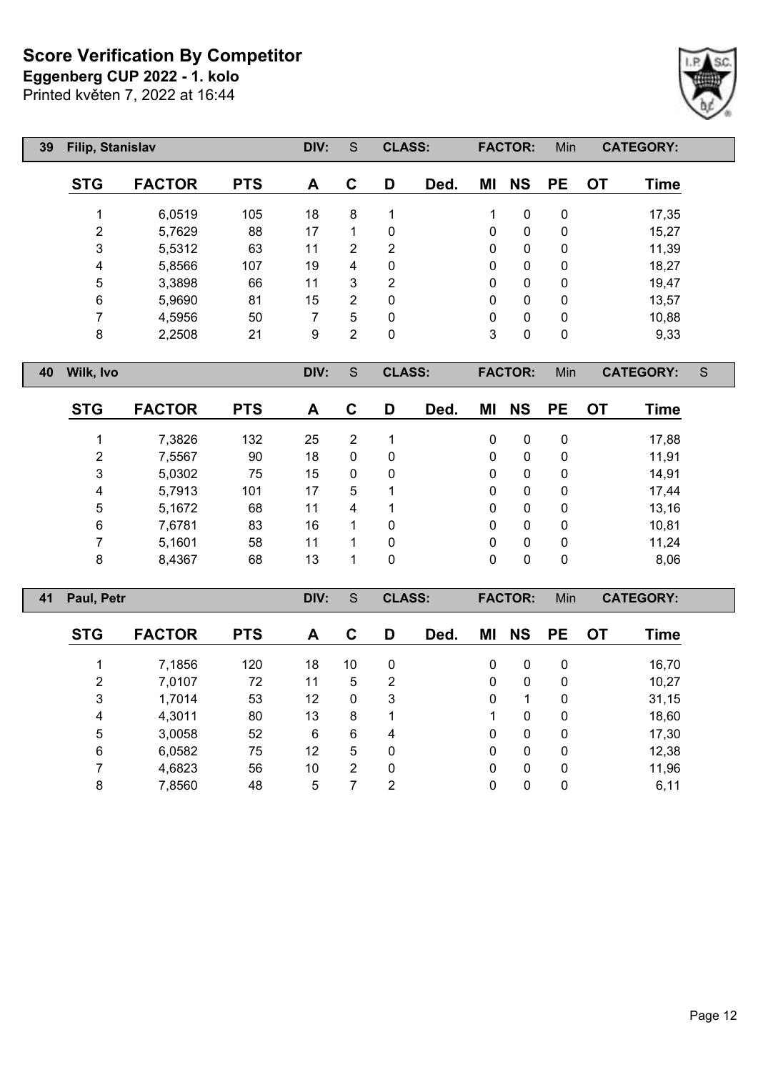**Eggenberg CUP 2022 - 1. kolo**

Printed květen 7, 2022 at 16:44

| 39 | Filip, Stanislav |               |            | DIV: | S              | <b>CLASS:</b>  |      |             | <b>FACTOR:</b> | Min         |           | <b>CATEGORY:</b> |   |
|----|------------------|---------------|------------|------|----------------|----------------|------|-------------|----------------|-------------|-----------|------------------|---|
|    | <b>STG</b>       | <b>FACTOR</b> | <b>PTS</b> | A    | C              | D              | Ded. | ΜI          | <b>NS</b>      | <b>PE</b>   | <b>OT</b> | <b>Time</b>      |   |
|    |                  | 6,0519        | 105        | 18   | 8              | 1              |      | 1           | $\mathbf 0$    | $\pmb{0}$   |           | 17,35            |   |
|    | $\overline{2}$   | 5,7629        | 88         | 17   |                | 0              |      | $\Omega$    | 0              | 0           |           | 15,27            |   |
|    | 3                | 5,5312        | 63         | 11   | 2              | $\overline{2}$ |      | $\Omega$    | 0              | 0           |           | 11,39            |   |
|    | $\overline{4}$   | 5,8566        | 107        | 19   | 4              | 0              |      | $\Omega$    | 0              | 0           |           | 18,27            |   |
|    | 5                | 3,3898        | 66         | 11   | 3              | $\overline{2}$ |      | $\Omega$    | $\mathbf{0}$   | $\Omega$    |           | 19,47            |   |
|    | 6                | 5,9690        | 81         | 15   | 2              | $\mathbf{0}$   |      | $\Omega$    | $\mathbf{0}$   | 0           |           | 13,57            |   |
|    | 7                | 4,5956        | 50         | 7    | 5              | $\mathbf{0}$   |      | 0           | $\mathbf{0}$   | 0           |           | 10,88            |   |
|    | 8                | 2,2508        | 21         | 9    | $\overline{2}$ | $\mathbf 0$    |      | 3           | $\mathbf 0$    | $\mathbf 0$ |           | 9,33             |   |
| 40 | Wilk, Ivo        |               |            | DIV: | S              | <b>CLASS:</b>  |      |             | <b>FACTOR:</b> | Min         |           | <b>CATEGORY:</b> | S |
|    | <b>STG</b>       | <b>FACTOR</b> | <b>PTS</b> | A    | $\mathbf c$    | D              | Ded. | ΜI          | <b>NS</b>      | <b>PE</b>   | <b>OT</b> | <b>Time</b>      |   |
|    |                  | 7,3826        | 132        | 25   | $\overline{2}$ | 1              |      | 0           | $\mathbf 0$    | $\mathbf 0$ |           | 17,88            |   |
|    | $\overline{2}$   | 7,5567        | 90         | 18   | 0              | 0              |      | $\mathbf 0$ | $\mathbf 0$    | 0           |           | 11,91            |   |
|    |                  |               |            |      |                |                |      |             |                |             |           |                  |   |

| 3 | 5,0302 | 75  | 15 | 0 |  |  | 14,91 |
|---|--------|-----|----|---|--|--|-------|
| 4 | 5,7913 | 101 | 17 | 5 |  |  | 17,44 |
| 5 | 5,1672 | 68  | 11 |   |  |  | 13,16 |
| 6 | 7,6781 | 83  | 16 |   |  |  | 10,81 |
|   | 5,1601 | 58  |    |   |  |  | 11,24 |
| 8 | 8,4367 | 68  | 13 |   |  |  | 8,06  |

| <b>CATEGORY:</b> |    | Min          | <b>FACTOR:</b> |              |      | <b>CLASS:</b> | S              | DIV: |            |               | Paul, Petr     | 41 |
|------------------|----|--------------|----------------|--------------|------|---------------|----------------|------|------------|---------------|----------------|----|
| Time             | OT | <b>PE</b>    | <b>NS</b>      | ΜI           | Ded. | D             | C              | A    | <b>PTS</b> | <b>FACTOR</b> | <b>STG</b>     |    |
| 16,70            |    | $\mathbf{0}$ | 0              | 0            |      | 0             | 10             | 18   | 120        | 7,1856        |                |    |
| 10,27            |    | $\mathbf{0}$ | 0              | 0            |      | 2             | 5              | 11   | 72         | 7,0107        | $\overline{2}$ |    |
| 31,15            |    | $\Omega$     |                | 0            |      | 3             | $\mathbf{0}$   | 12   | 53         | 1,7014        | 3              |    |
| 18,60            |    | $\Omega$     | $\Omega$       |              |      | 1             | 8              | 13   | 80         | 4,3011        | 4              |    |
| 17,30            |    | $\mathbf{0}$ | $\mathbf{0}$   | 0            |      | 4             | 6              | 6    | 52         | 3,0058        | 5              |    |
| 12,38            |    | $\mathbf{0}$ | $\mathbf{0}$   | $\mathbf{0}$ |      | 0             | 5              | 12   | 75         | 6,0582        | 6              |    |
| 11,96            |    | $\mathbf{0}$ | 0              | $\mathbf{0}$ |      | 0             | $\overline{2}$ | 10   | 56         | 4,6823        | 7              |    |
| 6,11             |    | 0            | 0              | 0            |      | 2             |                | 5    | 48         | 7,8560        | 8              |    |
|                  |    |              |                |              |      |               |                |      |            |               |                |    |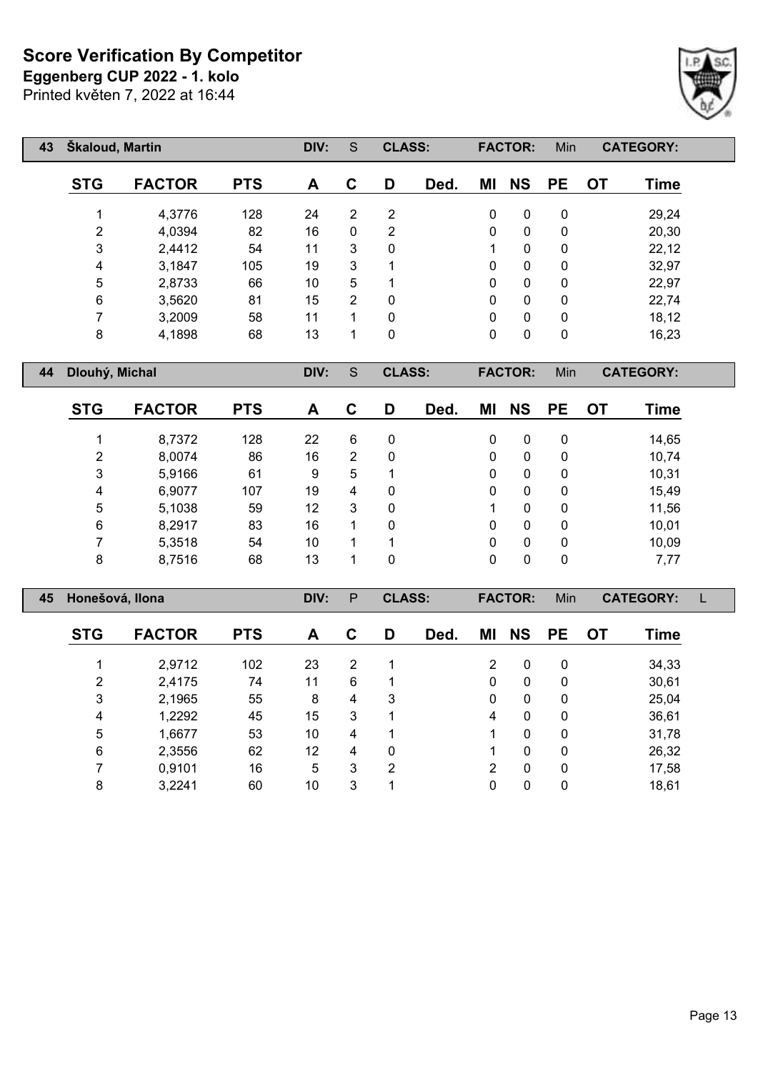Printed květen 7, 2022 at 16:44 **Eggenberg CUP 2022 - 1. kolo**

| 43 | <b>Skaloud, Martin</b> |               |            | DIV: | S              | <b>CLASS:</b> |      |    | <b>FACTOR:</b> | Min       |           | <b>CATEGORY:</b> |  |
|----|------------------------|---------------|------------|------|----------------|---------------|------|----|----------------|-----------|-----------|------------------|--|
|    | <b>STG</b>             | <b>FACTOR</b> | <b>PTS</b> | A    | C              | D             | Ded. | ΜI | <b>NS</b>      | <b>PE</b> | <b>OT</b> | <b>Time</b>      |  |
|    |                        | 4,3776        | 128        | 24   | $\overline{2}$ | 2             |      | 0  | $\mathbf{0}$   | 0         |           | 29,24            |  |
|    | 2                      | 4,0394        | 82         | 16   | $\mathbf{0}$   | 2             |      | 0  | $\mathbf{0}$   | 0         |           | 20,30            |  |
|    | 3                      | 2,4412        | 54         | 11   | 3              | $\mathbf{0}$  |      | 1  | 0              | 0         |           | 22,12            |  |
|    | 4                      | 3,1847        | 105        | 19   | 3              | 4             |      | 0  | $\mathbf{0}$   | 0         |           | 32,97            |  |
|    | 5                      | 2,8733        | 66         | 10   | 5              |               |      | 0  | $\mathbf{0}$   | 0         |           | 22,97            |  |
|    | 6                      | 3,5620        | 81         | 15   | $\overline{2}$ | 0             |      | 0  | $\mathbf{0}$   | 0         |           | 22,74            |  |
|    |                        | 3,2009        | 58         | 11   |                | $\mathbf{0}$  |      | 0  | $\mathbf{0}$   | 0         |           | 18,12            |  |
|    | 8                      | 4,1898        | 68         | 13   |                | 0             |      | 0  | $\mathbf 0$    | 0         |           | 16,23            |  |

**Dlouhý, Michal DIV:** S **CLASS: FACTOR:** Min **CATEGORY:**

| <b>STG</b> | <b>FACTOR</b> | <b>PTS</b> | A  | С | D           | Ded. | ΜI           | <b>NS</b> | <b>PE</b> | OT | Time  |
|------------|---------------|------------|----|---|-------------|------|--------------|-----------|-----------|----|-------|
|            | 8,7372        | 128        | 22 | 6 | 0           |      | 0            | 0         | 0         |    | 14,65 |
| 2          | 8,0074        | 86         | 16 | 2 | 0           |      | $\mathbf{0}$ | 0         | 0         |    | 10,74 |
| 3          | 5,9166        | 61         | 9  | 5 | 1           |      | 0            | 0         | 0         |    | 10,31 |
| 4          | 6,9077        | 107        | 19 | 4 | 0           |      | 0            | 0         | 0         |    | 15,49 |
| 5          | 5,1038        | 59         | 12 | 3 | $\mathbf 0$ |      |              | 0         | 0         |    | 11,56 |
| 6          | 8,2917        | 83         | 16 |   | 0           |      | 0            | 0         | 0         |    | 10,01 |
|            | 5,3518        | 54         | 10 | 1 | -1          |      | 0            | 0         | 0         |    | 10,09 |
| 8          | 8,7516        | 68         | 13 |   | 0           |      | 0            | 0         | 0         |    | 7,77  |

| 45 | Honešová, Ilona |               |            | DIV: | P              | <b>CLASS:</b> |      |                | <b>FACTOR:</b> | Min          |           | <b>CATEGORY:</b> |  |
|----|-----------------|---------------|------------|------|----------------|---------------|------|----------------|----------------|--------------|-----------|------------------|--|
|    | <b>STG</b>      | <b>FACTOR</b> | <b>PTS</b> | A    | C              | D             | Ded. | ΜI             | <b>NS</b>      | <b>PE</b>    | <b>OT</b> | Time             |  |
|    |                 | 2,9712        | 102        | 23   | $\overline{2}$ |               |      | 2              | 0              | $\mathbf{0}$ |           | 34,33            |  |
|    | $\overline{2}$  | 2,4175        | 74         | 11   | 6              | 1             |      | 0              | 0              | 0            |           | 30,61            |  |
|    | 3               | 2,1965        | 55         | 8    | 4              | 3             |      | $\mathbf{0}$   | 0              | $\mathbf{0}$ |           | 25,04            |  |
|    | 4               | 1,2292        | 45         | 15   | 3              | 1             |      | 4              | $\mathbf{0}$   | $\mathbf{0}$ |           | 36,61            |  |
|    | 5               | 1,6677        | 53         | 10   | 4              | 1             |      |                | 0              | $\mathbf{0}$ |           | 31,78            |  |
|    | 6               | 2,3556        | 62         | 12   | 4              | 0             |      |                | $\mathbf{0}$   | $\mathbf{0}$ |           | 26,32            |  |
|    | ⇁               | 0,9101        | 16         | 5    | 3              | 2             |      | $\overline{2}$ | 0              | 0            |           | 17,58            |  |
|    | 8               | 3,2241        | 60         | 10   | 3              |               |      | 0              | 0              | 0            |           | 18,61            |  |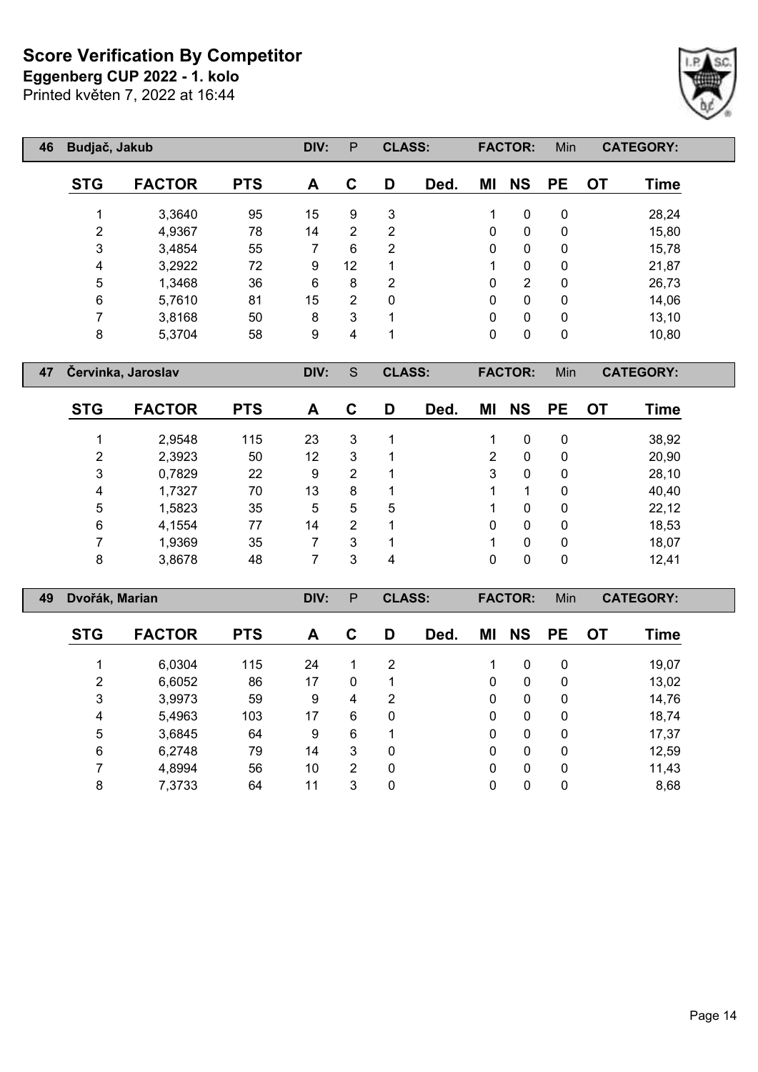**Eggenberg CUP 2022 - 1. kolo**

Printed květen 7, 2022 at 16:44

Г

| 46 | Budjač, Jakub |               |            | DIV: | P              | <b>CLASS:</b>  |      |    | <b>FACTOR:</b> | Min       |           | <b>CATEGORY:</b> |  |
|----|---------------|---------------|------------|------|----------------|----------------|------|----|----------------|-----------|-----------|------------------|--|
|    | <b>STG</b>    | <b>FACTOR</b> | <b>PTS</b> | A    | C              | D              | Ded. | ΜI | <b>NS</b>      | <b>PE</b> | <b>OT</b> | <b>Time</b>      |  |
|    |               | 3,3640        | 95         | 15   | 9              | 3              |      | 1  | $\mathbf{0}$   | 0         |           | 28,24            |  |
|    | 2             | 4,9367        | 78         | 14   | $\overline{2}$ | 2              |      | 0  | 0              | 0         |           | 15,80            |  |
|    | 3             | 3,4854        | 55         | 7    | 6              | 2              |      | 0  | 0              | 0         |           | 15,78            |  |
|    | 4             | 3,2922        | 72         | 9    | 12             | 1              |      | 1  | $\mathbf{0}$   | 0         |           | 21,87            |  |
|    | 5             | 1,3468        | 36         | 6    | 8              | $\overline{2}$ |      | 0  | $\overline{2}$ | 0         |           | 26,73            |  |
|    | 6             | 5,7610        | 81         | 15   | $\overline{2}$ | 0              |      | 0  | $\mathbf{0}$   | 0         |           | 14,06            |  |
|    | 7             | 3,8168        | 50         | 8    | 3              | 1              |      | 0  | $\mathbf{0}$   | 0         |           | 13,10            |  |
|    | 8             | 5,3704        | 58         | 9    | 4              | ◢              |      | 0  | 0              | 0         |           | 10,80            |  |

**Červinka, Jaroslav DIV:** S **CLASS: FACTOR:** Min **CATEGORY:**

| <b>STG</b> | <b>FACTOR</b> | <b>PTS</b> | A  | C | D | Ded. | ΜI | <b>NS</b> | <b>PE</b> | <b>OT</b> | Time  |
|------------|---------------|------------|----|---|---|------|----|-----------|-----------|-----------|-------|
|            | 2,9548        | 115        | 23 | 3 |   |      |    | 0         | 0         |           | 38,92 |
| 2          | 2,3923        | 50         | 12 | 3 |   |      | 2  | 0         | 0         |           | 20,90 |
| 3          | 0,7829        | 22         | 9  | 2 |   |      | 3  | 0         | 0         |           | 28,10 |
| 4          | 1,7327        | 70         | 13 | 8 |   |      |    |           | 0         |           | 40,40 |
| 5          | 1,5823        | 35         | 5  | 5 | 5 |      |    | 0         | 0         |           | 22,12 |
| 6          | 4,1554        | 77         | 14 | 2 |   |      | 0  | 0         | 0         |           | 18,53 |
|            | 1,9369        | 35         |    | 3 |   |      |    | 0         | 0         |           | 18,07 |
| 8          | 3,8678        | 48         |    | 3 | 4 |      | 0  | 0         | 0         |           | 12,41 |

| 49 | Dvořák, Marian |               |            | DIV: | P              | <b>CLASS:</b>  |      |          | <b>FACTOR:</b> | Min         |    | <b>CATEGORY:</b> |  |
|----|----------------|---------------|------------|------|----------------|----------------|------|----------|----------------|-------------|----|------------------|--|
|    | <b>STG</b>     | <b>FACTOR</b> | <b>PTS</b> | A    | C              | D              | Ded. | ΜI       | <b>NS</b>      | <b>PE</b>   | OТ | Time             |  |
|    |                | 6,0304        | 115        | 24   |                | $\overline{2}$ |      |          | 0              | 0           |    | 19,07            |  |
|    | $\overline{2}$ | 6,6052        | 86         | 17   | 0              |                |      | $\Omega$ | 0              | 0           |    | 13,02            |  |
|    | 3              | 3,9973        | 59         | 9    | 4              | 2              |      | $\Omega$ | $\mathbf{0}$   | $\mathbf 0$ |    | 14,76            |  |
|    | 4              | 5,4963        | 103        | 17   | 6              | 0              |      | 0        | 0              | 0           |    | 18,74            |  |
|    | 5              | 3,6845        | 64         | 9    | 6              |                |      | 0        | 0              | 0           |    | 17,37            |  |
|    | 6              | 6,2748        | 79         | 14   | 3              | 0              |      | 0        | 0              | 0           |    | 12,59            |  |
|    |                | 4,8994        | 56         | 10   | $\overline{2}$ | 0              |      | $\Omega$ | 0              | 0           |    | 11,43            |  |
|    | 8              | 7,3733        | 64         | 11   | 3              | 0              |      | 0        | 0              | 0           |    | 8,68             |  |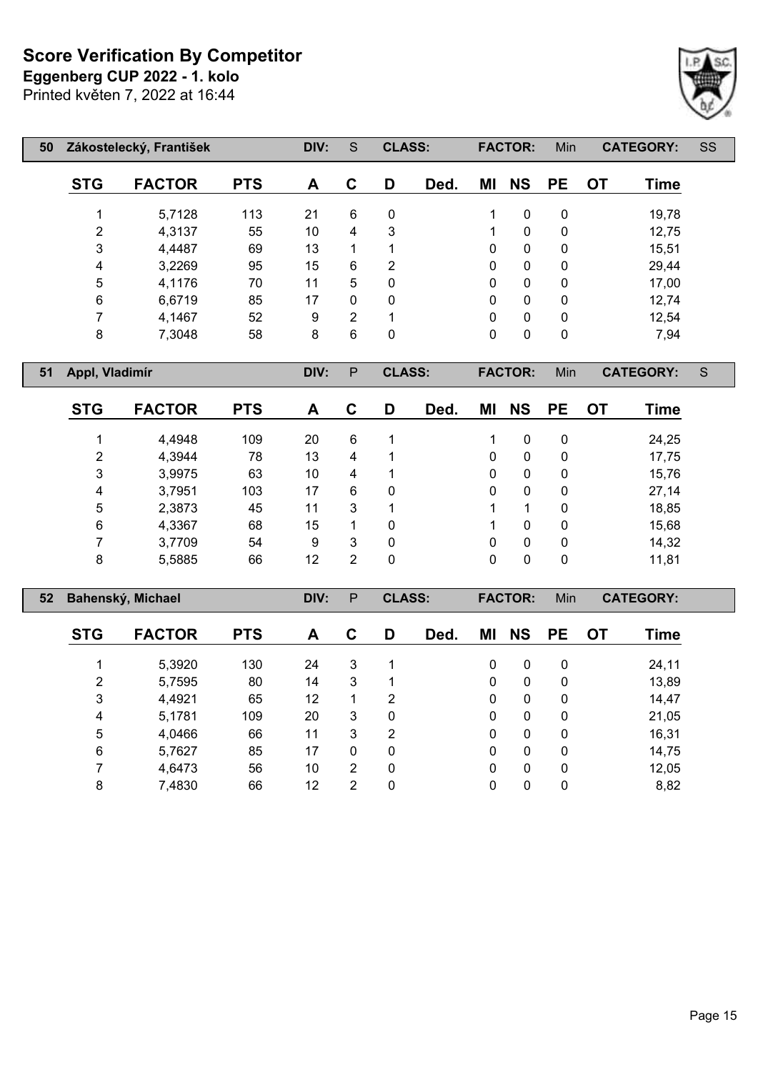**Eggenberg CUP 2022 - 1. kolo**

Printed květen 7, 2022 at 16:44



| 50 |            | Zákostelecký, František |            | DIV: | S           | <b>CLASS:</b> |      |              | <b>FACTOR:</b> | Min          |           | <b>CATEGORY:</b> | SS |
|----|------------|-------------------------|------------|------|-------------|---------------|------|--------------|----------------|--------------|-----------|------------------|----|
|    | <b>STG</b> | <b>FACTOR</b>           | <b>PTS</b> | A    | $\mathbf C$ | D             | Ded. | ΜI           | <b>NS</b>      | <b>PE</b>    | <b>OT</b> | Time             |    |
|    | 1          | 5,7128                  | 113        | 21   | 6           | $\mathbf{0}$  |      |              | $\mathbf{0}$   | 0            |           | 19,78            |    |
|    | 2          | 4,3137                  | 55         | 10   | 4           | 3             |      |              | $\mathbf{0}$   | $\mathbf{0}$ |           | 12,75            |    |
|    | 3          | 4,4487                  | 69         | 13   | 1           |               |      | $\mathbf{0}$ | $\mathbf{0}$   | $\mathbf{0}$ |           | 15,51            |    |
|    | 4          | 3,2269                  | 95         | 15   | 6           | 2             |      | $\mathbf{0}$ | $\mathbf{0}$   | $\mathbf{0}$ |           | 29,44            |    |
|    | 5          | 4,1176                  | 70         | 11   | 5           | $\mathbf{0}$  |      | $\mathbf{0}$ | $\mathbf{0}$   | $\mathbf{0}$ |           | 17,00            |    |
|    | $\,6$      | 6,6719                  | 85         | 17   | 0           | 0             |      | $\mathbf{0}$ | $\mathbf{0}$   | 0            |           | 12,74            |    |
|    | 7          | 4,1467                  | 52         | 9    | 2           | 1             |      | $\mathbf{0}$ | $\mathbf{0}$   | 0            |           | 12,54            |    |
|    | 8          | 7,3048                  | 58         | 8    | 6           | 0             |      | $\mathbf 0$  | 0              | 0            |           | 7,94             |    |

**Appl, Vladimír DIV:** P **CLASS: FACTOR:** Min **CATEGORY:** S

| <b>STG</b> | <b>FACTOR</b> | <b>PTS</b> | A  | С | D | Ded. | ΜI | <b>NS</b> | <b>PE</b> | OT | Time  |
|------------|---------------|------------|----|---|---|------|----|-----------|-----------|----|-------|
|            | 4,4948        | 109        | 20 | 6 | 1 |      |    | 0         | 0         |    | 24,25 |
| 2          | 4,3944        | 78         | 13 | 4 | 1 |      | 0  | 0         | 0         |    | 17,75 |
| 3          | 3,9975        | 63         | 10 | 4 | 1 |      | 0  | 0         | 0         |    | 15,76 |
| 4          | 3,7951        | 103        | 17 | 6 | 0 |      | 0  | 0         | 0         |    | 27,14 |
| 5          | 2,3873        | 45         | 11 | 3 | 1 |      |    |           | 0         |    | 18,85 |
| 6          | 4,3367        | 68         | 15 |   | 0 |      |    | 0         | 0         |    | 15,68 |
| 7          | 3,7709        | 54         | 9  | 3 | 0 |      | 0  | 0         | 0         |    | 14,32 |
| 8          | 5,5885        | 66         | 12 | 2 | 0 |      | 0  | 0         | 0         |    | 11,81 |

| 52 |                | Bahenský, Michael |            | DIV: | P              | <b>CLASS:</b> |      |          | <b>FACTOR:</b> | Min       |           | <b>CATEGORY:</b> |  |
|----|----------------|-------------------|------------|------|----------------|---------------|------|----------|----------------|-----------|-----------|------------------|--|
|    | <b>STG</b>     | <b>FACTOR</b>     | <b>PTS</b> | A    | C              | D             | Ded. | ΜI       | <b>NS</b>      | <b>PE</b> | <b>OT</b> | Time             |  |
|    |                | 5,3920            | 130        | 24   | 3              | 1             |      | 0        | $\mathbf 0$    | 0         |           | 24,11            |  |
|    | $\overline{2}$ | 5,7595            | 80         | 14   | 3              | 1             |      | 0        | $\mathbf 0$    | 0         |           | 13,89            |  |
|    | 3              | 4,4921            | 65         | 12   |                | 2             |      | 0        | $\mathbf{0}$   | 0         |           | 14,47            |  |
|    | 4              | 5,1781            | 109        | 20   | 3              | 0             |      | $\Omega$ | $\mathbf{0}$   | 0         |           | 21,05            |  |
|    | 5              | 4,0466            | 66         | 11   | 3              | 2             |      | 0        | 0              | 0         |           | 16,31            |  |
|    | 6              | 5,7627            | 85         | 17   | $\mathbf{0}$   | 0             |      | $\Omega$ | 0              | 0         |           | 14,75            |  |
|    | 7              | 4,6473            | 56         | 10   | $\overline{2}$ | 0             |      | 0        | 0              | 0         |           | 12,05            |  |
|    | 8              | 7,4830            | 66         | 12   | $\overline{2}$ | 0             |      | 0        | 0              | 0         |           | 8,82             |  |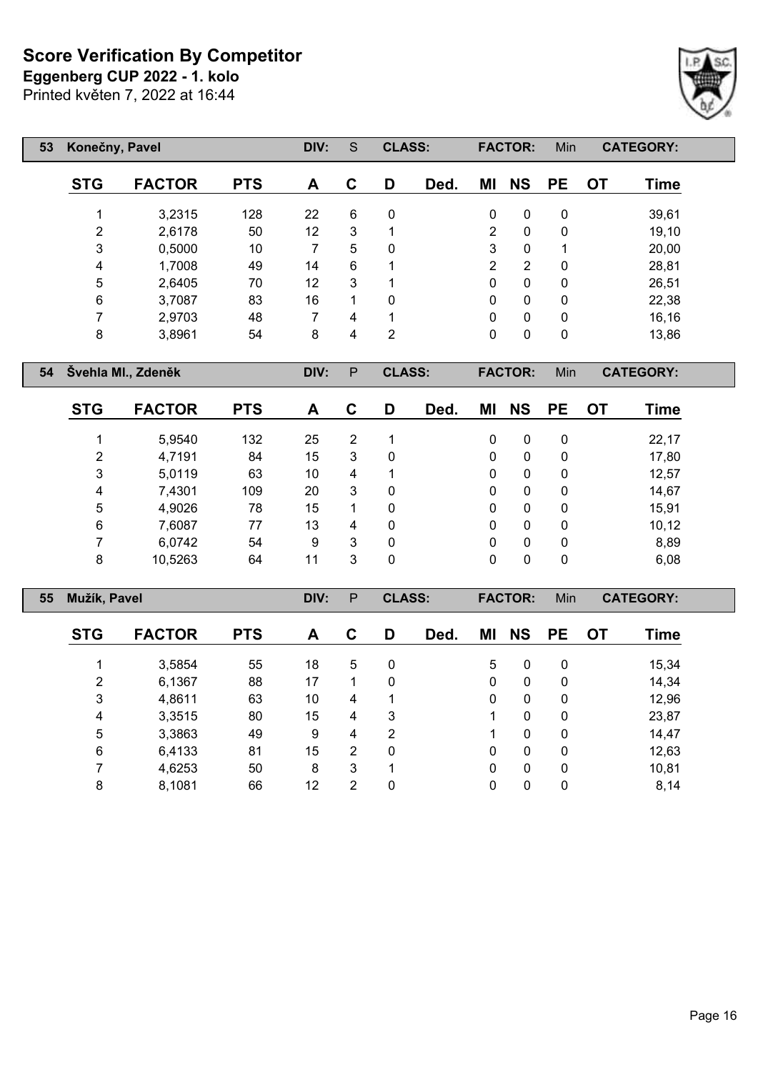**Eggenberg CUP 2022 - 1. kolo**

Printed květen 7, 2022 at 16:44

Г

| 53 | Konečny, Pavel |               |            | DIV: | S           | <b>CLASS:</b> |      |                | <b>FACTOR:</b> | Min       |           | <b>CATEGORY:</b> |
|----|----------------|---------------|------------|------|-------------|---------------|------|----------------|----------------|-----------|-----------|------------------|
|    | <b>STG</b>     | <b>FACTOR</b> | <b>PTS</b> | A    | $\mathbf C$ | D             | Ded. | ΜI             | <b>NS</b>      | <b>PE</b> | <b>OT</b> | Time             |
|    |                | 3,2315        | 128        | 22   | 6           | $\Omega$      |      | $\mathbf{0}$   | $\mathbf{0}$   | 0         |           | 39,61            |
|    | 2              | 2,6178        | 50         | 12   | 3           | 1             |      | $\overline{2}$ | 0              | 0         |           | 19,10            |
|    | 3              | 0,5000        | 10         | 7    | 5           | $\Omega$      |      | 3              | 0              | 1         |           | 20,00            |
|    | 4              | 1,7008        | 49         | 14   | 6           | 1             |      | $\overline{2}$ | 2              | 0         |           | 28,81            |
|    | 5              | 2,6405        | 70         | 12   | 3           | 1             |      | $\mathbf{0}$   | 0              | 0         |           | 26,51            |
|    | 6              | 3,7087        | 83         | 16   | 1           | $\mathbf{0}$  |      | 0              | 0              | 0         |           | 22,38            |
|    | ⇁              | 2,9703        | 48         | 7    | 4           | 1             |      | $\mathbf{0}$   | $\mathbf{0}$   | 0         |           | 16, 16           |
|    | 8              | 3,8961        | 54         | 8    | 4           | 2             |      | 0              | 0              | 0         |           | 13,86            |

**Švehla Ml., Zdeněk DIV:** P **CLASS: FACTOR:** Min **CATEGORY:**

| <b>STG</b> | <b>FACTOR</b> | <b>PTS</b> | A  | С | D | Ded. | ΜI | <b>NS</b>    | <b>PE</b>    | <b>OT</b> | Time   |
|------------|---------------|------------|----|---|---|------|----|--------------|--------------|-----------|--------|
|            | 5,9540        | 132        | 25 | 2 | 1 |      | 0  | 0            | 0            |           | 22,17  |
| 2          | 4,7191        | 84         | 15 | 3 | 0 |      | 0  | 0            | 0            |           | 17,80  |
| 3          | 5,0119        | 63         | 10 | 4 | 1 |      | 0  | 0            | 0            |           | 12,57  |
| 4          | 7,4301        | 109        | 20 | 3 | 0 |      | 0  | 0            | 0            |           | 14,67  |
| 5          | 4,9026        | 78         | 15 |   | 0 |      | 0  | 0            | $\mathbf{0}$ |           | 15,91  |
| 6          | 7,6087        | 77         | 13 | 4 | 0 |      | 0  | 0            | 0            |           | 10, 12 |
|            | 6,0742        | 54         | 9  | 3 | 0 |      | 0  | $\mathbf{0}$ | $\mathbf{0}$ |           | 8,89   |
| 8          | 10,5263       | 64         | 11 | 3 | 0 |      | 0  | 0            | 0            |           | 6,08   |

| 55 | Mužík, Pavel   |               |            | DIV: | P              | <b>CLASS:</b> |      |              | <b>FACTOR:</b> | Min          |           | <b>CATEGORY:</b> |  |
|----|----------------|---------------|------------|------|----------------|---------------|------|--------------|----------------|--------------|-----------|------------------|--|
|    | <b>STG</b>     | <b>FACTOR</b> | <b>PTS</b> | A    | C              | D             | Ded. | ΜI           | <b>NS</b>      | <b>PE</b>    | <b>OT</b> | Time             |  |
|    |                | 3,5854        | 55         | 18   | 5              | 0             |      | 5            | 0              | 0            |           | 15,34            |  |
|    | $\overline{2}$ | 6,1367        | 88         | 17   |                | 0             |      | 0            | 0              | $\mathbf{0}$ |           | 14,34            |  |
|    | 3              | 4,8611        | 63         | 10   | 4              |               |      | $\mathbf{0}$ | $\mathbf 0$    | $\mathbf{0}$ |           | 12,96            |  |
|    | 4              | 3,3515        | 80         | 15   | 4              | 3             |      |              | $\mathbf{0}$   | 0            |           | 23,87            |  |
|    | 5              | 3,3863        | 49         | 9    | 4              | 2             |      |              | 0              | 0            |           | 14,47            |  |
|    | 6              | 6,4133        | 81         | 15   | $\overline{2}$ | 0             |      | 0            | 0              | $\mathbf{0}$ |           | 12,63            |  |
|    | 7              | 4,6253        | 50         | 8    | 3              | 1             |      | 0            | 0              | 0            |           | 10,81            |  |
|    | 8              | 8,1081        | 66         | 12   | $\overline{2}$ | 0             |      | 0            | 0              | 0            |           | 8,14             |  |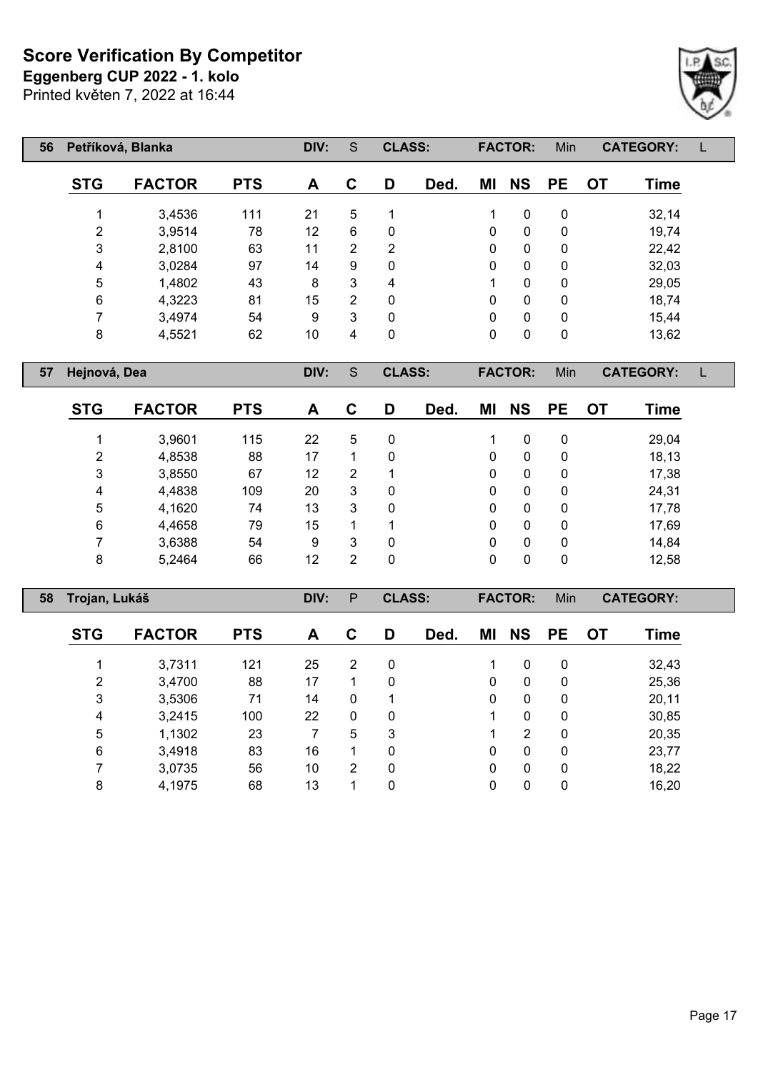**Eggenberg CUP 2022 - 1. kolo**

Printed květen 7, 2022 at 16:44



| 56 |                | Petříková, Blanka |            | DIV:              | S              | <b>CLASS:</b> |      |    | <b>FACTOR:</b> | Min         |           | <b>CATEGORY:</b> |  |
|----|----------------|-------------------|------------|-------------------|----------------|---------------|------|----|----------------|-------------|-----------|------------------|--|
|    | <b>STG</b>     | <b>FACTOR</b>     | <b>PTS</b> | A                 | C              | D             | Ded. | MI | <b>NS</b>      | <b>PE</b>   | <b>OT</b> | <b>Time</b>      |  |
|    |                | 3,4536            | 111        | 21                | 5              | 1             |      | 1  | 0              | 0           |           | 32,14            |  |
|    | $\overline{2}$ | 3,9514            | 78         | $12 \overline{ }$ | 6              | 0             |      | 0  | $\mathbf 0$    | 0           |           | 19,74            |  |
|    | 3              | 2,8100            | 63         | 11                | $\overline{2}$ | 2             |      | 0  | $\mathbf 0$    | 0           |           | 22,42            |  |
|    | 4              | 3,0284            | 97         | 14                | 9              | 0             |      | 0  | $\mathbf 0$    | 0           |           | 32,03            |  |
|    | 5              | 1,4802            | 43         | 8                 | 3              | 4             |      | 1  | 0              | 0           |           | 29,05            |  |
|    | 6              | 4,3223            | 81         | 15                | 2              | 0             |      | 0  | 0              | 0           |           | 18,74            |  |
|    | ⇁              | 3,4974            | 54         | 9                 | 3              | 0             |      | 0  | $\mathbf{0}$   | 0           |           | 15,44            |  |
|    | 8              | 4,5521            | 62         | 10                | 4              | $\mathbf 0$   |      | 0  | 0              | $\mathbf 0$ |           | 13,62            |  |
|    |                |                   |            |                   |                |               |      |    |                |             |           |                  |  |

**Hejnová, Dea DIV:** S **CLASS: FACTOR:** Min **CATEGORY:** L

| <b>STG</b> | <b>FACTOR</b> | <b>PTS</b> | A  | C | D | Ded. | ΜI | <b>NS</b>    | <b>PE</b> | OT | Time  |
|------------|---------------|------------|----|---|---|------|----|--------------|-----------|----|-------|
|            | 3,9601        | 115        | 22 | 5 | 0 |      |    | 0            | 0         |    | 29,04 |
| 2          | 4,8538        | 88         | 17 |   | 0 |      | 0  | 0            | 0         |    | 18,13 |
| 3          | 3,8550        | 67         | 12 | 2 | 1 |      | 0  | 0            | 0         |    | 17,38 |
| 4          | 4,4838        | 109        | 20 | 3 | 0 |      | 0  | 0            | 0         |    | 24,31 |
| 5          | 4,1620        | 74         | 13 | 3 | 0 |      | 0  | $\mathbf{0}$ | 0         |    | 17,78 |
| 6          | 4,4658        | 79         | 15 | 4 | 1 |      | 0  | $\mathbf{0}$ | 0         |    | 17,69 |
|            | 3,6388        | 54         | 9  | 3 | 0 |      | 0  | 0            | 0         |    | 14,84 |
| 8          | 5,2464        | 66         | 12 | 2 | 0 |      | 0  | 0            | 0         |    | 12,58 |

| 58 |            | Trojan, Lukáš |            |    | P              | <b>CLASS:</b> |      |              | <b>FACTOR:</b> | Min          |           | <b>CATEGORY:</b> |  |
|----|------------|---------------|------------|----|----------------|---------------|------|--------------|----------------|--------------|-----------|------------------|--|
|    | <b>STG</b> | <b>FACTOR</b> | <b>PTS</b> | A  | C              | D             | Ded. | ΜI           | <b>NS</b>      | <b>PE</b>    | <b>OT</b> | Time             |  |
|    |            | 3,7311        | 121        | 25 | $\overline{2}$ | 0             |      |              | $\mathbf{0}$   | 0            |           | 32,43            |  |
|    | 2          | 3,4700        | 88         | 17 |                | 0             |      | $\mathbf{0}$ | $\mathbf{0}$   | $\mathbf{0}$ |           | 25,36            |  |
|    | 3          | 3,5306        | 71         | 14 | $\mathbf{0}$   |               |      | $\Omega$     | $\mathbf{0}$   | $\mathbf{0}$ |           | 20,11            |  |
|    | 4          | 3,2415        | 100        | 22 | $\mathbf{0}$   | 0             |      |              | $\mathbf{0}$   | 0            |           | 30,85            |  |
|    | 5          | 1,1302        | 23         |    | 5              | 3             |      |              | 2              | $\mathbf{0}$ |           | 20,35            |  |
|    | 6          | 3,4918        | 83         | 16 |                | 0             |      | 0            | $\mathbf{0}$   | $\mathbf{0}$ |           | 23,77            |  |
|    | 7          | 3,0735        | 56         | 10 | 2              | 0             |      | $\mathbf{0}$ | $\mathbf{0}$   | $\mathbf{0}$ |           | 18,22            |  |
|    | 8          | 4,1975        | 68         | 13 |                | 0             |      | 0            | 0              | 0            |           | 16,20            |  |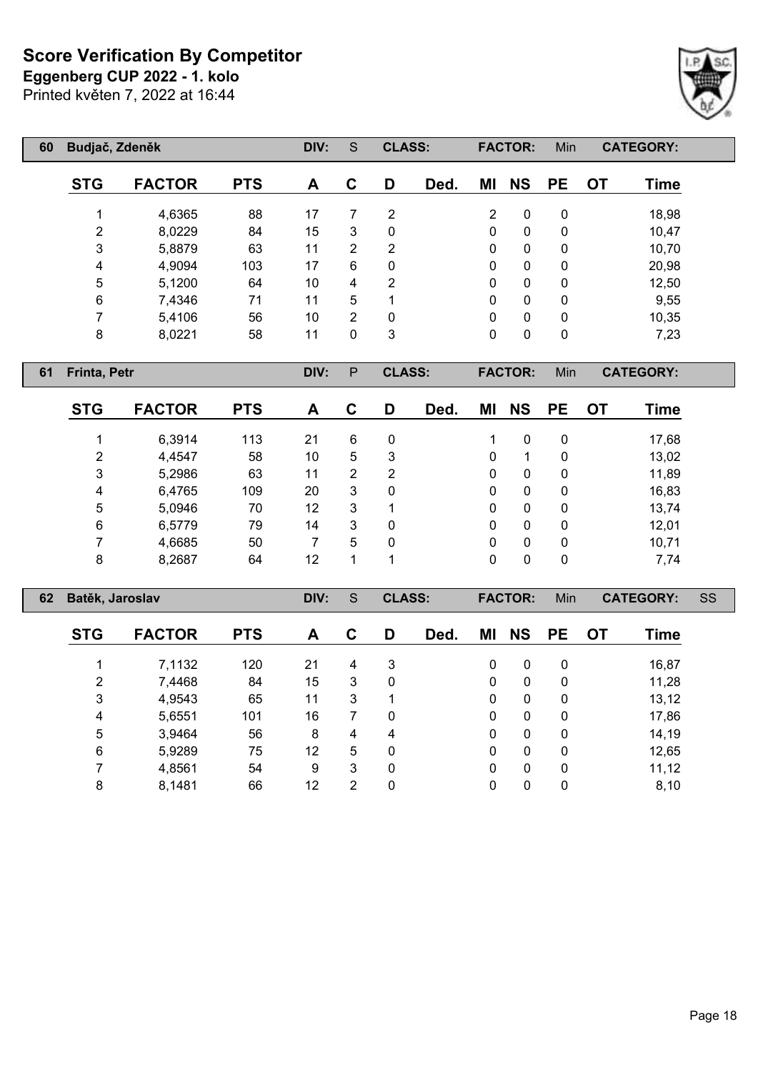**Eggenberg CUP 2022 - 1. kolo**

Printed květen 7, 2022 at 16:44



| 60         | Budjač, Zdeněk<br><b>FACTOR</b><br><b>PTS</b><br>4,6365<br>88<br>4<br>2<br>8,0229<br>84<br>3<br>5,8879<br>63<br>4<br>4,9094<br>103<br>5<br>5,1200<br>64<br>6<br>7,4346<br>71<br>$\overline{ }$ |    |    | S              | <b>CLASS:</b> |      |    | <b>FACTOR:</b> | Min       |           | <b>CATEGORY:</b> |
|------------|------------------------------------------------------------------------------------------------------------------------------------------------------------------------------------------------|----|----|----------------|---------------|------|----|----------------|-----------|-----------|------------------|
| <b>STG</b> |                                                                                                                                                                                                |    | A  | C              | D             | Ded. | ΜI | <b>NS</b>      | <b>PE</b> | <b>OT</b> | <b>Time</b>      |
|            |                                                                                                                                                                                                |    | 17 |                | 2             |      | 2  | 0              | 0         |           | 18,98            |
|            |                                                                                                                                                                                                |    | 15 | 3              | 0             |      | 0  | 0              | 0         |           | 10,47            |
|            |                                                                                                                                                                                                |    | 11 | $\overline{2}$ | 2             |      | 0  | 0              | 0         |           | 10,70            |
|            |                                                                                                                                                                                                |    | 17 | 6              | 0             |      | 0  | $\mathbf 0$    | 0         |           | 20,98            |
|            |                                                                                                                                                                                                |    | 10 | 4              | 2             |      | 0  | 0              | 0         |           | 12,50            |
|            |                                                                                                                                                                                                |    | 11 | 5              |               |      | 0  | 0              | 0         |           | 9,55             |
|            | 5,4106                                                                                                                                                                                         | 56 | 10 | $\overline{2}$ | 0             |      | 0  | $\mathbf 0$    | 0         |           | 10,35            |
| 8          | 8,0221                                                                                                                                                                                         | 58 | 11 | 0              | 3             |      | 0  | 0              | 0         |           | 7,23             |

**Frinta, Petr DIV:** P **CLASS: FACTOR:** Min **CATEGORY:**

| <b>STG</b> | <b>FACTOR</b> | <b>PTS</b> | A  | С | D | Ded. | ΜI           | <b>NS</b> | <b>PE</b>    | <b>OT</b> | Time  |
|------------|---------------|------------|----|---|---|------|--------------|-----------|--------------|-----------|-------|
|            | 6,3914        | 113        | 21 | 6 | 0 |      |              | 0         | 0            |           | 17,68 |
| 2          | 4,4547        | 58         | 10 | 5 | 3 |      | 0            |           | 0            |           | 13,02 |
| 3          | 5,2986        | 63         | 11 | 2 | 2 |      | 0            | 0         | 0            |           | 11,89 |
| 4          | 6,4765        | 109        | 20 | 3 | 0 |      | 0            | 0         | 0            |           | 16,83 |
| 5          | 5,0946        | 70         | 12 | 3 |   |      | $\mathbf{0}$ | 0         | $\mathbf{0}$ |           | 13,74 |
| 6          | 6,5779        | 79         | 14 | 3 | 0 |      | $\mathbf{0}$ | 0         | 0            |           | 12,01 |
|            | 4,6685        | 50         |    | 5 | 0 |      | 0            | 0         | 0            |           | 10,71 |
| 8          | 8,2687        | 64         | 12 |   |   |      | 0            | 0         | 0            |           | 7,74  |

| 62 |            | Batěk, Jaroslav |            |    | S | <b>CLASS:</b> |      |              | <b>FACTOR:</b> | Min       |           | <b>CATEGORY:</b> | SS |
|----|------------|-----------------|------------|----|---|---------------|------|--------------|----------------|-----------|-----------|------------------|----|
|    | <b>STG</b> | <b>FACTOR</b>   | <b>PTS</b> | A  | C | D             | Ded. | ΜI           | <b>NS</b>      | <b>PE</b> | <b>OT</b> | Time             |    |
|    |            | 7,1132          | 120        | 21 | 4 | 3             |      | $\mathbf{0}$ | 0              | 0         |           | 16,87            |    |
|    | 2          | 7,4468          | 84         | 15 | 3 | $\mathbf{0}$  |      | $\mathbf{0}$ | $\mathbf{0}$   | 0         |           | 11,28            |    |
|    | 3          | 4,9543          | 65         | 11 | 3 |               |      | $\mathbf{0}$ | 0              | 0         |           | 13,12            |    |
|    | 4          | 5,6551          | 101        | 16 | 7 | 0             |      | $\mathbf{0}$ | 0              | 0         |           | 17,86            |    |
|    | 5          | 3,9464          | 56         | 8  | 4 | 4             |      | 0            | 0              | 0         |           | 14,19            |    |
|    | 6          | 5,9289          | 75         | 12 | 5 | 0             |      | 0            | 0              | 0         |           | 12,65            |    |
|    |            | 4,8561          | 54         | 9  | 3 | $\mathbf{0}$  |      | 0            | 0              | 0         |           | 11,12            |    |
|    | 8          | 8,1481          | 66         | 12 | 2 | 0             |      | 0            | 0              | 0         |           | 8,10             |    |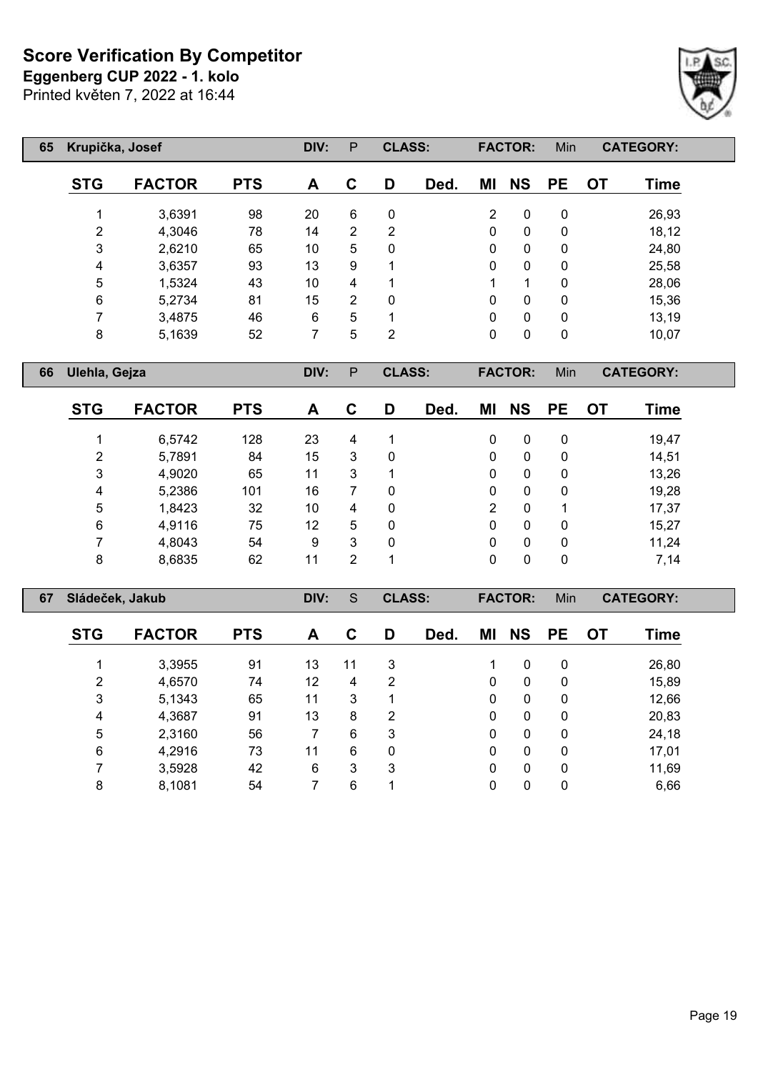**Eggenberg CUP 2022 - 1. kolo**

Printed květen 7, 2022 at 16:44

| 65 | Krupička, Josef |               |            | DIV: | P           | <b>CLASS:</b> |      |                | <b>FACTOR:</b> | Min       |    | <b>CATEGORY:</b> |  |
|----|-----------------|---------------|------------|------|-------------|---------------|------|----------------|----------------|-----------|----|------------------|--|
|    | <b>STG</b>      | <b>FACTOR</b> | <b>PTS</b> | A    | $\mathbf C$ | D             | Ded. | MI             | <b>NS</b>      | <b>PE</b> | 0T | Time             |  |
|    |                 | 3,6391        | 98         | 20   | 6           | 0             |      | $\overline{2}$ | 0              | 0         |    | 26,93            |  |
|    | 2               | 4,3046        | 78         | 14   | 2           | 2             |      | 0              | 0              | 0         |    | 18,12            |  |
|    | 3               | 2,6210        | 65         | 10   | 5           | $\mathbf{0}$  |      | $\mathbf{0}$   | 0              | 0         |    | 24,80            |  |
|    | 4               | 3,6357        | 93         | 13   | 9           |               |      | $\mathbf{0}$   | 0              | 0         |    | 25,58            |  |
|    | 5               | 1,5324        | 43         | 10   | 4           |               |      | 1              | 1              | 0         |    | 28,06            |  |
|    | 6               | 5,2734        | 81         | 15   | 2           | 0             |      | $\mathbf{0}$   | 0              | 0         |    | 15,36            |  |
|    |                 | 3,4875        | 46         | 6    | 5           | ◀             |      | $\mathbf{0}$   | 0              | 0         |    | 13,19            |  |
|    | 8               | 5,1639        | 52         | 7    | 5           | 2             |      | 0              | 0              | 0         |    | 10,07            |  |

**Ulehla, Gejza DIV:** P **CLASS: FACTOR:** Min **CATEGORY:**

 $\lceil$ 

| <b>STG</b> | <b>FACTOR</b> | <b>PTS</b> | A  | C | D           | Ded. | ΜI       | <b>NS</b> | <b>PE</b> | OT | Time  |
|------------|---------------|------------|----|---|-------------|------|----------|-----------|-----------|----|-------|
| 1          | 6,5742        | 128        | 23 | 4 | 1           |      | 0        | 0         | 0         |    | 19,47 |
| 2          | 5,7891        | 84         | 15 | 3 | 0           |      | 0        | 0         | 0         |    | 14,51 |
| 3          | 4,9020        | 65         | 11 | 3 | 1           |      | 0        | 0         | 0         |    | 13,26 |
| 4          | 5,2386        | 101        | 16 |   | 0           |      | 0        | 0         | 0         |    | 19,28 |
| 5          | 1,8423        | 32         | 10 | 4 | $\mathbf 0$ |      | 2        | 0         |           |    | 17,37 |
| 6          | 4,9116        | 75         | 12 | 5 | 0           |      | 0        | 0         | 0         |    | 15,27 |
|            | 4,8043        | 54         | 9  | 3 | 0           |      | 0        | 0         | 0         |    | 11,24 |
| 8          | 8,6835        | 62         | 11 | 2 | 1           |      | $\Omega$ | 0         | 0         |    | 7,14  |

| 67 | Sládeček, Jakub |               |            | DIV: | S  | <b>CLASS:</b> |      |          | <b>FACTOR:</b> | Min         |           | <b>CATEGORY:</b> |  |
|----|-----------------|---------------|------------|------|----|---------------|------|----------|----------------|-------------|-----------|------------------|--|
|    | <b>STG</b>      | <b>FACTOR</b> | <b>PTS</b> | A    | C  | D             | Ded. | ΜI       | <b>NS</b>      | <b>PE</b>   | <b>OT</b> | Time             |  |
|    |                 | 3,3955        | 91         | 13   | 11 | 3             |      |          | 0              | 0           |           | 26,80            |  |
|    | 2               | 4,6570        | 74         | 12   | 4  | 2             |      | 0        | 0              | 0           |           | 15,89            |  |
|    | 3               | 5,1343        | 65         | 11   | 3  | 1             |      | 0        | $\mathbf{0}$   | 0           |           | 12,66            |  |
|    | 4               | 4,3687        | 91         | 13   | 8  | 2             |      | 0        | 0              | 0           |           | 20,83            |  |
|    | 5               | 2,3160        | 56         |      | 6  | 3             |      | 0        | 0              | 0           |           | 24,18            |  |
|    | 6               | 4,2916        | 73         | 11   | 6  | 0             |      | $\Omega$ | $\mathbf{0}$   | $\mathbf 0$ |           | 17,01            |  |
|    | ⇁               | 3,5928        | 42         | 6    | 3  | 3             |      | 0        | 0              | 0           |           | 11,69            |  |
|    | 8               | 8,1081        | 54         |      | 6  |               |      | 0        | 0              | 0           |           | 6,66             |  |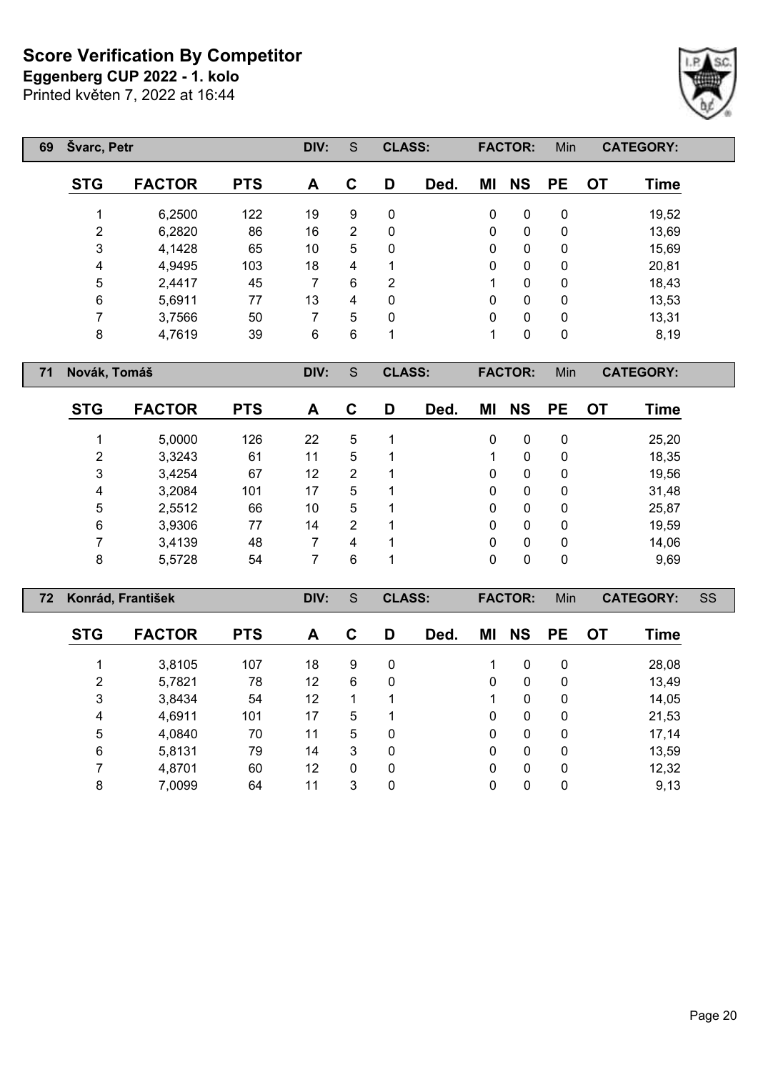**Eggenberg CUP 2022 - 1. kolo**

Printed květen 7, 2022 at 16:44

| 69 | Švarc, Petr    |               |            | DIV:           | S | <b>CLASS:</b>  |      |    | <b>FACTOR:</b> | Min          |           | <b>CATEGORY:</b> |
|----|----------------|---------------|------------|----------------|---|----------------|------|----|----------------|--------------|-----------|------------------|
|    | <b>STG</b>     | <b>FACTOR</b> | <b>PTS</b> | A              | C | D              | Ded. | ΜI | <b>NS</b>      | <b>PE</b>    | <b>OT</b> | <b>Time</b>      |
|    |                | 6,2500        | 122        | 19             | 9 | 0              |      | 0  | $\mathbf{0}$   | 0            |           | 19,52            |
|    | $\overline{2}$ | 6,2820        | 86         | 16             | 2 | 0              |      | 0  | $\mathbf{0}$   | 0            |           | 13,69            |
|    | 3              | 4,1428        | 65         | 10             | 5 | 0              |      | 0  | $\mathbf{0}$   | 0            |           | 15,69            |
|    | 4              | 4,9495        | 103        | 18             | 4 | 1              |      | 0  | $\mathbf{0}$   | $\mathbf{0}$ |           | 20,81            |
|    | 5              | 2,4417        | 45         | 7              | 6 | $\overline{2}$ |      | 1  | $\mathbf{0}$   | $\mathbf{0}$ |           | 18,43            |
|    | 6              | 5,6911        | 77         | 13             | 4 | 0              |      | 0  | $\mathbf{0}$   | 0            |           | 13,53            |
|    | 7              | 3,7566        | 50         |                | 5 | 0              |      | 0  | $\mathbf{0}$   | 0            |           | 13,31            |
|    | 8              | 4,7619        | 39         | $6\phantom{1}$ | 6 |                |      | 1  | 0              | 0            |           | 8,19             |

**Novák, Tomáš DIV:** S **CLASS: FACTOR:** Min **CATEGORY:**

| <b>STG</b> | <b>FACTOR</b> | <b>PTS</b> | A  | С | D | Ded. | ΜI | <b>NS</b> | <b>PE</b> | OT | Time  |
|------------|---------------|------------|----|---|---|------|----|-----------|-----------|----|-------|
|            | 5,0000        | 126        | 22 | 5 | 1 |      | 0  | 0         | 0         |    | 25,20 |
| 2          | 3,3243        | 61         | 11 | 5 |   |      |    | 0         | 0         |    | 18,35 |
| 3          | 3,4254        | 67         | 12 | 2 |   |      | 0  | 0         | 0         |    | 19,56 |
| 4          | 3,2084        | 101        | 17 | 5 |   |      | 0  | 0         | 0         |    | 31,48 |
| 5          | 2,5512        | 66         | 10 | 5 |   |      | 0  | 0         | 0         |    | 25,87 |
| 6          | 3,9306        | 77         | 14 | 2 |   |      | 0  | 0         | 0         |    | 19,59 |
|            | 3,4139        | 48         |    | 4 | 1 |      | 0  | 0         | 0         |    | 14,06 |
| 8          | 5,5728        | 54         |    | 6 |   |      | 0  | 0         | 0         |    | 9,69  |

| 72 |                | Konrád, František |            | DIV: | S | <b>CLASS:</b> |      |    | <b>FACTOR:</b> | Min       |           | <b>CATEGORY:</b> | SS |
|----|----------------|-------------------|------------|------|---|---------------|------|----|----------------|-----------|-----------|------------------|----|
|    | <b>STG</b>     | <b>FACTOR</b>     | <b>PTS</b> | A    | C | D             | Ded. | ΜI | <b>NS</b>      | <b>PE</b> | <b>OT</b> | <b>Time</b>      |    |
|    |                | 3,8105            | 107        | 18   | 9 | 0             |      | 1  | $\mathbf{0}$   | 0         |           | 28,08            |    |
|    | $\overline{2}$ | 5,7821            | 78         | 12   | 6 | 0             |      | 0  | 0              | 0         |           | 13,49            |    |
|    | 3              | 3,8434            | 54         | 12   | 1 | 1             |      | 1  | $\mathbf{0}$   | 0         |           | 14,05            |    |
|    | 4              | 4,6911            | 101        | 17   | 5 |               |      | 0  | 0              | 0         |           | 21,53            |    |
|    | 5              | 4,0840            | 70         | 11   | 5 | 0             |      | 0  | $\mathbf{0}$   | 0         |           | 17,14            |    |
|    | 6              | 5,8131            | 79         | 14   | 3 | 0             |      | 0  | $\mathbf{0}$   | 0         |           | 13,59            |    |
|    |                | 4,8701            | 60         | 12   | 0 | 0             |      | 0  | $\mathbf{0}$   | 0         |           | 12,32            |    |
|    | 8              | 7,0099            | 64         | 11   | 3 | 0             |      | 0  | 0              | 0         |           | 9,13             |    |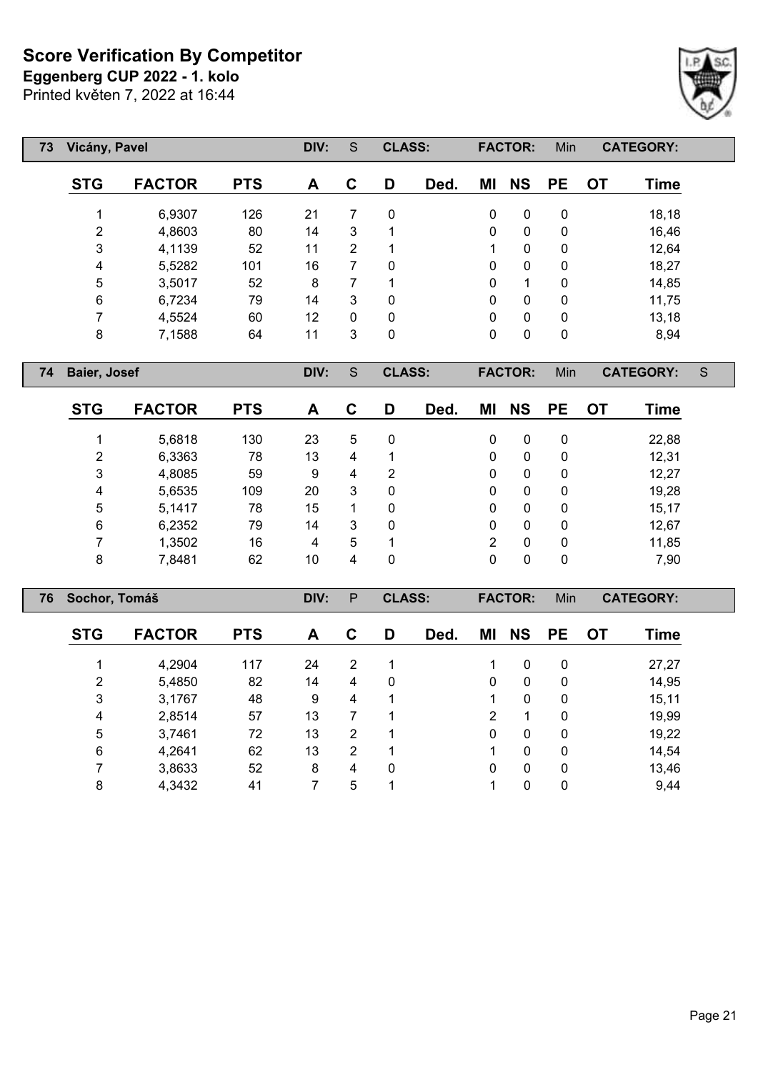**Eggenberg CUP 2022 - 1. kolo**

Printed květen 7, 2022 at 16:44

| 73 |            | Vicány, Pavel |            |    | S              | <b>CLASS:</b> |      |              | <b>FACTOR:</b> | Min       |    | <b>CATEGORY:</b> |
|----|------------|---------------|------------|----|----------------|---------------|------|--------------|----------------|-----------|----|------------------|
|    | <b>STG</b> | <b>FACTOR</b> | <b>PTS</b> | A  | $\mathbf C$    | D             | Ded. | MI           | <b>NS</b>      | <b>PE</b> | 0T | Time             |
|    | 1          | 6,9307        | 126        | 21 | 7              | $\mathbf{0}$  |      | 0            | 0              | 0         |    | 18,18            |
|    | 2          | 4,8603        | 80         | 14 | 3              |               |      | $\mathbf{0}$ | $\mathbf{0}$   | 0         |    | 16,46            |
|    | 3          | 4,1139        | 52         | 11 | $\overline{2}$ | и             |      | 1            | 0              | 0         |    | 12,64            |
|    | 4          | 5,5282        | 101        | 16 | 7              | $\mathbf{0}$  |      | $\mathbf{0}$ | 0              | 0         |    | 18,27            |
|    | 5          | 3,5017        | 52         | 8  | 7              | и             |      | 0            | 1              | 0         |    | 14,85            |
|    | 6          | 6,7234        | 79         | 14 | 3              | $\mathbf{0}$  |      | $\mathbf 0$  | $\mathbf{0}$   | 0         |    | 11,75            |
|    | 7          | 4,5524        | 60         | 12 | 0              | $\mathbf{0}$  |      | $\mathbf{0}$ | $\mathbf{0}$   | 0         |    | 13,18            |
|    | 8          | 7,1588        | 64         | 11 | 3              | 0             |      | $\mathbf 0$  | $\mathbf{0}$   | 0         |    | 8,94             |

**Baier, Josef DIV:** S **CLASS: FACTOR:** Min **CATEGORY:** S

Г

| <b>STG</b> | <b>FACTOR</b> | <b>PTS</b> | A  | С | D | Ded. | ΜI | <b>NS</b>    | <b>PE</b>   | OТ | Time  |
|------------|---------------|------------|----|---|---|------|----|--------------|-------------|----|-------|
|            | 5,6818        | 130        | 23 | 5 | 0 |      | 0  | 0            | 0           |    | 22,88 |
| 2          | 6,3363        | 78         | 13 | 4 | 1 |      | 0  | 0            | $\mathbf 0$ |    | 12,31 |
| 3          | 4,8085        | 59         | 9  | 4 | 2 |      | 0  | 0            | 0           |    | 12,27 |
| 4          | 5,6535        | 109        | 20 | 3 | 0 |      | 0  | 0            | 0           |    | 19,28 |
| 5          | 5,1417        | 78         | 15 |   | 0 |      | 0  | $\mathbf{0}$ | $\mathbf 0$ |    | 15,17 |
| 6          | 6,2352        | 79         | 14 | 3 | 0 |      | 0  | 0            | 0           |    | 12,67 |
| ⇁          | 1,3502        | 16         | 4  | 5 | 1 |      | 2  | $\mathbf{0}$ | $\mathbf 0$ |    | 11,85 |
| 8          | 7,8481        | 62         | 10 | 4 | 0 |      | 0  | 0            | 0           |    | 7,90  |

| 76 | Sochor, Tomáš  |               |            | DIV: | P              | <b>CLASS:</b> |      |          | <b>FACTOR:</b> | Min         |    | <b>CATEGORY:</b> |  |
|----|----------------|---------------|------------|------|----------------|---------------|------|----------|----------------|-------------|----|------------------|--|
|    | <b>STG</b>     | <b>FACTOR</b> | <b>PTS</b> | A    | С              | D             | Ded. | ΜI       | <b>NS</b>      | <b>PE</b>   | OТ | Time             |  |
|    |                | 4,2904        | 117        | 24   | $\overline{2}$ |               |      |          | 0              | 0           |    | 27,27            |  |
|    | $\overline{2}$ | 5,4850        | 82         | 14   | 4              | 0             |      | $\Omega$ | $\mathbf{0}$   | $\mathbf 0$ |    | 14,95            |  |
|    | 3              | 3,1767        | 48         | 9    | 4              | 1             |      |          | $\mathbf{0}$   | $\mathbf 0$ |    | 15,11            |  |
|    | 4              | 2,8514        | 57         | 13   | 7              |               |      | 2        | 1              | 0           |    | 19,99            |  |
|    | 5              | 3,7461        | 72         | 13   | $\overline{2}$ |               |      | 0        | 0              | 0           |    | 19,22            |  |
|    | 6              | 4,2641        | 62         | 13   | 2              |               |      |          | 0              | 0           |    | 14,54            |  |
|    |                | 3,8633        | 52         | 8    | 4              | 0             |      | $\Omega$ | 0              | 0           |    | 13,46            |  |
|    | 8              | 4,3432        | 41         |      | 5              |               |      |          | 0              | 0           |    | 9,44             |  |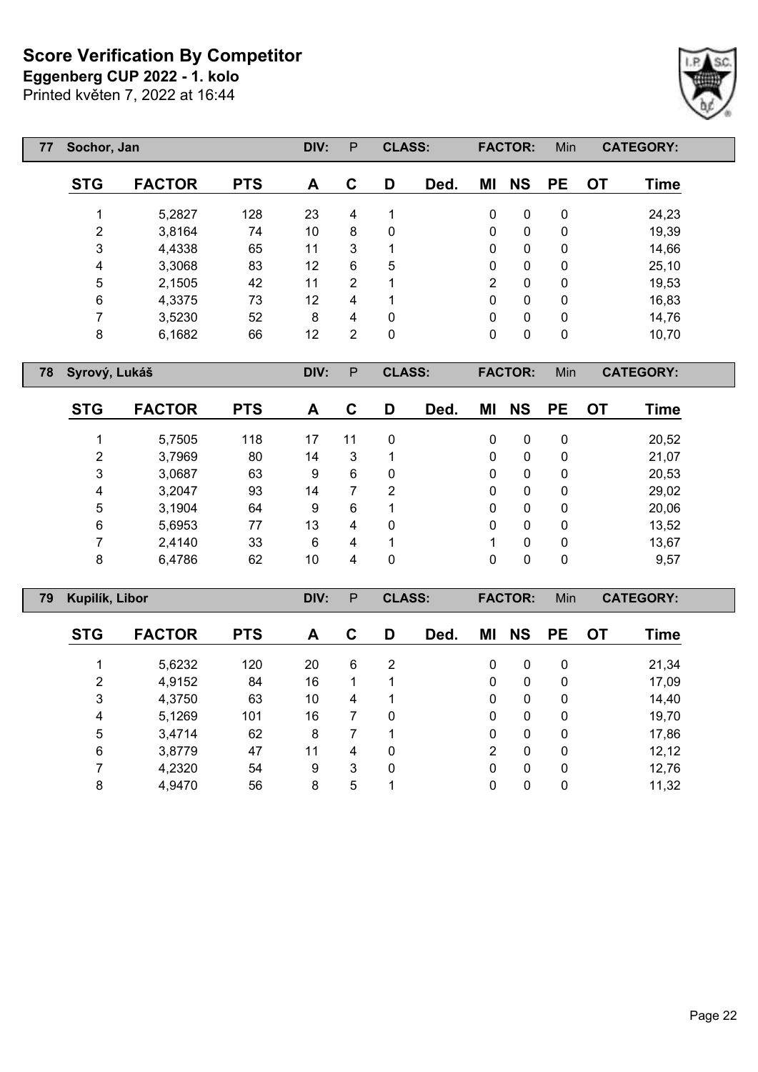**Eggenberg CUP 2022 - 1. kolo**

Printed květen 7, 2022 at 16:44

| 77 |            | Sochor, Jan   |            |    |   | <b>CLASS:</b> |      |              | <b>FACTOR:</b> | Min       |    | <b>CATEGORY:</b> |  |
|----|------------|---------------|------------|----|---|---------------|------|--------------|----------------|-----------|----|------------------|--|
|    | <b>STG</b> | <b>FACTOR</b> | <b>PTS</b> | A  | C | D             | Ded. | ΜI           | <b>NS</b>      | <b>PE</b> | 0T | Time             |  |
|    |            | 5,2827        | 128        | 23 | 4 | 1             |      | 0            | 0              | 0         |    | 24,23            |  |
|    | 2          | 3,8164        | 74         | 10 | 8 | 0             |      | 0            | 0              | 0         |    | 19,39            |  |
|    | 3          | 4,4338        | 65         | 11 | 3 |               |      | $\mathbf{0}$ | $\mathbf{0}$   | 0         |    | 14,66            |  |
|    | 4          | 3,3068        | 83         | 12 | 6 | 5             |      | $\mathbf{0}$ | 0              | 0         |    | 25,10            |  |
|    | 5          | 2,1505        | 42         | 11 | 2 | 1             |      | 2            | 0              | 0         |    | 19,53            |  |
|    | 6          | 4,3375        | 73         | 12 | 4 | 1             |      | 0            | 0              | 0         |    | 16,83            |  |
|    |            | 3,5230        | 52         | 8  | 4 | $\mathbf{0}$  |      | $\mathbf{0}$ | 0              | 0         |    | 14,76            |  |
|    | 8          | 6,1682        | 66         | 12 | 2 | 0             |      | 0            | 0              | 0         |    | 10,70            |  |

**Syrový, Lukáš DIV:** P **CLASS: FACTOR:** Min **CATEGORY:**

Г

| <b>STG</b> | <b>FACTOR</b> | <b>PTS</b> | A  | С  | D | Ded. | ΜI | <b>NS</b> | <b>PE</b>    | <b>OT</b> | Time  |
|------------|---------------|------------|----|----|---|------|----|-----------|--------------|-----------|-------|
|            | 5,7505        | 118        | 17 | 11 | 0 |      | 0  | 0         | $\mathbf{0}$ |           | 20,52 |
| 2          | 3,7969        | 80         | 14 | 3  |   |      | 0  | 0         | 0            |           | 21,07 |
| 3          | 3,0687        | 63         | 9  | 6  | 0 |      | 0  | 0         | 0            |           | 20,53 |
| 4          | 3,2047        | 93         | 14 |    | 2 |      | 0  | 0         | $\mathbf{0}$ |           | 29,02 |
| 5          | 3,1904        | 64         | 9  | 6  |   |      | 0  | $\Omega$  | $\mathbf{0}$ |           | 20,06 |
| 6          | 5,6953        | 77         | 13 | 4  | 0 |      | 0  | 0         | $\mathbf{0}$ |           | 13,52 |
| 7          | 2,4140        | 33         | 6  | 4  |   |      |    | 0         | $\mathbf{0}$ |           | 13,67 |
| 8          | 6,4786        | 62         | 10 | 4  | 0 |      | 0  |           | $\mathbf{0}$ |           | 9,57  |

| 79 |                | Kupilík, Libor |            |    | P | <b>CLASS:</b> |      |                | <b>FACTOR:</b> | Min          |           | <b>CATEGORY:</b> |  |
|----|----------------|----------------|------------|----|---|---------------|------|----------------|----------------|--------------|-----------|------------------|--|
|    | <b>STG</b>     | <b>FACTOR</b>  | <b>PTS</b> | A  | C | D             | Ded. | ΜI             | <b>NS</b>      | <b>PE</b>    | <b>OT</b> | Time             |  |
|    |                | 5,6232         | 120        | 20 | 6 | 2             |      | $\mathbf{0}$   | 0              | $\mathbf{0}$ |           | 21,34            |  |
|    | $\overline{2}$ | 4,9152         | 84         | 16 |   |               |      | $\mathbf{0}$   | $\mathbf{0}$   | $\mathbf{0}$ |           | 17,09            |  |
|    | 3              | 4,3750         | 63         | 10 | 4 |               |      | $\mathbf{0}$   | $\mathbf{0}$   | $\mathbf{0}$ |           | 14,40            |  |
|    | 4              | 5,1269         | 101        | 16 |   | 0             |      | $\mathbf{0}$   | $\mathbf{0}$   | 0            |           | 19,70            |  |
|    | 5              | 3,4714         | 62         | 8  |   |               |      | $\mathbf{0}$   | $\mathbf{0}$   | 0            |           | 17,86            |  |
|    | 6              | 3,8779         | 47         | 11 | 4 | 0             |      | $\overline{2}$ | $\mathbf{0}$   | $\mathbf{0}$ |           | 12,12            |  |
|    |                | 4,2320         | 54         | 9  | 3 | 0             |      | $\Omega$       | $\mathbf{0}$   | $\mathbf{0}$ |           | 12,76            |  |
|    | 8              | 4,9470         | 56         | 8  | 5 |               |      | 0              | 0              | 0            |           | 11,32            |  |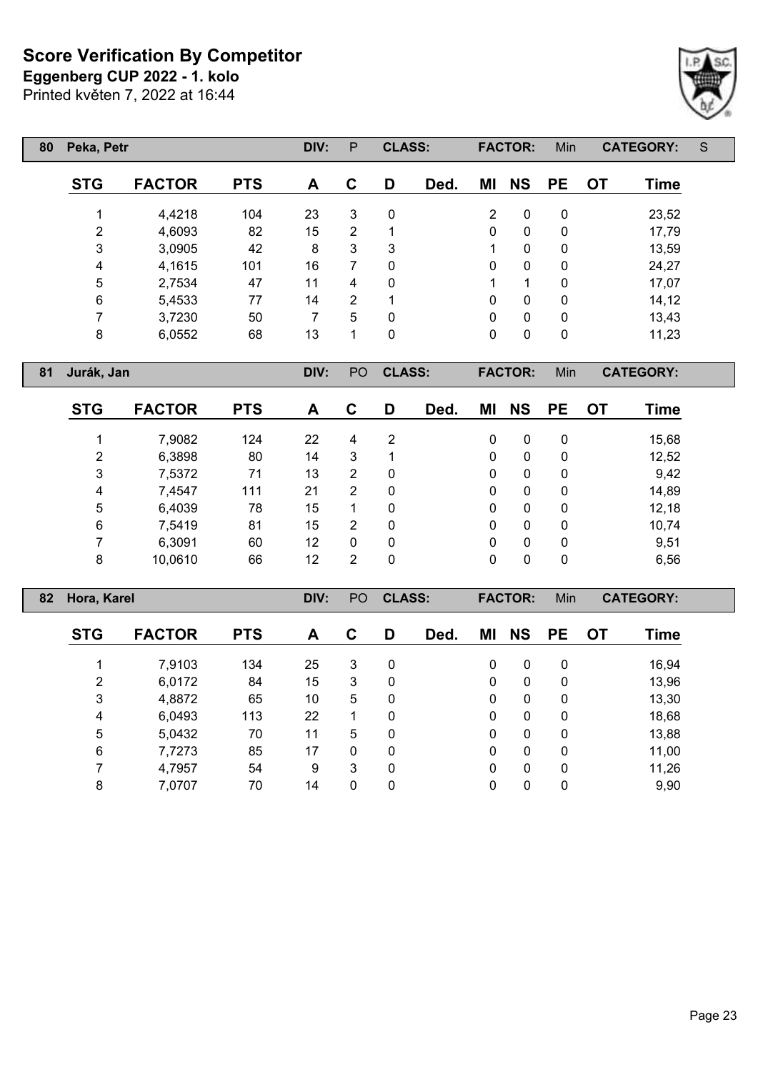**Eggenberg CUP 2022 - 1. kolo**

Printed květen 7, 2022 at 16:44

| 80 | Peka, Petr |               |            | DIV: | P | <b>CLASS:</b> |      |              | <b>FACTOR:</b> | Min          | <b>CATEGORY:</b>  | S |
|----|------------|---------------|------------|------|---|---------------|------|--------------|----------------|--------------|-------------------|---|
|    | <b>STG</b> | <b>FACTOR</b> | <b>PTS</b> | A    | C | D             | Ded. | ΜI           | <b>NS</b>      | <b>PE</b>    | Time<br><b>OT</b> |   |
|    |            | 4,4218        | 104        | 23   | 3 | $\mathbf{0}$  |      | 2            | 0              | 0            | 23,52             |   |
|    | 2          | 4,6093        | 82         | 15   | 2 | 1             |      | $\mathbf 0$  | 0              | 0            | 17,79             |   |
|    | 3          | 3,0905        | 42         | 8    | 3 | 3             |      | 1            | 0              | 0            | 13,59             |   |
|    | 4          | 4,1615        | 101        | 16   | 7 | 0             |      | 0            | 0              | $\mathbf{0}$ | 24,27             |   |
|    | 5          | 2,7534        | 47         | 11   | 4 | $\mathbf{0}$  |      | 1            | 1              | $\mathbf{0}$ | 17,07             |   |
|    | 6          | 5,4533        | 77         | 14   | 2 | 1             |      | 0            | 0              | 0            | 14, 12            |   |
|    | 7          | 3,7230        | 50         | 7    | 5 | $\mathbf{0}$  |      | $\mathbf{0}$ | $\mathbf{0}$   | $\Omega$     | 13,43             |   |
|    | 8          | 6,0552        | 68         | 13   | 1 | 0             |      | 0            | 0              | 0            | 11,23             |   |

**Jurák, Jan DIV:** PO **CLASS: FACTOR:** Min **CATEGORY:**

 $\lceil$ 

| <b>STG</b> | <b>FACTOR</b> | <b>PTS</b> | A  | C | D | Ded. | ΜI | <b>NS</b> | <b>PE</b> | OT | <b>Time</b> |
|------------|---------------|------------|----|---|---|------|----|-----------|-----------|----|-------------|
|            | 7,9082        | 124        | 22 | 4 | 2 |      | 0  | 0         | 0         |    | 15,68       |
| 2          | 6,3898        | 80         | 14 | 3 | 1 |      | 0  | 0         | 0         |    | 12,52       |
| 3          | 7,5372        | 71         | 13 | 2 | 0 |      | 0  | 0         | 0         |    | 9,42        |
| 4          | 7,4547        | 111        | 21 | 2 | 0 |      | 0  | 0         | 0         |    | 14,89       |
| 5          | 6,4039        | 78         | 15 |   | 0 |      | 0  | 0         | 0         |    | 12,18       |
| 6          | 7,5419        | 81         | 15 | 2 | 0 |      | 0  | 0         | 0         |    | 10,74       |
|            | 6,3091        | 60         | 12 | 0 | 0 |      | 0  | 0         | 0         |    | 9,51        |
| 8          | 10,0610       | 66         | 12 | 2 | 0 |      | 0  | 0         | 0         |    | 6,56        |

| 82 |            | Hora, Karel   |            |    | P <sub>O</sub> | <b>CLASS:</b> |      |              | <b>FACTOR:</b> | Min          |           | <b>CATEGORY:</b> |  |
|----|------------|---------------|------------|----|----------------|---------------|------|--------------|----------------|--------------|-----------|------------------|--|
|    | <b>STG</b> | <b>FACTOR</b> | <b>PTS</b> | A  | C              | D             | Ded. | ΜI           | <b>NS</b>      | <b>PE</b>    | <b>OT</b> | Time             |  |
|    |            | 7,9103        | 134        | 25 | 3              | 0             |      | 0            | 0              | $\mathbf{0}$ |           | 16,94            |  |
|    | 2          | 6,0172        | 84         | 15 | 3              | 0             |      | $\mathbf{0}$ | $\mathbf 0$    | $\mathbf{0}$ |           | 13,96            |  |
|    | 3          | 4,8872        | 65         | 10 | 5              | 0             |      | $\mathbf{0}$ | $\mathbf 0$    | $\mathbf{0}$ |           | 13,30            |  |
|    | 4          | 6,0493        | 113        | 22 |                | 0             |      | 0            | 0              | $\mathbf{0}$ |           | 18,68            |  |
|    | 5          | 5,0432        | 70         | 11 | 5              | 0             |      | 0            | 0              | $\mathbf{0}$ |           | 13,88            |  |
|    | 6          | 7,7273        | 85         | 17 | $\mathbf{0}$   | 0             |      | $\mathbf{0}$ | 0              | $\mathbf{0}$ |           | 11,00            |  |
|    |            | 4,7957        | 54         | 9  | 3              | $\mathbf{0}$  |      | $\Omega$     | 0              | $\Omega$     |           | 11,26            |  |
|    | 8          | 7,0707        | 70         | 14 | 0              | 0             |      | 0            | 0              | 0            |           | 9,90             |  |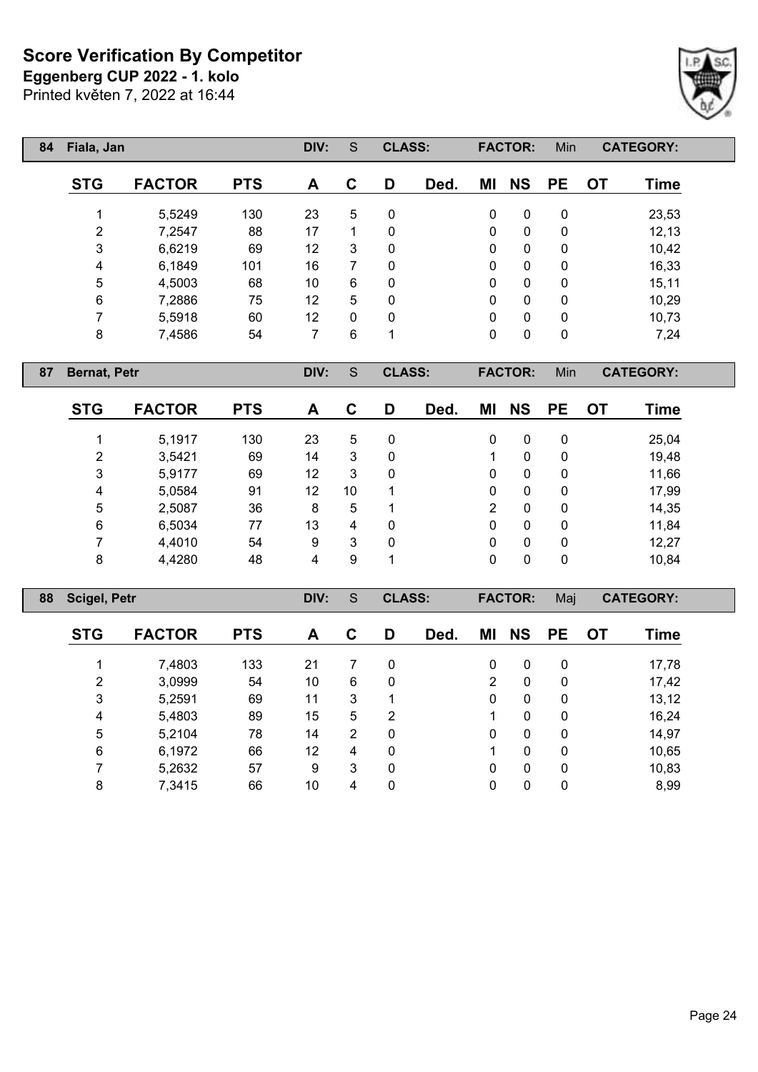**Eggenberg CUP 2022 - 1. kolo**

Printed květen 7, 2022 at 16:44

| 84 |                | Fiala, Jan    |            | DIV: | S            | <b>CLASS:</b> |      |    | <b>FACTOR:</b> | Min |           | <b>CATEGORY:</b> |
|----|----------------|---------------|------------|------|--------------|---------------|------|----|----------------|-----|-----------|------------------|
|    | <b>STG</b>     | <b>FACTOR</b> | <b>PTS</b> | A    | C            | D             | Ded. | ΜI | <b>NS</b>      | PE  | <b>OT</b> | <b>Time</b>      |
|    |                | 5,5249        | 130        | 23   | 5            | $\mathbf{0}$  |      | 0  | $\mathbf{0}$   | 0   |           | 23,53            |
|    | $\overline{2}$ | 7,2547        | 88         | 17   |              | 0             |      | 0  | 0              | 0   |           | 12, 13           |
|    | 3              | 6,6219        | 69         | 12   | 3            | 0             |      | 0  | 0              | 0   |           | 10,42            |
|    | 4              | 6,1849        | 101        | 16   |              | 0             |      | 0  | 0              | 0   |           | 16,33            |
|    | 5              | 4,5003        | 68         | 10   | 6            | 0             |      | 0  | $\mathbf{0}$   | 0   |           | 15,11            |
|    | 6              | 7,2886        | 75         | 12   | 5            | $\mathbf{0}$  |      | 0  | $\mathbf{0}$   | 0   |           | 10,29            |
|    | ⇁              | 5,5918        | 60         | 12   | $\mathbf{0}$ | 0             |      | 0  | $\mathbf{0}$   | 0   |           | 10,73            |
|    | 8              | 7,4586        | 54         | 7    | 6            | 4             |      | 0  | 0              | 0   |           | 7,24             |

**Bernat, Petr DIV:** S **CLASS: FACTOR:** Min **CATEGORY:**

| <b>STG</b>     | <b>FACTOR</b> | <b>PTS</b> | A  | C  | D | Ded. | ΜI           | <b>NS</b> | <b>PE</b> | <b>OT</b> | Time  |
|----------------|---------------|------------|----|----|---|------|--------------|-----------|-----------|-----------|-------|
|                | 5,1917        | 130        | 23 | 5  | 0 |      | 0            | 0         | 0         |           | 25,04 |
| $\overline{2}$ | 3,5421        | 69         | 14 | 3  | 0 |      |              | 0         | 0         |           | 19,48 |
| 3              | 5,9177        | 69         | 12 | 3  | 0 |      | 0            | 0         | 0         |           | 11,66 |
| 4              | 5,0584        | 91         | 12 | 10 | 1 |      | 0            | 0         | 0         |           | 17,99 |
| 5              | 2,5087        | 36         | 8  | 5  | 1 |      | 2            | 0         | 0         |           | 14,35 |
| 6              | 6,5034        | 77         | 13 | 4  | 0 |      | $\mathbf{0}$ | 0         | 0         |           | 11,84 |
|                | 4,4010        | 54         | 9  | 3  | 0 |      | $\mathbf{0}$ | 0         | 0         |           | 12,27 |
| 8              | 4,4280        | 48         | 4  | 9  | 1 |      | 0            | 0         | 0         |           | 10,84 |

| 88 |            | <b>Scigel, Petr</b> |            |    |                | <b>CLASS:</b> |      |                | <b>FACTOR:</b> | Maj         |           | <b>CATEGORY:</b> |  |
|----|------------|---------------------|------------|----|----------------|---------------|------|----------------|----------------|-------------|-----------|------------------|--|
|    | <b>STG</b> | <b>FACTOR</b>       | <b>PTS</b> | A  | C              | D             | Ded. | ΜI             | <b>NS</b>      | <b>PE</b>   | <b>OT</b> | <b>Time</b>      |  |
|    |            | 7,4803              | 133        | 21 |                | 0             |      | $\mathbf{0}$   | $\mathbf{0}$   | 0           |           | 17,78            |  |
|    | 2          | 3,0999              | 54         | 10 | 6              | 0             |      | $\overline{2}$ | $\mathbf{0}$   | $\mathbf 0$ |           | 17,42            |  |
|    | 3          | 5,2591              | 69         | 11 | 3              | 1             |      | 0              | $\mathbf{0}$   | 0           |           | 13,12            |  |
|    | 4          | 5,4803              | 89         | 15 | 5              | 2             |      |                | $\mathbf{0}$   | 0           |           | 16,24            |  |
|    | 5          | 5,2104              | 78         | 14 | $\overline{2}$ | 0             |      | 0              | $\mathbf{0}$   | 0           |           | 14,97            |  |
|    | 6          | 6,1972              | 66         | 12 | 4              | 0             |      |                | $\mathbf{0}$   | 0           |           | 10,65            |  |
|    |            | 5,2632              | 57         | 9  | 3              | 0             |      | 0              | $\mathbf{0}$   | 0           |           | 10,83            |  |
|    | 8          | 7,3415              | 66         | 10 | 4              | 0             |      | 0              | 0              | 0           |           | 8,99             |  |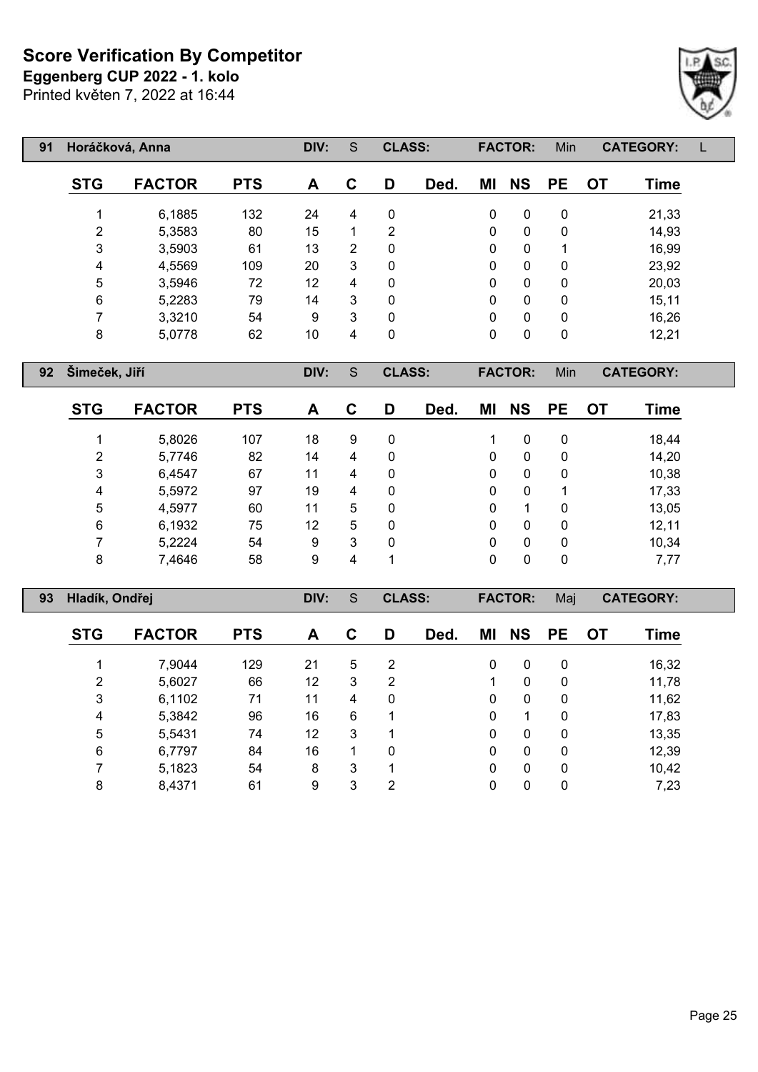**Eggenberg CUP 2022 - 1. kolo**

Printed květen 7, 2022 at 16:44



| 91 | Horáčková, Anna |               |            | DIV: | S           | <b>CLASS:</b> |      |              | <b>FACTOR:</b> | Min       |           | <b>CATEGORY:</b> |  |
|----|-----------------|---------------|------------|------|-------------|---------------|------|--------------|----------------|-----------|-----------|------------------|--|
|    | <b>STG</b>      | <b>FACTOR</b> | <b>PTS</b> | A    | $\mathbf C$ | D             | Ded. | ΜI           | <b>NS</b>      | <b>PE</b> | <b>OT</b> | <b>Time</b>      |  |
|    |                 | 6,1885        | 132        | 24   | 4           | 0             |      | 0            | $\mathbf{0}$   | 0         |           | 21,33            |  |
|    | 2               | 5,3583        | 80         | 15   | 1           | 2             |      | $\mathbf{0}$ | $\mathbf{0}$   | 0         |           | 14,93            |  |
|    | 3               | 3,5903        | 61         | 13   | 2           | $\mathbf 0$   |      | $\mathbf{0}$ | $\mathbf{0}$   |           |           | 16,99            |  |
|    | 4               | 4,5569        | 109        | 20   | 3           | 0             |      | $\mathbf{0}$ | 0              | 0         |           | 23,92            |  |
|    | 5               | 3,5946        | 72         | 12   | 4           | 0             |      | $\Omega$     | 0              | 0         |           | 20,03            |  |
|    | 6               | 5,2283        | 79         | 14   | 3           | 0             |      | $\Omega$     | 0              | 0         |           | 15,11            |  |
|    | ⇁               | 3,3210        | 54         | 9    | 3           | $\mathbf{0}$  |      | $\Omega$     | 0              | 0         |           | 16,26            |  |
|    | 8               | 5,0778        | 62         | 10   | 4           | 0             |      | 0            | 0              | 0         |           | 12,21            |  |

**Šimeček, Jiří DIV:** S **CLASS: FACTOR:** Min **CATEGORY:**

Γ

| <b>STG</b> | <b>FACTOR</b> | <b>PTS</b> | A  | C | D | Ded. | ΜI | <b>NS</b> | <b>PE</b> | <b>OT</b> | Time  |
|------------|---------------|------------|----|---|---|------|----|-----------|-----------|-----------|-------|
|            | 5,8026        | 107        | 18 | 9 | 0 |      |    | 0         | 0         |           | 18,44 |
| 2          | 5,7746        | 82         | 14 | 4 | 0 |      | 0  | 0         | 0         |           | 14,20 |
| 3          | 6,4547        | 67         | 11 | 4 | 0 |      | 0  | 0         | 0         |           | 10,38 |
| 4          | 5,5972        | 97         | 19 | 4 | 0 |      | 0  | 0         |           |           | 17,33 |
| 5          | 4,5977        | 60         | 11 | 5 | 0 |      | 0  |           | 0         |           | 13,05 |
| 6          | 6,1932        | 75         | 12 | 5 | 0 |      | 0  | 0         | 0         |           | 12,11 |
|            | 5,2224        | 54         | 9  | 3 | 0 |      | 0  | 0         | 0         |           | 10,34 |
| 8          | 7,4646        | 58         | 9  | 4 | 1 |      | 0  | 0         | 0         |           | 7,77  |

| 93 | Hladík, Ondřej |               |            | DIV: | S | <b>CLASS:</b> |      |          | <b>FACTOR:</b> | Maj       |           | <b>CATEGORY:</b> |  |
|----|----------------|---------------|------------|------|---|---------------|------|----------|----------------|-----------|-----------|------------------|--|
|    | <b>STG</b>     | <b>FACTOR</b> | <b>PTS</b> | A    | С | D             | Ded. | ΜI       | <b>NS</b>      | <b>PE</b> | <b>OT</b> | Time             |  |
|    |                | 7,9044        | 129        | 21   | 5 | 2             |      | 0        | 0              | 0         |           | 16,32            |  |
|    | 2              | 5,6027        | 66         | 12   | 3 | 2             |      |          | $\mathbf{0}$   | 0         |           | 11,78            |  |
|    | 3              | 6,1102        | 71         | 11   | 4 | 0             |      | $\Omega$ | $\mathbf{0}$   | 0         |           | 11,62            |  |
|    | 4              | 5,3842        | 96         | 16   | 6 | 1             |      | 0        | 1              | 0         |           | 17,83            |  |
|    | 5              | 5,5431        | 74         | 12   | 3 | 1             |      | 0        | $\mathbf{0}$   | 0         |           | 13,35            |  |
|    | 6              | 6,7797        | 84         | 16   |   | 0             |      | 0        | 0              | 0         |           | 12,39            |  |
|    |                | 5,1823        | 54         | 8    | 3 | $\mathbf 1$   |      | $\Omega$ | 0              | 0         |           | 10,42            |  |
|    | 8              | 8,4371        | 61         | 9    | 3 | 2             |      | 0        | 0              | 0         |           | 7,23             |  |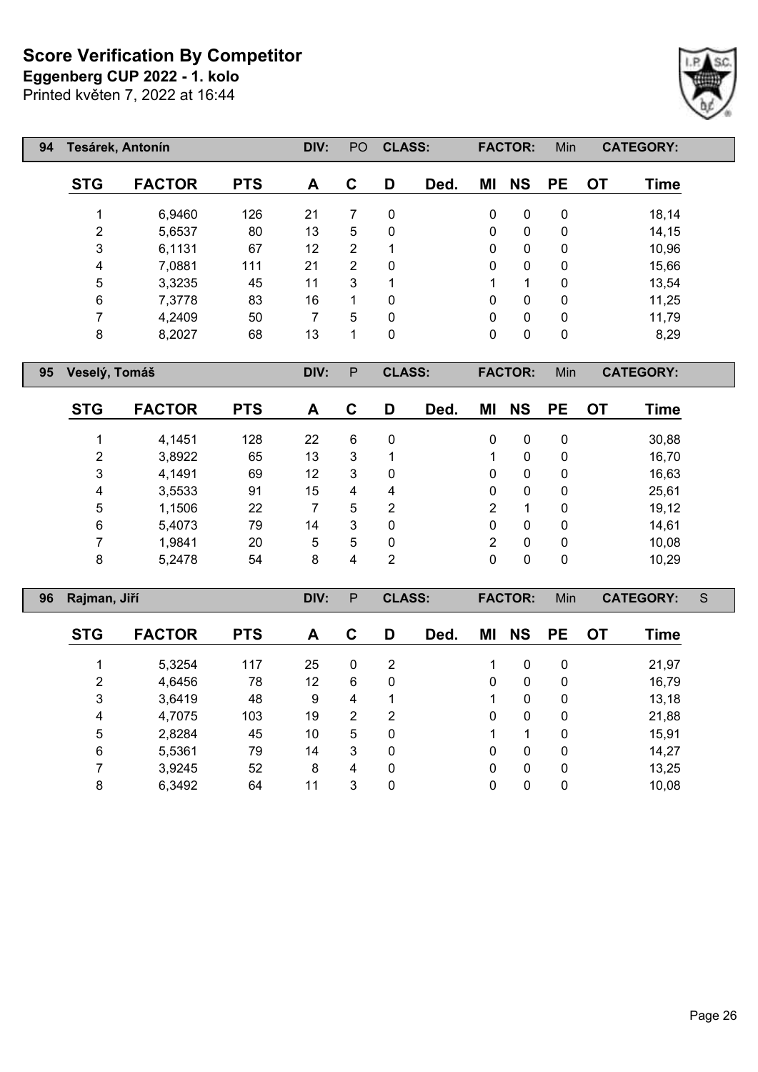**Eggenberg CUP 2022 - 1. kolo**

Printed květen 7, 2022 at 16:44

| 94 | Tesárek, Antonín |               |            | DIV: | P <sub>O</sub> | <b>CLASS:</b> |      |              | <b>FACTOR:</b> | Min          |           | <b>CATEGORY:</b> |  |
|----|------------------|---------------|------------|------|----------------|---------------|------|--------------|----------------|--------------|-----------|------------------|--|
|    | <b>STG</b>       | <b>FACTOR</b> | <b>PTS</b> | A    | $\mathbf C$    | D             | Ded. | ΜI           | <b>NS</b>      | <b>PE</b>    | <b>OT</b> | <b>Time</b>      |  |
|    |                  | 6,9460        | 126        | 21   | 7              | 0             |      | 0            | $\mathbf{0}$   | $\mathbf{0}$ |           | 18,14            |  |
|    | 2                | 5,6537        | 80         | 13   | 5              | 0             |      | $\mathbf{0}$ | $\mathbf{0}$   | $\mathbf 0$  |           | 14,15            |  |
|    | 3                | 6,1131        | 67         | 12   | 2              | 1             |      | $\mathbf{0}$ | $\mathbf{0}$   | $\mathbf 0$  |           | 10,96            |  |
|    | 4                | 7,0881        | 111        | 21   | 2              | 0             |      | $\mathbf{0}$ | $\Omega$       | $\mathbf 0$  |           | 15,66            |  |
|    | 5                | 3,3235        | 45         | 11   | 3              | 1             |      | 1            | 1              | $\Omega$     |           | 13,54            |  |
|    | 6                | 7,3778        | 83         | 16   | 1              | 0             |      | 0            | 0              | $\mathbf{0}$ |           | 11,25            |  |
|    |                  | 4,2409        | 50         | 7    | 5              | 0             |      | $\mathbf{0}$ | $\Omega$       | $\mathbf{0}$ |           | 11,79            |  |
|    | 8                | 8,2027        | 68         | 13   | 1              | 0             |      | 0            | 0              | 0            |           | 8,29             |  |

**Veselý, Tomáš DIV:** P **CLASS: FACTOR:** Min **CATEGORY:**

Γ

| <b>STG</b> | <b>FACTOR</b> | <b>PTS</b> | A  | С | D | Ded. | ΜI | <b>NS</b> | <b>PE</b>    | ОT | Time  |
|------------|---------------|------------|----|---|---|------|----|-----------|--------------|----|-------|
|            | 4,1451        | 128        | 22 | 6 | 0 |      | 0  | 0         | 0            |    | 30,88 |
| 2          | 3,8922        | 65         | 13 | 3 | 1 |      |    | 0         | $\mathbf{0}$ |    | 16,70 |
| 3          | 4,1491        | 69         | 12 | 3 | 0 |      | 0  | 0         | 0            |    | 16,63 |
| 4          | 3,5533        | 91         | 15 | 4 | 4 |      | 0  | 0         | 0            |    | 25,61 |
| 5          | 1,1506        | 22         |    | 5 | 2 |      | 2  |           | 0            |    | 19,12 |
| 6          | 5,4073        | 79         | 14 | 3 | 0 |      | 0  | 0         | $\mathbf{0}$ |    | 14,61 |
|            | 1,9841        | 20         | 5  | 5 | 0 |      | 2  | 0         | 0            |    | 10,08 |
| 8          | 5,2478        | 54         | 8  | 4 | 2 |      | 0  | 0         | 0            |    | 10,29 |

| 96 | Rajman, Jiří   |               |            | DIV: | P              | <b>CLASS:</b> |      |          | <b>FACTOR:</b> | Min         |           | <b>CATEGORY:</b> | S |
|----|----------------|---------------|------------|------|----------------|---------------|------|----------|----------------|-------------|-----------|------------------|---|
|    | <b>STG</b>     | <b>FACTOR</b> | <b>PTS</b> | A    | C              | D             | Ded. | ΜI       | <b>NS</b>      | <b>PE</b>   | <b>OT</b> | Time             |   |
|    |                | 5,3254        | 117        | 25   | 0              | 2             |      |          | 0              | 0           |           | 21,97            |   |
|    | $\overline{2}$ | 4,6456        | 78         | 12   | 6              | 0             |      | $\Omega$ | $\mathbf{0}$   | 0           |           | 16,79            |   |
|    | 3              | 3,6419        | 48         | 9    | 4              | 1             |      |          | 0              | 0           |           | 13,18            |   |
|    | 4              | 4,7075        | 103        | 19   | $\overline{2}$ | 2             |      | 0        | 0              | 0           |           | 21,88            |   |
|    | 5              | 2,8284        | 45         | 10   | 5              | 0             |      |          |                | $\mathbf 0$ |           | 15,91            |   |
|    | 6              | 5,5361        | 79         | 14   | 3              | 0             |      | 0        | 0              | 0           |           | 14,27            |   |
|    |                | 3,9245        | 52         | 8    | 4              | 0             |      | 0        | 0              | 0           |           | 13,25            |   |
|    | 8              | 6,3492        | 64         | 11   | 3              | 0             |      | 0        | 0              | 0           |           | 10,08            |   |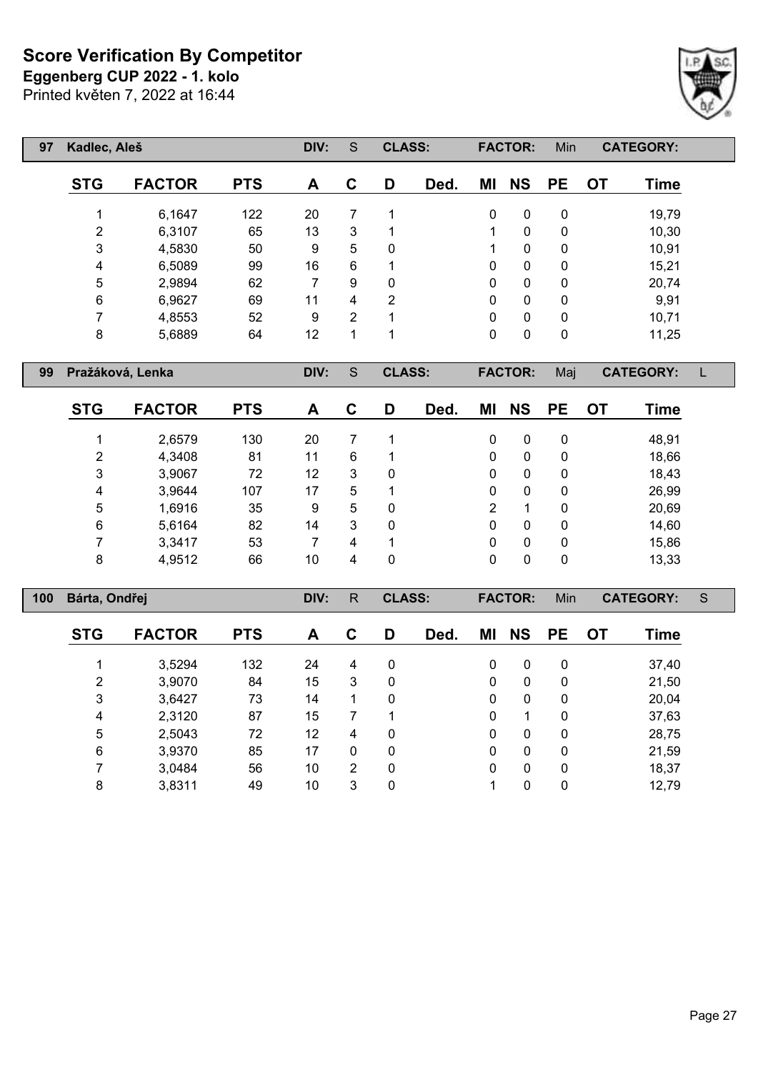**Eggenberg CUP 2022 - 1. kolo**

Printed květen 7, 2022 at 16:44

| 97 | Kadlec, Aleš   |               |            | DIV: | S | <b>CLASS:</b> |      |    | <b>FACTOR:</b> | Min         |           | <b>CATEGORY:</b> |
|----|----------------|---------------|------------|------|---|---------------|------|----|----------------|-------------|-----------|------------------|
|    | <b>STG</b>     | <b>FACTOR</b> | <b>PTS</b> | A    | C | D             | Ded. | ΜI | <b>NS</b>      | <b>PE</b>   | <b>OT</b> | <b>Time</b>      |
|    |                | 6,1647        | 122        | 20   | 7 |               |      | 0  | $\mathbf{0}$   | 0           |           | 19,79            |
|    | $\overline{2}$ | 6,3107        | 65         | 13   | 3 |               |      | 1  | 0              | 0           |           | 10,30            |
|    | 3              | 4,5830        | 50         | 9    | 5 | 0             |      | 1  | $\mathbf{0}$   | 0           |           | 10,91            |
|    | 4              | 6,5089        | 99         | 16   | 6 |               |      | 0  | $\mathbf{0}$   | 0           |           | 15,21            |
|    | 5              | 2,9894        | 62         | 7    | 9 | 0             |      | 0  | $\mathbf{0}$   | 0           |           | 20,74            |
|    | 6              | 6,9627        | 69         | 11   | 4 | 2             |      | 0  | $\mathbf{0}$   | 0           |           | 9,91             |
|    | 7              | 4,8553        | 52         | 9    | 2 |               |      | 0  | $\mathbf{0}$   | 0           |           | 10,71            |
|    | 8              | 5,6889        | 64         | 12   | 1 |               |      | 0  | 0              | $\mathbf 0$ |           | 11,25            |

**Pražáková, Lenka DIV:** S **CLASS: FACTOR:** Maj **CATEGORY:** L

| <b>STG</b> | <b>FACTOR</b> | <b>PTS</b> | A  | С | D            | Ded. | ΜI | <b>NS</b> | <b>PE</b> | ОT | Time  |
|------------|---------------|------------|----|---|--------------|------|----|-----------|-----------|----|-------|
|            | 2,6579        | 130        | 20 |   |              |      | 0  | 0         | 0         |    | 48,91 |
| 2          | 4,3408        | 81         | 11 | 6 |              |      | 0  | 0         | 0         |    | 18,66 |
| 3          | 3,9067        | 72         | 12 | 3 | 0            |      | 0  | 0         | 0         |    | 18,43 |
| 4          | 3,9644        | 107        | 17 | 5 |              |      | 0  | 0         | 0         |    | 26,99 |
| 5          | 1,6916        | 35         | 9  | 5 | 0            |      | 2  |           | 0         |    | 20,69 |
| 6          | 5,6164        | 82         | 14 | 3 | $\mathbf{0}$ |      | 0  | 0         | 0         |    | 14,60 |
| 7          | 3,3417        | 53         |    | 4 |              |      | 0  | 0         | 0         |    | 15,86 |
| 8          | 4,9512        | 66         | 10 | 4 | 0            |      | 0  | 0         | 0         |    | 13,33 |

| 100 | Bárta, Ondřej |               |            | DIV: | R            | <b>CLASS:</b> |      |              | <b>FACTOR:</b> | Min          |           | <b>CATEGORY:</b> | S |
|-----|---------------|---------------|------------|------|--------------|---------------|------|--------------|----------------|--------------|-----------|------------------|---|
|     | <b>STG</b>    | <b>FACTOR</b> | <b>PTS</b> | A    | C            | D             | Ded. | ΜI           | <b>NS</b>      | <b>PE</b>    | <b>OT</b> | Time             |   |
|     |               | 3,5294        | 132        | 24   | 4            | 0             |      | $\mathbf{0}$ | $\mathbf{0}$   | 0            |           | 37,40            |   |
|     | 2             | 3,9070        | 84         | 15   | 3            | 0             |      | $\mathbf{0}$ | $\Omega$       | $\mathbf{0}$ |           | 21,50            |   |
|     | 3             | 3,6427        | 73         | 14   | 1            | $\mathbf 0$   |      | $\mathbf{0}$ | $\Omega$       | $\mathbf{0}$ |           | 20,04            |   |
|     | 4             | 2,3120        | 87         | 15   | 7            |               |      | 0            |                | 0            |           | 37,63            |   |
|     | 5             | 2,5043        | 72         | 12   | 4            | $\mathbf 0$   |      | 0            | $\mathbf{0}$   | 0            |           | 28,75            |   |
|     | 6             | 3,9370        | 85         | 17   | $\mathbf{0}$ | 0             |      | 0            | $\Omega$       | 0            |           | 21,59            |   |
|     |               | 3,0484        | 56         | 10   | 2            | 0             |      | $\mathbf{0}$ | $\Omega$       | 0            |           | 18,37            |   |
|     | 8             | 3,8311        | 49         | 10   | 3            | 0             |      |              | 0              | 0            |           | 12,79            |   |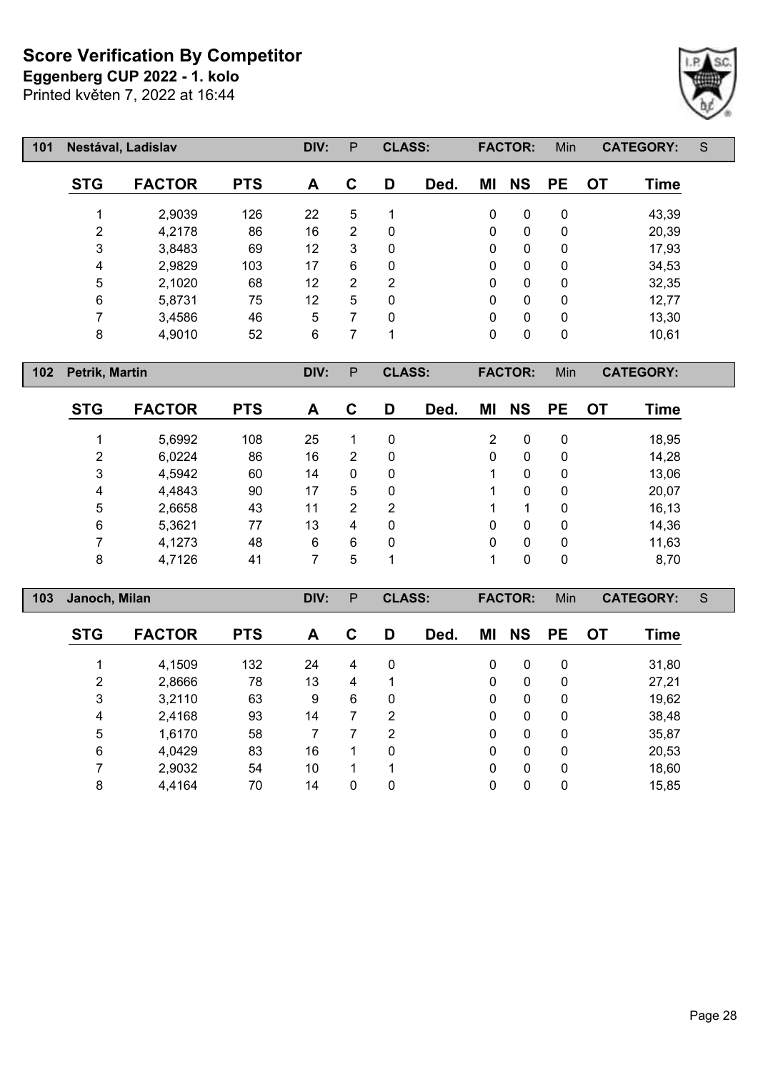Printed květen 7, 2022 at 16:44 **Eggenberg CUP 2022 - 1. kolo**



| 101 |                | Nestával, Ladislav |            | DIV: | P              | <b>CLASS:</b> |      |              | <b>FACTOR:</b> | Min       |           | <b>CATEGORY:</b> | S |
|-----|----------------|--------------------|------------|------|----------------|---------------|------|--------------|----------------|-----------|-----------|------------------|---|
|     | <b>STG</b>     | <b>FACTOR</b>      | <b>PTS</b> | A    | C              | D             | Ded. | ΜI           | <b>NS</b>      | <b>PE</b> | <b>OT</b> | <b>Time</b>      |   |
|     | 4              | 2,9039             | 126        | 22   | 5              | 1             |      | 0            | 0              | 0         |           | 43,39            |   |
|     | 2              | 4,2178             | 86         | 16   | $\overline{2}$ | 0             |      | 0            | 0              | 0         |           | 20,39            |   |
|     | 3              | 3,8483             | 69         | 12   | 3              | 0             |      | 0            | 0              | 0         |           | 17,93            |   |
|     | 4              | 2,9829             | 103        | 17   | 6              | 0             |      | 0            | $\mathbf 0$    | 0         |           | 34,53            |   |
|     | 5              | 2,1020             | 68         | 12   | $\overline{2}$ | 2             |      | 0            | 0              | 0         |           | 32,35            |   |
|     | 6              | 5,8731             | 75         | 12   | 5              | 0             |      | 0            | 0              | 0         |           | 12,77            |   |
|     | $\overline{ }$ | 3,4586             | 46         | 5    | 7              | $\mathbf{0}$  |      | $\mathbf{0}$ | 0              | 0         |           | 13,30            |   |
|     | 8              | 4,9010             | 52         | 6    | ⇁              | 1             |      | 0            | 0              | 0         |           | 10,61            |   |

**Petrik, Martin DIV:** P **CLASS: FACTOR:** Min **CATEGORY:**

| <b>STG</b> | <b>FACTOR</b> | <b>PTS</b> | A  | С | D              | Ded. | ΜI | <b>NS</b>    | <b>PE</b>    | <b>OT</b> | Time  |
|------------|---------------|------------|----|---|----------------|------|----|--------------|--------------|-----------|-------|
|            | 5,6992        | 108        | 25 |   | 0              |      | 2  | 0            | 0            |           | 18,95 |
| 2          | 6,0224        | 86         | 16 | 2 | 0              |      | 0  | 0            | 0            |           | 14,28 |
| 3          | 4,5942        | 60         | 14 | 0 | 0              |      |    | 0            | 0            |           | 13,06 |
| 4          | 4,4843        | 90         | 17 | 5 | 0              |      |    | $\mathbf{0}$ | 0            |           | 20,07 |
| 5          | 2,6658        | 43         | 11 | 2 | $\overline{2}$ |      |    |              | $\mathbf{0}$ |           | 16,13 |
| 6          | 5,3621        | 77         | 13 | 4 | 0              |      | 0  | 0            | 0            |           | 14,36 |
| ⇁          | 4,1273        | 48         | 6  | 6 | 0              |      | 0  | 0            | $\mathbf{0}$ |           | 11,63 |
| 8          | 4,7126        | 41         |    | 5 | 1              |      |    | $\Omega$     | 0            |           | 8,70  |

| 103 | Janoch, Milan |               |            | DIV: | P | <b>CLASS:</b> |      |              | <b>FACTOR:</b> | Min       |           | <b>CATEGORY:</b> | S |
|-----|---------------|---------------|------------|------|---|---------------|------|--------------|----------------|-----------|-----------|------------------|---|
|     | <b>STG</b>    | <b>FACTOR</b> | <b>PTS</b> | A    | C | D             | Ded. | ΜI           | <b>NS</b>      | <b>PE</b> | <b>OT</b> | <b>Time</b>      |   |
|     |               | 4,1509        | 132        | 24   | 4 | 0             |      | 0            | 0              | 0         |           | 31,80            |   |
|     | 2             | 2,8666        | 78         | 13   | 4 |               |      | 0            | $\mathbf{0}$   | 0         |           | 27,21            |   |
|     | 3             | 3,2110        | 63         | 9    | 6 | 0             |      | 0            | 0              | 0         |           | 19,62            |   |
|     | 4             | 2,4168        | 93         | 14   | 7 | 2             |      | 0            | 0              | 0         |           | 38,48            |   |
|     | 5             | 1,6170        | 58         | 7    |   | 2             |      | $\mathbf{0}$ | 0              | 0         |           | 35,87            |   |
|     | 6             | 4,0429        | 83         | 16   |   | 0             |      | 0            | 0              | 0         |           | 20,53            |   |
|     |               | 2,9032        | 54         | 10   | 1 |               |      | 0            | 0              | 0         |           | 18,60            |   |
|     | 8             | 4,4164        | 70         | 14   | 0 | 0             |      | 0            | 0              | 0         |           | 15,85            |   |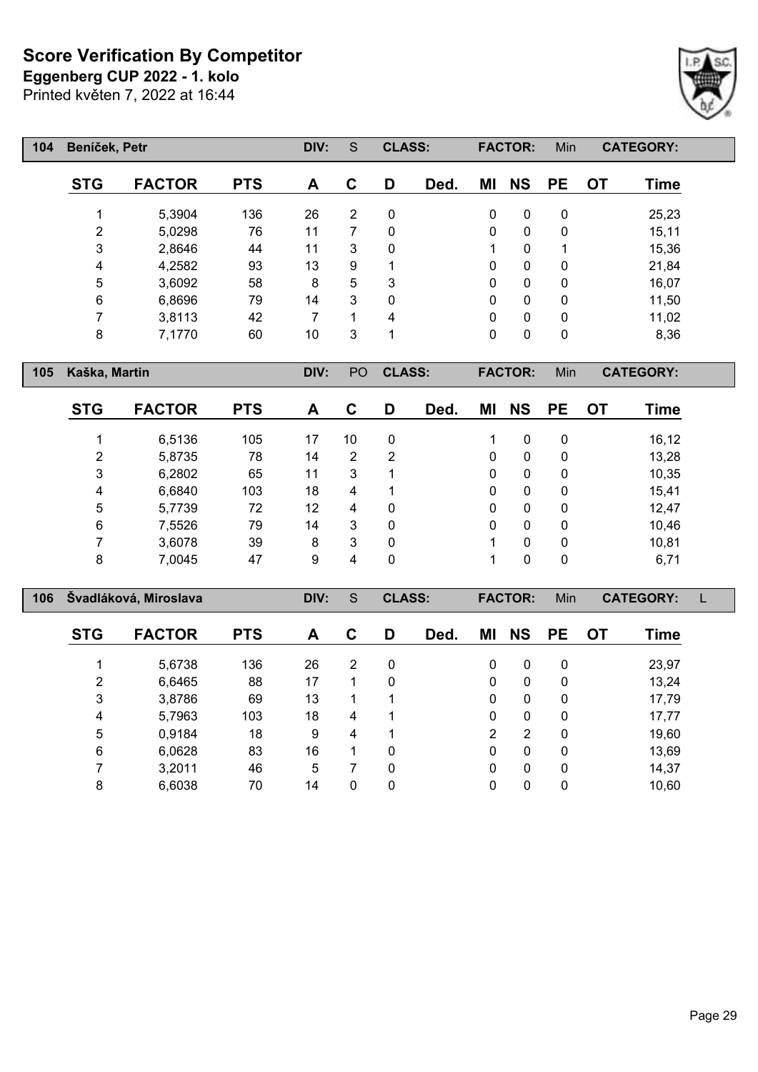**Eggenberg CUP 2022 - 1. kolo**

Printed květen 7, 2022 at 16:44



| 104 | Beníček, Petr |               |            | DIV: | S              | <b>CLASS:</b> |      |          | <b>FACTOR:</b> | Min              |    | <b>CATEGORY:</b> |
|-----|---------------|---------------|------------|------|----------------|---------------|------|----------|----------------|------------------|----|------------------|
|     | <b>STG</b>    | <b>FACTOR</b> | <b>PTS</b> | A    | C              | D             | Ded. | ΜI       | <b>NS</b>      | <b>PE</b>        | OT | <b>Time</b>      |
|     |               | 5,3904        | 136        | 26   | $\overline{2}$ | 0             |      | 0        | 0              | 0                |    | 25,23            |
|     | 2             | 5,0298        | 76         | 11   | 7              | 0             |      | 0        | 0              | 0                |    | 15,11            |
|     | 3             | 2,8646        | 44         | 11   | 3              | $\Omega$      |      | 1        | 0              | 1                |    | 15,36            |
|     | 4             | 4,2582        | 93         | 13   | 9              | 1             |      | 0        | 0              | 0                |    | 21,84            |
|     | 5             | 3,6092        | 58         | 8    | 5              | 3             |      | $\Omega$ | 0              | 0                |    | 16,07            |
|     | 6             | 6,8696        | 79         | 14   | 3              | 0             |      | 0        | 0              | 0                |    | 11,50            |
|     | 7             | 3,8113        | 42         | 7    | 1              | 4             |      | 0        | 0              | 0                |    | 11,02            |
|     | 8             | 7,1770        | 60         | 10   | 3              | 1             |      | 0        | 0              | $\boldsymbol{0}$ |    | 8,36             |

**Kaška, Martin DIV:** PO **CLASS: FACTOR:** Min **CATEGORY:**

| <b>STG</b> | <b>FACTOR</b> | <b>PTS</b> | A  | С  | D           | Ded. | ΜI | <b>NS</b> | <b>PE</b> | OT | Time  |
|------------|---------------|------------|----|----|-------------|------|----|-----------|-----------|----|-------|
|            | 6,5136        | 105        | 17 | 10 | 0           |      |    | 0         | 0         |    | 16,12 |
| 2          | 5,8735        | 78         | 14 | 2  | 2           |      | 0  | 0         | 0         |    | 13,28 |
| 3          | 6,2802        | 65         | 11 | 3  |             |      | 0  | 0         | 0         |    | 10,35 |
| 4          | 6,6840        | 103        | 18 | 4  | 1           |      | 0  | 0         | 0         |    | 15,41 |
| 5          | 5,7739        | 72         | 12 | 4  | 0           |      | 0  | $\Omega$  | 0         |    | 12,47 |
| 6          | 7,5526        | 79         | 14 | 3  | $\mathbf 0$ |      | 0  | 0         | 0         |    | 10,46 |
|            | 3,6078        | 39         | 8  | 3  | 0           |      |    | $\Omega$  | 0         |    | 10,81 |
| 8          | 7,0045        | 47         | 9  | 4  | 0           |      |    | 0         | 0         |    | 6,71  |

| 106 |            | Švadláková, Miroslava |            | DIV: | S              | <b>CLASS:</b> |      |    | <b>FACTOR:</b> | Min          |           | <b>CATEGORY:</b> |  |
|-----|------------|-----------------------|------------|------|----------------|---------------|------|----|----------------|--------------|-----------|------------------|--|
|     | <b>STG</b> | <b>FACTOR</b>         | <b>PTS</b> | A    | C              | D             | Ded. | ΜI | <b>NS</b>      | <b>PE</b>    | <b>OT</b> | Time             |  |
|     |            | 5,6738                | 136        | 26   | $\overline{2}$ | 0             |      | 0  | 0              | 0            |           | 23,97            |  |
|     | 2          | 6,6465                | 88         | 17   | 1              | 0             |      | 0  | 0              | $\mathbf{0}$ |           | 13,24            |  |
|     | 3          | 3,8786                | 69         | 13   | 1              |               |      | 0  | $\Omega$       | $\mathbf{0}$ |           | 17,79            |  |
|     | 4          | 5,7963                | 103        | 18   | 4              | 1             |      | 0  | 0              | $\mathbf{0}$ |           | 17,77            |  |
|     | 5          | 0,9184                | 18         | 9    | 4              | ٩             |      | 2  | 2              | $\mathbf{0}$ |           | 19,60            |  |
|     | 6          | 6,0628                | 83         | 16   | 1              | 0             |      | 0  | 0              | 0            |           | 13,69            |  |
|     |            | 3,2011                | 46         | 5    | 7              | 0             |      | 0  | 0              | $\mathbf{0}$ |           | 14,37            |  |
|     | 8          | 6,6038                | 70         | 14   | 0              | 0             |      | 0  | 0              | 0            |           | 10,60            |  |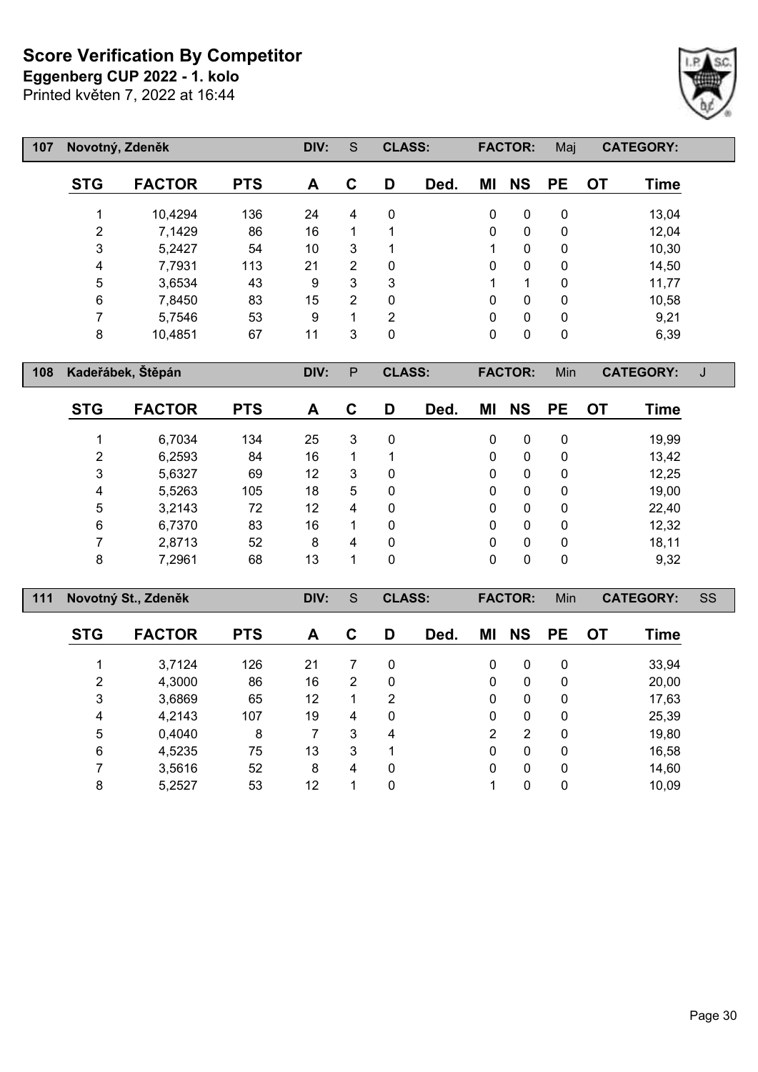**Eggenberg CUP 2022 - 1. kolo**

Printed květen 7, 2022 at 16:44



| 107 |                | Novotný, Zdeněk |            | DIV: | S              | <b>CLASS:</b>  |      |              | <b>FACTOR:</b> | Maj       |           | <b>CATEGORY:</b> |
|-----|----------------|-----------------|------------|------|----------------|----------------|------|--------------|----------------|-----------|-----------|------------------|
|     | <b>STG</b>     | <b>FACTOR</b>   | <b>PTS</b> | A    | C              | D              | Ded. | ΜI           | <b>NS</b>      | <b>PE</b> | <b>OT</b> | <b>Time</b>      |
|     |                | 10,4294         | 136        | 24   | 4              | 0              |      | 0            | 0              | 0         |           | 13,04            |
|     | $\overline{2}$ | 7,1429          | 86         | 16   | 1              | 1              |      | 0            | 0              | 0         |           | 12,04            |
|     | 3              | 5,2427          | 54         | 10   | 3              | 1              |      | 1            | 0              | 0         |           | 10,30            |
|     | 4              | 7,7931          | 113        | 21   | 2              | 0              |      | $\mathbf{0}$ | 0              | 0         |           | 14,50            |
|     | 5              | 3,6534          | 43         | 9    | 3              | 3              |      | 1            | 1              | 0         |           | 11,77            |
|     | 6              | 7,8450          | 83         | 15   | $\overline{2}$ | 0              |      | $\mathbf{0}$ | 0              | 0         |           | 10,58            |
|     | ⇁              | 5,7546          | 53         | 9    | 1              | $\overline{2}$ |      | $\mathbf{0}$ | $\mathbf{0}$   | 0         |           | 9,21             |
|     | 8              | 10,4851         | 67         | 11   | 3              | 0              |      | 0            | 0              | 0         |           | 6,39             |

**Kadeřábek, Štěpán DIV:** P **CLASS: FACTOR:** Min **CATEGORY:** J

| <b>STG</b> | <b>FACTOR</b> | <b>PTS</b> | A  | С | D            | Ded. | ΜI           | <b>NS</b> | <b>PE</b>    | <b>OT</b> | Time  |
|------------|---------------|------------|----|---|--------------|------|--------------|-----------|--------------|-----------|-------|
|            | 6,7034        | 134        | 25 | 3 | 0            |      | 0            | 0         | 0            |           | 19,99 |
| 2          | 6,2593        | 84         | 16 |   |              |      | $\mathbf{0}$ | 0         | $\mathbf{0}$ |           | 13,42 |
| 3          | 5,6327        | 69         | 12 | 3 | 0            |      | 0            | 0         | $\mathbf{0}$ |           | 12,25 |
| 4          | 5,5263        | 105        | 18 | 5 | 0            |      | 0            | 0         | $\mathbf{0}$ |           | 19,00 |
| 5          | 3,2143        | 72         | 12 | 4 | $\mathbf{0}$ |      | 0            | 0         | $\mathbf{0}$ |           | 22,40 |
| 6          | 6,7370        | 83         | 16 |   | 0            |      | $\mathbf{0}$ | 0         | 0            |           | 12,32 |
| 7          | 2,8713        | 52         | 8  | 4 | 0            |      | $\mathbf{0}$ | 0         | $\mathbf{0}$ |           | 18,11 |
| 8          | 7,2961        | 68         | 13 |   | 0            |      | $\Omega$     | 0         | $\mathbf{0}$ |           | 9,32  |

| 111 |            | Novotný St., Zdeněk |            | DIV: | S | <b>CLASS:</b> |      |              | <b>FACTOR:</b> | Min       |           | <b>CATEGORY:</b> | SS |
|-----|------------|---------------------|------------|------|---|---------------|------|--------------|----------------|-----------|-----------|------------------|----|
|     | <b>STG</b> | <b>FACTOR</b>       | <b>PTS</b> | A    | C | D             | Ded. | ΜI           | <b>NS</b>      | <b>PE</b> | <b>OT</b> | Time             |    |
|     |            | 3,7124              | 126        | 21   | 7 | 0             |      | 0            | 0              | 0         |           | 33,94            |    |
|     | 2          | 4,3000              | 86         | 16   | 2 | 0             |      | 0            | 0              | 0         |           | 20,00            |    |
|     | 3          | 3,6869              | 65         | 12   | 1 | 2             |      | 0            | $\mathbf{0}$   | 0         |           | 17,63            |    |
|     | 4          | 4,2143              | 107        | 19   | 4 | 0             |      | $\mathbf{0}$ | 0              | 0         |           | 25,39            |    |
|     | 5          | 0,4040              | 8          |      | 3 | 4             |      | 2            | 2              | 0         |           | 19,80            |    |
|     | 6          | 4,5235              | 75         | 13   | 3 |               |      | 0            | 0              | 0         |           | 16,58            |    |
|     |            | 3,5616              | 52         | 8    | 4 | 0             |      | 0            | 0              | 0         |           | 14,60            |    |
|     | 8          | 5,2527              | 53         | 12   |   | 0             |      |              | 0              | 0         |           | 10,09            |    |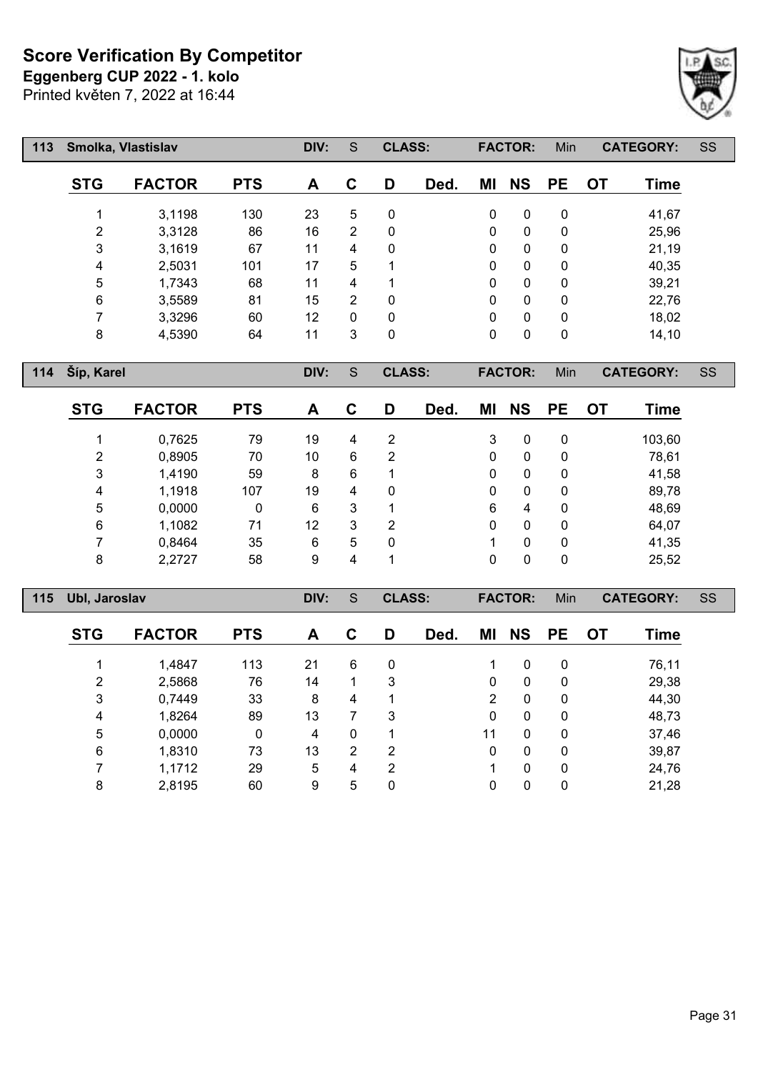**Eggenberg CUP 2022 - 1. kolo**

Printed květen 7, 2022 at 16:44



| 113 | Smolka, Vlastislav |               |            | DIV: | S        | <b>CLASS:</b> |      |                | <b>FACTOR:</b> | Min          |           | <b>CATEGORY:</b> | SS |
|-----|--------------------|---------------|------------|------|----------|---------------|------|----------------|----------------|--------------|-----------|------------------|----|
|     | <b>STG</b>         | <b>FACTOR</b> | <b>PTS</b> | A    | C        | D             | Ded. | ΜI             | <b>NS</b>      | <b>PE</b>    | <b>OT</b> | <b>Time</b>      |    |
|     |                    | 3,1198        | 130        | 23   | 5        | 0             |      | 0              | 0              | 0            |           | 41,67            |    |
|     | $\overline{2}$     | 3,3128        | 86         | 16   | 2        | 0             |      | 0              | 0              | 0            |           | 25,96            |    |
|     | 3                  | 3,1619        | 67         | 11   | 4        | 0             |      | 0              | $\mathbf{0}$   | $\mathbf{0}$ |           | 21,19            |    |
|     | 4                  | 2,5031        | 101        | 17   | 5        | 1             |      | 0              | $\mathbf{0}$   | 0            |           | 40,35            |    |
|     | 5                  | 1,7343        | 68         | 11   | 4        | 4             |      | 0              | 0              | 0            |           | 39,21            |    |
|     | 6                  | 3,5589        | 81         | 15   | 2        | 0             |      | $\overline{0}$ | $\mathbf 0$    | 0            |           | 22,76            |    |
|     | 7                  | 3,3296        | 60         | 12   | $\Omega$ | 0             |      | 0              | $\mathbf{0}$   | 0            |           | 18,02            |    |
|     | 8                  | 4,5390        | 64         | 11   | 3        | 0             |      | 0              | 0              | 0            |           | 14, 10           |    |
| 114 | Šíp, Karel         |               |            | DIV: | S        | <b>CLASS:</b> |      |                | <b>FACTOR:</b> | Min          |           | <b>CATEGORY:</b> | SS |

| <b>STG</b>     | <b>FACTOR</b> | <b>PTS</b> | A  | С | D              | Ded. | MI | <b>NS</b> | <b>PE</b> | OT. | Time   |
|----------------|---------------|------------|----|---|----------------|------|----|-----------|-----------|-----|--------|
| ◢              | 0,7625        | 79         | 19 | 4 | 2              |      | 3  | 0         | 0         |     | 103,60 |
| $\overline{2}$ | 0,8905        | 70         | 10 | 6 | 2              |      | 0  | 0         | 0         |     | 78,61  |
| 3              | 1,4190        | 59         | 8  | 6 |                |      | 0  | 0         | 0         |     | 41,58  |
| 4              | 1,1918        | 107        | 19 | 4 | 0              |      | 0  | 0         | 0         |     | 89,78  |
| 5              | 0,0000        | 0          | 6  | 3 | 1              |      | 6  | 4         | 0         |     | 48,69  |
| 6              | 1,1082        | 71         | 12 | 3 | $\overline{2}$ |      | 0  | 0         | 0         |     | 64,07  |
| 7              | 0,8464        | 35         | 6  | 5 | 0              |      |    | 0         | 0         |     | 41,35  |
| 8              | 2,2727        | 58         | 9  | 4 |                |      | 0  | 0         | 0         |     | 25,52  |

| 115 | Ubl, Jaroslav |               |            | DIV: | S | <b>CLASS:</b>  |      |    | <b>FACTOR:</b> | Min          |           | <b>CATEGORY:</b> | SS |
|-----|---------------|---------------|------------|------|---|----------------|------|----|----------------|--------------|-----------|------------------|----|
|     | <b>STG</b>    | <b>FACTOR</b> | <b>PTS</b> | A    | C | D              | Ded. | ΜI | <b>NS</b>      | <b>PE</b>    | <b>OT</b> | Time             |    |
|     |               | 1,4847        | 113        | 21   | 6 | 0              |      |    | $\mathbf{0}$   | $\mathbf{0}$ |           | 76,11            |    |
|     | 2             | 2,5868        | 76         | 14   |   | 3              |      | 0  | $\mathbf{0}$   | $\mathbf{0}$ |           | 29,38            |    |
|     | 3             | 0,7449        | 33         | 8    | 4 |                |      | 2  | $\Omega$       | $\mathbf{0}$ |           | 44,30            |    |
|     | 4             | 1,8264        | 89         | 13   | 7 | 3              |      | 0  | $\mathbf{0}$   | $\mathbf{0}$ |           | 48,73            |    |
|     | 5             | 0,0000        | 0          | 4    | 0 | 1              |      | 11 | $\mathbf{0}$   | $\mathbf{0}$ |           | 37,46            |    |
|     | 6             | 1,8310        | 73         | 13   | 2 | $\overline{2}$ |      | 0  | $\mathbf{0}$   | $\mathbf{0}$ |           | 39,87            |    |
|     |               | 1,1712        | 29         | 5    | 4 | 2              |      |    | $\Omega$       | $\Omega$     |           | 24,76            |    |
|     | 8             | 2,8195        | 60         | 9    | 5 | 0              |      | 0  | 0              | 0            |           | 21,28            |    |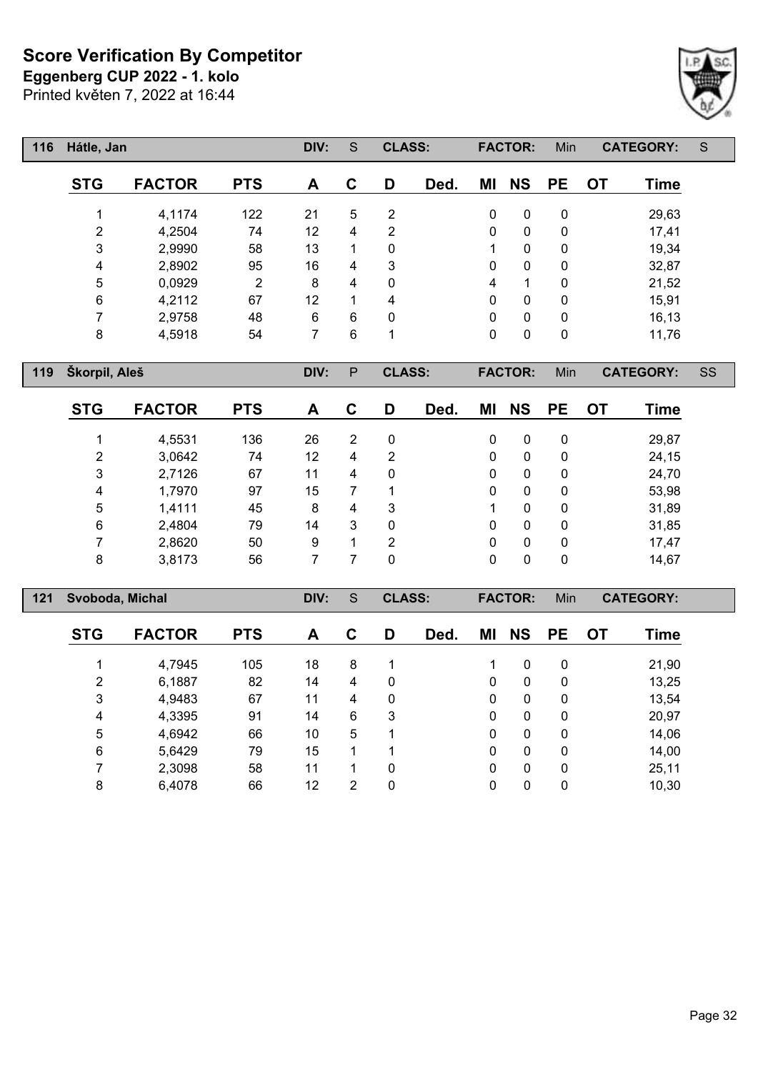**Eggenberg CUP 2022 - 1. kolo**

Printed květen 7, 2022 at 16:44

| 116 | Hátle, Jan     |               |            | DIV: | S | <b>CLASS:</b>  |      |             | <b>FACTOR:</b> | Min       |           | <b>CATEGORY:</b> | S |
|-----|----------------|---------------|------------|------|---|----------------|------|-------------|----------------|-----------|-----------|------------------|---|
|     | <b>STG</b>     | <b>FACTOR</b> | <b>PTS</b> | A    | C | D              | Ded. | ΜI          | <b>NS</b>      | <b>PE</b> | <b>OT</b> | Time             |   |
|     |                | 4,1174        | 122        | 21   | 5 | 2              |      | 0           | 0              | 0         |           | 29,63            |   |
|     | $\overline{2}$ | 4,2504        | 74         | 12   | 4 | $\overline{2}$ |      | 0           | 0              | 0         |           | 17,41            |   |
|     | 3              | 2,9990        | 58         | 13   |   | 0              |      | 1           | $\mathbf{0}$   | 0         |           | 19,34            |   |
|     | 4              | 2,8902        | 95         | 16   | 4 | 3              |      | 0           | 0              | 0         |           | 32,87            |   |
|     | 5              | 0,0929        | 2          | 8    | 4 | 0              |      | 4           | 1              | 0         |           | 21,52            |   |
|     | 6              | 4,2112        | 67         | 12   |   | 4              |      | $\mathbf 0$ | $\mathbf{0}$   | 0         |           | 15,91            |   |
|     | 7              | 2,9758        | 48         | 6    | 6 | $\mathbf{0}$   |      | $\Omega$    | $\mathbf{0}$   | 0         |           | 16,13            |   |
|     | 8              | 4,5918        | 54         | 7    | 6 | 1              |      | 0           | $\mathbf{0}$   | 0         |           | 11,76            |   |

**Škorpil, Aleš DIV:** P **CLASS: FACTOR:** Min **CATEGORY:** SS

| <b>STG</b> | <b>FACTOR</b> | <b>PTS</b> | A  | C              | D           | Ded. | ΜI           | <b>NS</b> | <b>PE</b> | OT | Time  |
|------------|---------------|------------|----|----------------|-------------|------|--------------|-----------|-----------|----|-------|
|            | 4,5531        | 136        | 26 | $\overline{2}$ | $\mathbf 0$ |      | 0            | 0         | 0         |    | 29,87 |
| 2          | 3,0642        | 74         | 12 | 4              | 2           |      | 0            | 0         | 0         |    | 24,15 |
| 3          | 2,7126        | 67         | 11 | 4              | $\mathbf 0$ |      | 0            | 0         | 0         |    | 24,70 |
| 4          | 1,7970        | 97         | 15 |                | 1           |      | $\mathbf{0}$ | 0         | 0         |    | 53,98 |
| 5          | 1,4111        | 45         | 8  | 4              | 3           |      |              | 0         | 0         |    | 31,89 |
| 6          | 2,4804        | 79         | 14 | 3              | 0           |      | 0            | 0         | 0         |    | 31,85 |
| 7          | 2,8620        | 50         | 9  | 4              | 2           |      | 0            | 0         | 0         |    | 17,47 |
| 8          | 3,8173        | 56         |    |                | 0           |      | 0            | 0         | 0         |    | 14,67 |

| 121 | Svoboda, Michal |               |            | DIV: | S              | <b>CLASS:</b> |      |    | <b>FACTOR:</b> | Min          |    | <b>CATEGORY:</b> |  |
|-----|-----------------|---------------|------------|------|----------------|---------------|------|----|----------------|--------------|----|------------------|--|
|     | <b>STG</b>      | <b>FACTOR</b> | <b>PTS</b> | A    | C              | D             | Ded. | ΜI | <b>NS</b>      | <b>PE</b>    | OT | <b>Time</b>      |  |
|     |                 | 4,7945        | 105        | 18   | 8              |               |      |    | $\Omega$       | $\mathbf{0}$ |    | 21,90            |  |
|     | 2               | 6,1887        | 82         | 14   | 4              | 0             |      | 0  | $\Omega$       | $\mathbf{0}$ |    | 13,25            |  |
|     | 3               | 4,9483        | 67         | 11   | 4              | 0             |      | 0  | $\Omega$       | $\mathbf{0}$ |    | 13,54            |  |
|     | 4               | 4,3395        | 91         | 14   | 6              | 3             |      | 0  | $\Omega$       | $\mathbf{0}$ |    | 20,97            |  |
|     | 5               | 4,6942        | 66         | 10   | 5              |               |      | 0  | 0              | 0            |    | 14,06            |  |
|     | 6               | 5,6429        | 79         | 15   | 1              |               |      | 0  | $\Omega$       | 0            |    | 14,00            |  |
|     |                 | 2,3098        | 58         | 11   | 1              | 0             |      | 0  | $\Omega$       | $\mathbf{0}$ |    | 25,11            |  |
|     | 8               | 6,4078        | 66         | 12   | $\overline{2}$ | 0             |      | 0  | 0              | 0            |    | 10,30            |  |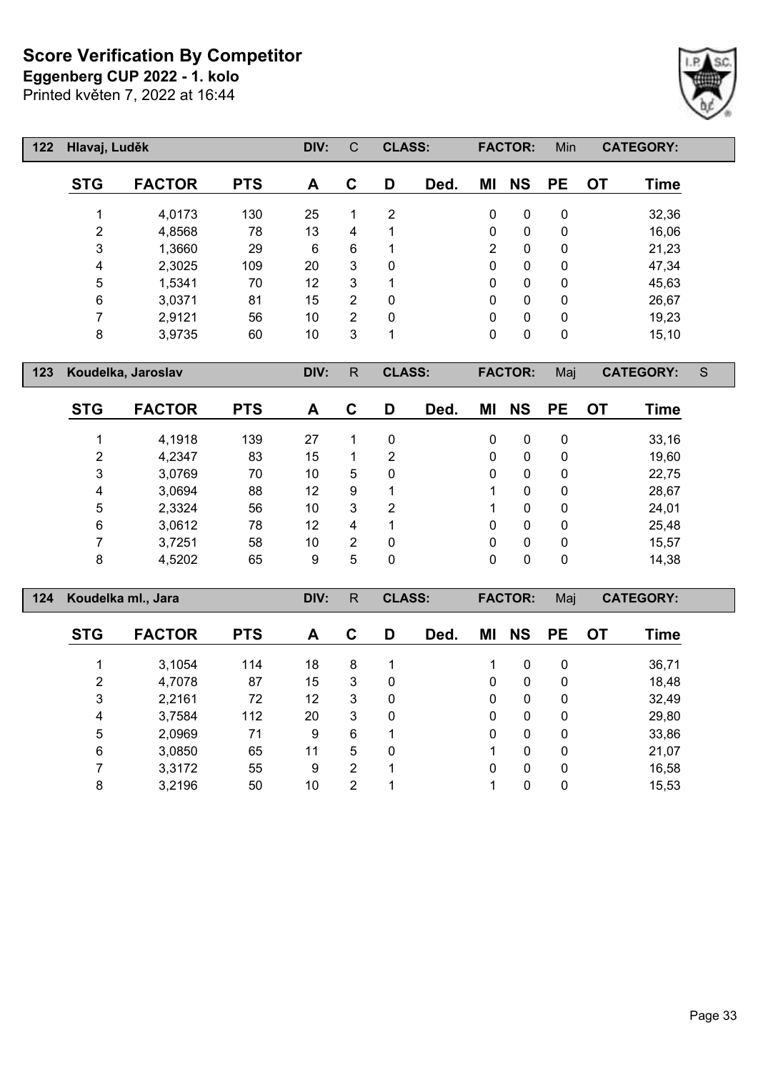**Eggenberg CUP 2022 - 1. kolo**

Printed květen 7, 2022 at 16:44

 $\lceil$ 

| 122 | Hlavaj, Luděk |               |            | DIV: | C              | <b>CLASS:</b>  |      | <b>FACTOR:</b> |              | Min       |    | <b>CATEGORY:</b> |  |
|-----|---------------|---------------|------------|------|----------------|----------------|------|----------------|--------------|-----------|----|------------------|--|
|     | <b>STG</b>    | <b>FACTOR</b> | <b>PTS</b> | A    | $\mathbf C$    | D              | Ded. | ΜI             | <b>NS</b>    | <b>PE</b> | OT | Time             |  |
|     |               | 4,0173        | 130        | 25   | 1              | $\overline{2}$ |      | $\mathbf{0}$   | $\mathbf{0}$ | 0         |    | 32,36            |  |
|     | 2             | 4,8568        | 78         | 13   | 4              |                |      | $\mathbf{0}$   | $\mathbf{0}$ | 0         |    | 16,06            |  |
|     | 3             | 1,3660        | 29         | 6    | 6              |                |      | $\overline{2}$ | $\mathbf{0}$ | 0         |    | 21,23            |  |
|     | 4             | 2,3025        | 109        | 20   | 3              | $\mathbf{0}$   |      | $\mathbf{0}$   | $\mathbf{0}$ | 0         |    | 47,34            |  |
|     | 5             | 1,5341        | 70         | 12   | 3              |                |      | $\mathbf{0}$   | $\mathbf{0}$ | 0         |    | 45,63            |  |
|     | 6             | 3,0371        | 81         | 15   | 2              | $\mathbf{0}$   |      | $\mathbf{0}$   | $\mathbf{0}$ | 0         |    | 26,67            |  |
|     |               | 2,9121        | 56         | 10   | $\overline{2}$ | $\mathbf{0}$   |      | $\mathbf{0}$   | $\mathbf{0}$ | 0         |    | 19,23            |  |
|     | 8             | 3,9735        | 60         | 10   | 3              | 1              |      | $\mathbf{0}$   | 0            | 0         |    | 15,10            |  |

**Koudelka, Jaroslav DIV:** R **CLASS: FACTOR:** Maj **CATEGORY:** S

| <b>STG</b> | <b>FACTOR</b> | <b>PTS</b> | A  | С              | D | Ded. | ΜI | <b>NS</b> | <b>PE</b>   | ОT | Time  |
|------------|---------------|------------|----|----------------|---|------|----|-----------|-------------|----|-------|
|            | 4,1918        | 139        | 27 |                | 0 |      | 0  | 0         | 0           |    | 33,16 |
| 2          | 4,2347        | 83         | 15 |                | 2 |      | 0  | 0         | 0           |    | 19,60 |
| 3          | 3,0769        | 70         | 10 | 5              | 0 |      | 0  | 0         | 0           |    | 22,75 |
| 4          | 3,0694        | 88         | 12 | 9              | 1 |      |    | 0         | 0           |    | 28,67 |
| 5          | 2,3324        | 56         | 10 | 3              | 2 |      |    | 0         | $\mathbf 0$ |    | 24,01 |
| 6          | 3,0612        | 78         | 12 | 4              | 1 |      | 0  | 0         | 0           |    | 25,48 |
| ⇁          | 3,7251        | 58         | 10 | $\overline{2}$ | 0 |      | 0  | 0         | 0           |    | 15,57 |
| 8          | 4,5202        | 65         | 9  | 5              | 0 |      | 0  | 0         | 0           |    | 14,38 |

| 124 | Koudelka ml., Jara |               |            | DIV: | R | <b>CLASS:</b> |      |              | <b>FACTOR:</b><br>Maj<br><b>CATEGORY:</b> |              |    |       |  |
|-----|--------------------|---------------|------------|------|---|---------------|------|--------------|-------------------------------------------|--------------|----|-------|--|
|     | <b>STG</b>         | <b>FACTOR</b> | <b>PTS</b> | A    | C | D             | Ded. | ΜI           | <b>NS</b>                                 | <b>PE</b>    | ОT | Time  |  |
|     |                    | 3,1054        | 114        | 18   | 8 |               |      |              | $\mathbf{0}$                              | 0            |    | 36,71 |  |
|     | 2                  | 4,7078        | 87         | 15   | 3 | 0             |      | $\mathbf{0}$ | $\Omega$                                  | $\mathbf{0}$ |    | 18,48 |  |
|     | 3                  | 2,2161        | 72         | 12   | 3 | 0             |      | $\mathbf{0}$ | $\Omega$                                  | 0            |    | 32,49 |  |
|     | 4                  | 3,7584        | 112        | 20   | 3 | 0             |      | 0            | $\mathbf{0}$                              | 0            |    | 29,80 |  |
|     | 5                  | 2,0969        | 71         | 9    | 6 |               |      | 0            | $\Omega$                                  | $\mathbf{0}$ |    | 33,86 |  |
|     | 6                  | 3,0850        | 65         | 11   | 5 | 0             |      |              | $\Omega$                                  | $\mathbf{0}$ |    | 21,07 |  |
|     |                    | 3,3172        | 55         | 9    | 2 |               |      | $\mathbf{0}$ | $\Omega$                                  | 0            |    | 16,58 |  |
|     | 8                  | 3,2196        | 50         | 10   | 2 |               |      |              | 0                                         | 0            |    | 15,53 |  |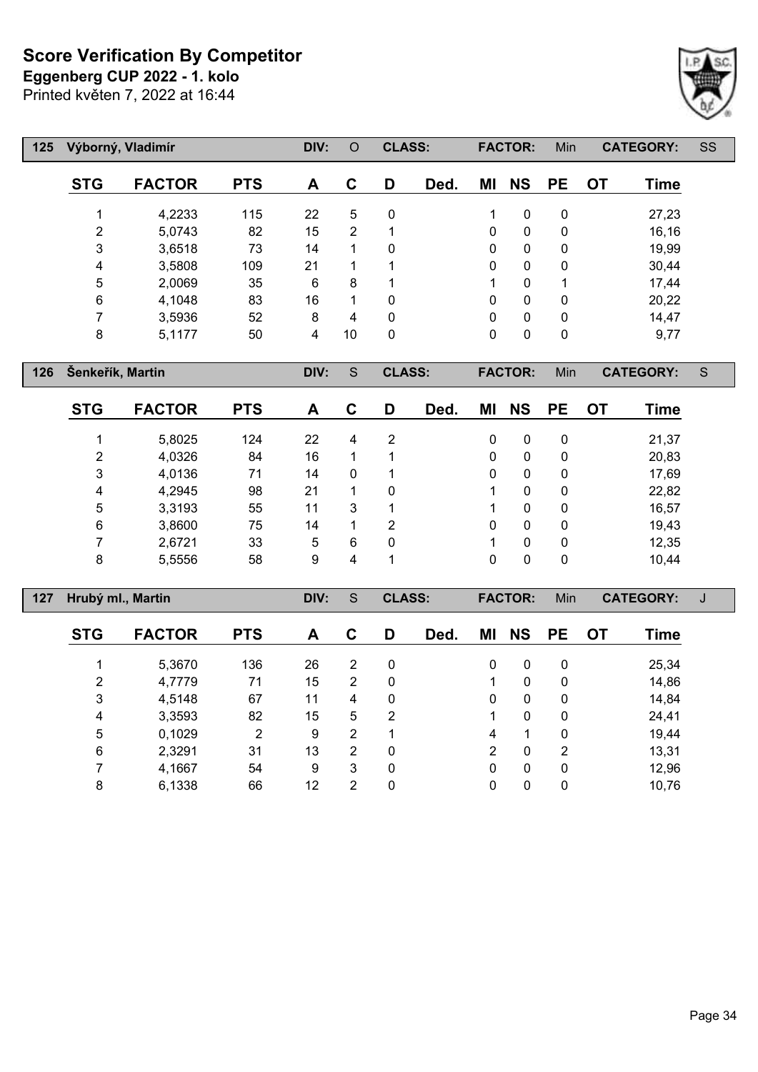Printed květen 7, 2022 at 16:44 **Eggenberg CUP 2022 - 1. kolo**



 **Výborný, Vladimír DIV:** O **CLASS: FACTOR:** Min **CATEGORY:** SS **STG FACTOR PTS A C D Ded. MI NS PE OT Time** 4,2233 115 22 5 0 1 0 0 27,23 5,0743 82 15 2 1 0 0 0 16,16 3,6518 73 14 1 0 0 0 0 19,99 3,5808 109 21 1 1 0 0 0 30,44 2,0069 35 6 8 1 1 0 1 17,44 4,1048 83 16 1 0 0 0 0 20,22 3,5936 52 8 4 0 0 0 0 14,47 5,1177 50 4 10 0 0 0 0 9,77

**Šenkeřík, Martin DIV:** S **CLASS: FACTOR:** Min **CATEGORY:** S

| <b>STG</b> | <b>FACTOR</b> | <b>PTS</b> | A  | С | D | Ded. | ΜI | <b>NS</b> | <b>PE</b> | OT | Time  |
|------------|---------------|------------|----|---|---|------|----|-----------|-----------|----|-------|
| 4          | 5,8025        | 124        | 22 | 4 | 2 |      | 0  | 0         | 0         |    | 21,37 |
| 2          | 4,0326        | 84         | 16 |   | 1 |      | 0  | 0         | 0         |    | 20,83 |
| 3          | 4,0136        | 71         | 14 | 0 | 1 |      | 0  | 0         | 0         |    | 17,69 |
| 4          | 4,2945        | 98         | 21 |   | 0 |      |    | 0         | 0         |    | 22,82 |
| 5          | 3,3193        | 55         | 11 | 3 | 1 |      |    | 0         | 0         |    | 16,57 |
| 6          | 3,8600        | 75         | 14 | 1 | 2 |      | 0  | 0         | 0         |    | 19,43 |
|            | 2,6721        | 33         | 5  | 6 | 0 |      |    | 0         | 0         |    | 12,35 |
| 8          | 5,5556        | 58         | 9  | 4 | 1 |      | 0  | 0         | 0         |    | 10,44 |

| 127 |            | Hrubý ml., Martin |            | DIV: | S | <b>CLASS:</b> |      | <b>FACTOR:</b><br>Min<br><b>CATEGORY:</b> |           |           |           |       | J |
|-----|------------|-------------------|------------|------|---|---------------|------|-------------------------------------------|-----------|-----------|-----------|-------|---|
|     | <b>STG</b> | <b>FACTOR</b>     | <b>PTS</b> | A    | C | D             | Ded. | ΜI                                        | <b>NS</b> | <b>PE</b> | <b>OT</b> | Time  |   |
|     |            | 5,3670            | 136        | 26   | 2 | 0             |      | 0                                         | 0         | 0         |           | 25,34 |   |
|     | 2          | 4,7779            | 71         | 15   | 2 | 0             |      |                                           | 0         | 0         |           | 14,86 |   |
|     | 3          | 4,5148            | 67         | 11   | 4 | 0             |      | 0                                         | 0         | 0         |           | 14,84 |   |
|     | 4          | 3,3593            | 82         | 15   | 5 | 2             |      |                                           | 0         | 0         |           | 24,41 |   |
|     | 5          | 0,1029            | 2          | 9    | 2 |               |      | 4                                         |           | 0         |           | 19,44 |   |
|     | 6          | 2,3291            | 31         | 13   | 2 | 0             |      | 2                                         | 0         | 2         |           | 13,31 |   |
|     |            | 4,1667            | 54         | 9    | 3 | $\mathbf 0$   |      | 0                                         | 0         | $\Omega$  |           | 12,96 |   |
|     | 8          | 6,1338            | 66         | 12   | 2 | 0             |      | 0                                         | 0         | 0         |           | 10,76 |   |